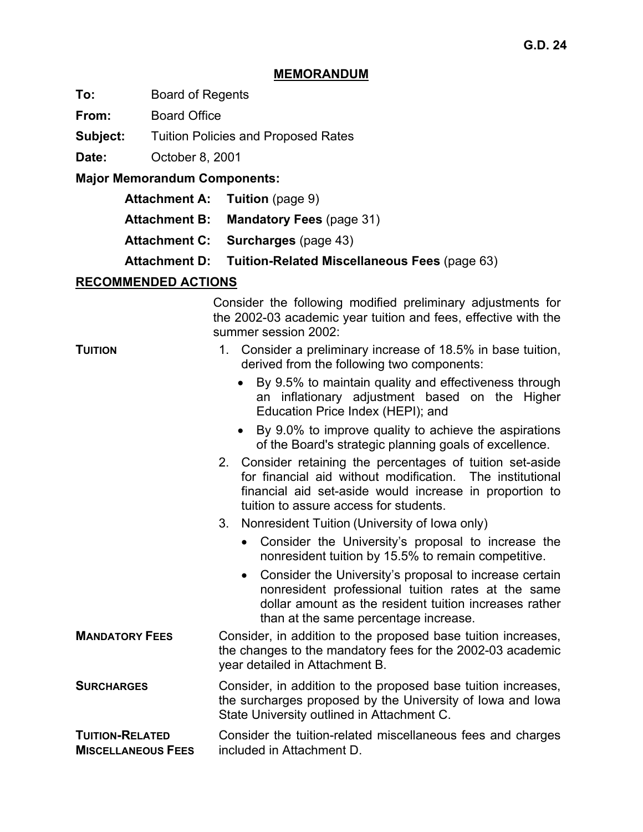#### **MEMORANDUM**

**To:** Board of Regents

**From:** Board Office

**Subject:** Tuition Policies and Proposed Rates

**Date:** October 8, 2001

**Major Memorandum Components:** 

- **Attachment A: Tuition (page 9)**
- **Attachment B: Mandatory Fees** (page 31)
- **Attachment C: Surcharges** (page 43)
- **Attachment D: Tuition-Related Miscellaneous Fees** (page 63)

## **RECOMMENDED ACTIONS**

Consider the following modified preliminary adjustments for the 2002-03 academic year tuition and fees, effective with the summer session 2002:

| <b>TUITION</b>                                      | 1. Consider a preliminary increase of 18.5% in base tuition,<br>derived from the following two components:                                                                                                                   |  |  |  |  |
|-----------------------------------------------------|------------------------------------------------------------------------------------------------------------------------------------------------------------------------------------------------------------------------------|--|--|--|--|
|                                                     | By 9.5% to maintain quality and effectiveness through<br>an inflationary adjustment based on the Higher<br>Education Price Index (HEPI); and                                                                                 |  |  |  |  |
|                                                     | By 9.0% to improve quality to achieve the aspirations<br>$\bullet$<br>of the Board's strategic planning goals of excellence.                                                                                                 |  |  |  |  |
|                                                     | 2. Consider retaining the percentages of tuition set-aside<br>for financial aid without modification. The institutional<br>financial aid set-aside would increase in proportion to<br>tuition to assure access for students. |  |  |  |  |
|                                                     | $3_{-}$<br>Nonresident Tuition (University of Iowa only)                                                                                                                                                                     |  |  |  |  |
|                                                     | Consider the University's proposal to increase the<br>$\bullet$<br>nonresident tuition by 15.5% to remain competitive.                                                                                                       |  |  |  |  |
|                                                     | Consider the University's proposal to increase certain<br>$\bullet$<br>nonresident professional tuition rates at the same<br>dollar amount as the resident tuition increases rather<br>than at the same percentage increase. |  |  |  |  |
| <b>MANDATORY FEES</b>                               | Consider, in addition to the proposed base tuition increases,<br>the changes to the mandatory fees for the 2002-03 academic<br>year detailed in Attachment B.                                                                |  |  |  |  |
| <b>SURCHARGES</b>                                   | Consider, in addition to the proposed base tuition increases,<br>the surcharges proposed by the University of Iowa and Iowa<br>State University outlined in Attachment C.                                                    |  |  |  |  |
| <b>TUITION-RELATED</b><br><b>MISCELLANEOUS FEES</b> | Consider the tuition-related miscellaneous fees and charges<br>included in Attachment D.                                                                                                                                     |  |  |  |  |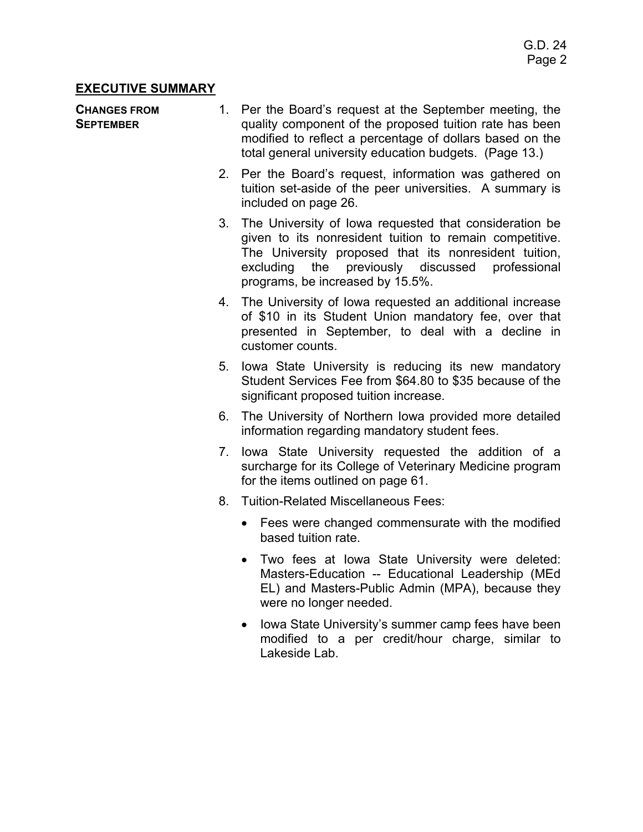## **EXECUTIVE SUMMARY**

#### **CHANGES FROM SEPTEMBER**

- 1. Per the Board's request at the September meeting, the quality component of the proposed tuition rate has been modified to reflect a percentage of dollars based on the total general university education budgets. (Page 13.)
- 2. Per the Board's request, information was gathered on tuition set-aside of the peer universities. A summary is included on page 26.
- 3. The University of Iowa requested that consideration be given to its nonresident tuition to remain competitive. The University proposed that its nonresident tuition, excluding the previously discussed professional programs, be increased by 15.5%.
- 4. The University of Iowa requested an additional increase of \$10 in its Student Union mandatory fee, over that presented in September, to deal with a decline in customer counts.
- 5. Iowa State University is reducing its new mandatory Student Services Fee from \$64.80 to \$35 because of the significant proposed tuition increase.
- 6. The University of Northern Iowa provided more detailed information regarding mandatory student fees.
- 7. Iowa State University requested the addition of a surcharge for its College of Veterinary Medicine program for the items outlined on page 61.
- 8. Tuition-Related Miscellaneous Fees:
	- Fees were changed commensurate with the modified based tuition rate.
	- Two fees at Iowa State University were deleted: Masters-Education -- Educational Leadership (MEd EL) and Masters-Public Admin (MPA), because they were no longer needed.
	- Iowa State University's summer camp fees have been modified to a per credit/hour charge, similar to Lakeside Lab.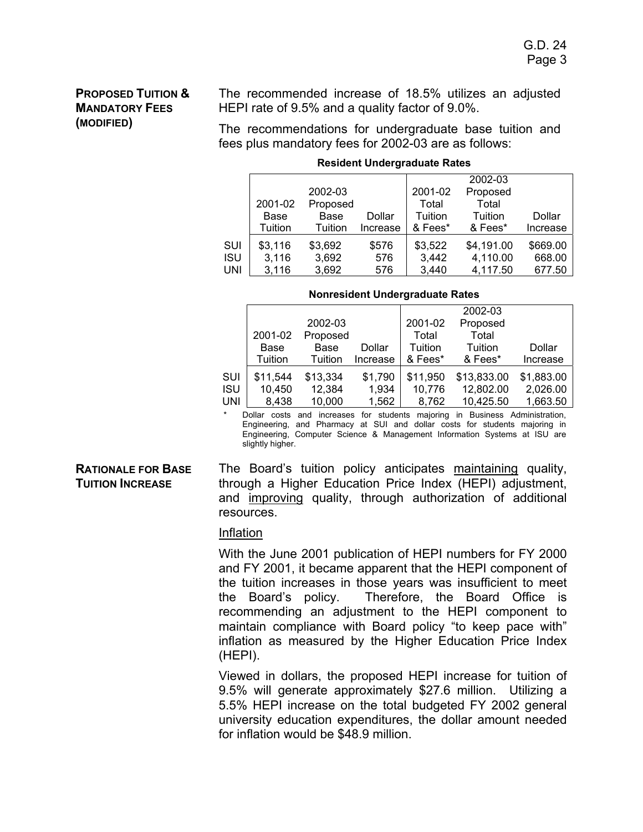## **PROPOSED TUITION & MANDATORY FEES (MODIFIED)**

The recommended increase of 18.5% utilizes an adjusted HEPI rate of 9.5% and a quality factor of 9.0%.

The recommendations for undergraduate base tuition and fees plus mandatory fees for 2002-03 are as follows:

|            |         |          |          |         | 2002-03    |          |
|------------|---------|----------|----------|---------|------------|----------|
|            |         | 2002-03  |          | 2001-02 | Proposed   |          |
|            | 2001-02 | Proposed |          | Total   | Total      |          |
|            | Base    | Base     | Dollar   | Tuition | Tuition    | Dollar   |
|            | Tuition | Tuition  | Increase | & Fees* | & Fees*    | Increase |
| SUI        | \$3,116 | \$3,692  | \$576    | \$3,522 | \$4,191.00 | \$669.00 |
| <b>ISU</b> | 3,116   | 3,692    | 576      | 3,442   | 4,110.00   | 668.00   |
| UNI        | 3,116   | 3,692    | 576      | 3,440   | 4,117.50   | 677.50   |

#### **Resident Undergraduate Rates**

#### **Nonresident Undergraduate Rates**

|            |          |          |          |          | 2002-03     |            |
|------------|----------|----------|----------|----------|-------------|------------|
|            |          | 2002-03  |          | 2001-02  | Proposed    |            |
|            | 2001-02  | Proposed |          | Total    | Total       |            |
|            | Base     | Base     | Dollar   | Tuition  | Tuition     | Dollar     |
|            | Tuition  | Tuition  | Increase | & Fees*  | & Fees*     | Increase   |
| SUI        | \$11,544 | \$13,334 | \$1,790  | \$11,950 | \$13,833.00 | \$1,883.00 |
| <b>ISU</b> | 10,450   | 12,384   | 1,934    | 10,776   | 12,802.00   | 2,026.00   |
| UNI        | 8,438    | 10,000   | 1,562    | 8,762    | 10,425.50   | 1,663.50   |

Dollar costs and increases for students majoring in Business Administration, Engineering, and Pharmacy at SUI and dollar costs for students majoring in Engineering, Computer Science & Management Information Systems at ISU are slightly higher.

#### **RATIONALE FOR BASE TUITION INCREASE**

The Board's tuition policy anticipates maintaining quality, through a Higher Education Price Index (HEPI) adjustment, and improving quality, through authorization of additional resources.

#### Inflation

With the June 2001 publication of HEPI numbers for FY 2000 and FY 2001, it became apparent that the HEPI component of the tuition increases in those years was insufficient to meet the Board's policy. Therefore, the Board Office is recommending an adjustment to the HEPI component to maintain compliance with Board policy "to keep pace with" inflation as measured by the Higher Education Price Index (HEPI).

Viewed in dollars, the proposed HEPI increase for tuition of 9.5% will generate approximately \$27.6 million. Utilizing a 5.5% HEPI increase on the total budgeted FY 2002 general university education expenditures, the dollar amount needed for inflation would be \$48.9 million.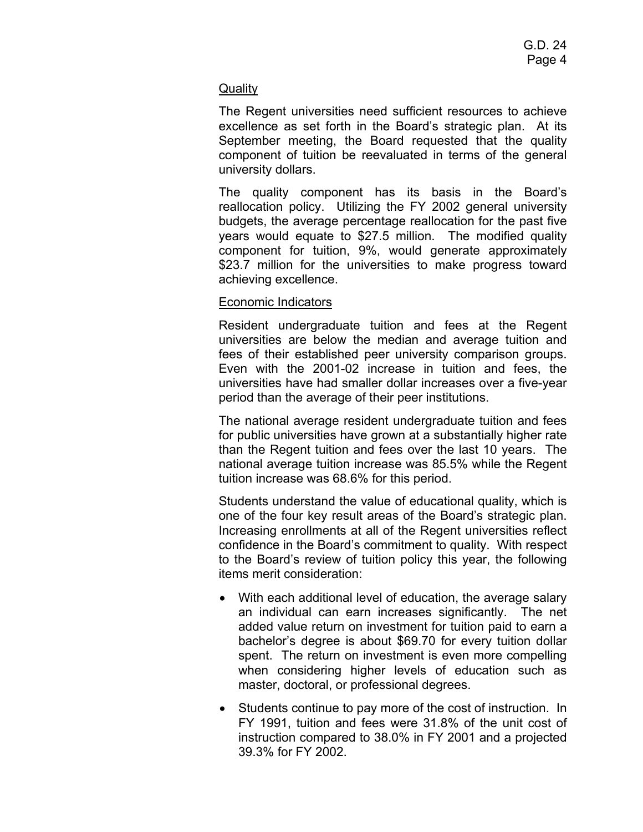## **Quality**

The Regent universities need sufficient resources to achieve excellence as set forth in the Board's strategic plan. At its September meeting, the Board requested that the quality component of tuition be reevaluated in terms of the general university dollars.

The quality component has its basis in the Board's reallocation policy. Utilizing the FY 2002 general university budgets, the average percentage reallocation for the past five years would equate to \$27.5 million. The modified quality component for tuition, 9%, would generate approximately \$23.7 million for the universities to make progress toward achieving excellence.

## Economic Indicators

Resident undergraduate tuition and fees at the Regent universities are below the median and average tuition and fees of their established peer university comparison groups. Even with the 2001-02 increase in tuition and fees, the universities have had smaller dollar increases over a five-year period than the average of their peer institutions.

The national average resident undergraduate tuition and fees for public universities have grown at a substantially higher rate than the Regent tuition and fees over the last 10 years. The national average tuition increase was 85.5% while the Regent tuition increase was 68.6% for this period.

Students understand the value of educational quality, which is one of the four key result areas of the Board's strategic plan. Increasing enrollments at all of the Regent universities reflect confidence in the Board's commitment to quality. With respect to the Board's review of tuition policy this year, the following items merit consideration:

- With each additional level of education, the average salary an individual can earn increases significantly. The net added value return on investment for tuition paid to earn a bachelor's degree is about \$69.70 for every tuition dollar spent. The return on investment is even more compelling when considering higher levels of education such as master, doctoral, or professional degrees.
- Students continue to pay more of the cost of instruction. In FY 1991, tuition and fees were 31.8% of the unit cost of instruction compared to 38.0% in FY 2001 and a projected 39.3% for FY 2002.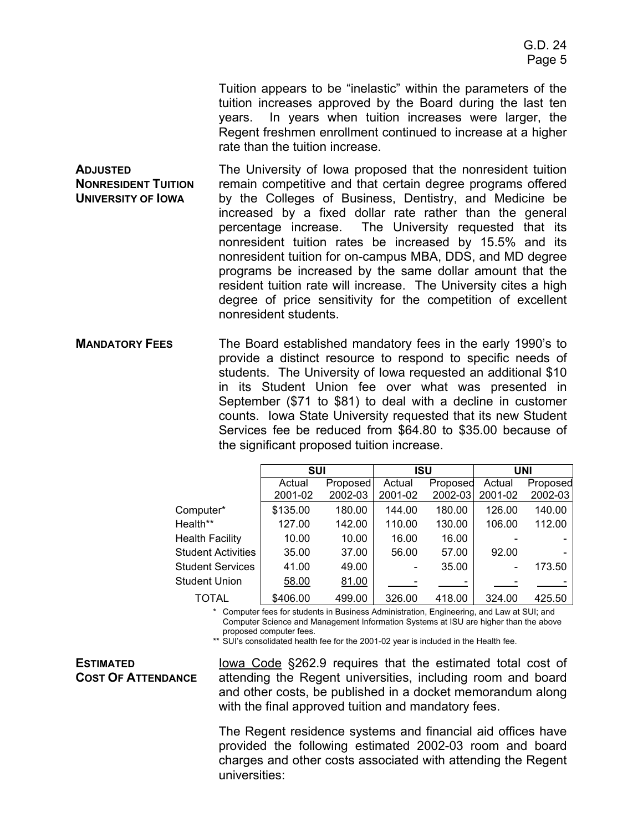Tuition appears to be "inelastic" within the parameters of the tuition increases approved by the Board during the last ten years. In years when tuition increases were larger, the Regent freshmen enrollment continued to increase at a higher rate than the tuition increase.

**ADJUSTED NONRESIDENT TUITION UNIVERSITY OF IOWA** The University of Iowa proposed that the nonresident tuition remain competitive and that certain degree programs offered by the Colleges of Business, Dentistry, and Medicine be increased by a fixed dollar rate rather than the general percentage increase. The University requested that its nonresident tuition rates be increased by 15.5% and its nonresident tuition for on-campus MBA, DDS, and MD degree programs be increased by the same dollar amount that the resident tuition rate will increase. The University cites a high degree of price sensitivity for the competition of excellent nonresident students.

**MANDATORY FEES** The Board established mandatory fees in the early 1990's to provide a distinct resource to respond to specific needs of students. The University of Iowa requested an additional \$10 in its Student Union fee over what was presented in September (\$71 to \$81) to deal with a decline in customer counts. Iowa State University requested that its new Student Services fee be reduced from \$64.80 to \$35.00 because of the significant proposed tuition increase.

|                           | <b>SUI</b> |                 | <b>ISU</b> |          | UNI     |          |
|---------------------------|------------|-----------------|------------|----------|---------|----------|
|                           | Actual     | <b>Proposed</b> | Actual     | Proposed | Actual  | Proposed |
|                           | 2001-02    | 2002-03         | 2001-02    | 2002-03  | 2001-02 | 2002-03  |
| Computer*                 | \$135.00   | 180.00          | 144.00     | 180.00   | 126.00  | 140.00   |
| Health**                  | 127.00     | 142.00          | 110.00     | 130.00   | 106.00  | 112.00   |
| <b>Health Facility</b>    | 10.00      | 10.00           | 16.00      | 16.00    |         |          |
| <b>Student Activities</b> | 35.00      | 37.00           | 56.00      | 57.00    | 92.00   |          |
| <b>Student Services</b>   | 41.00      | 49.00           |            | 35.00    |         | 173.50   |
| <b>Student Union</b>      | 58.00      | 81.00           |            |          |         |          |
| TOTAL                     | \$406.00   | 499.00          | 326.00     | 418.00   | 324.00  | 425.50   |

\* Computer fees for students in Business Administration, Engineering, and Law at SUI; and Computer Science and Management Information Systems at ISU are higher than the above proposed computer fees.

\*\* SUI's consolidated health fee for the 2001-02 year is included in the Health fee.

#### **ESTIMATED COST OF ATTENDANCE**

Iowa Code §262.9 requires that the estimated total cost of attending the Regent universities, including room and board and other costs, be published in a docket memorandum along with the final approved tuition and mandatory fees.

The Regent residence systems and financial aid offices have provided the following estimated 2002-03 room and board charges and other costs associated with attending the Regent universities: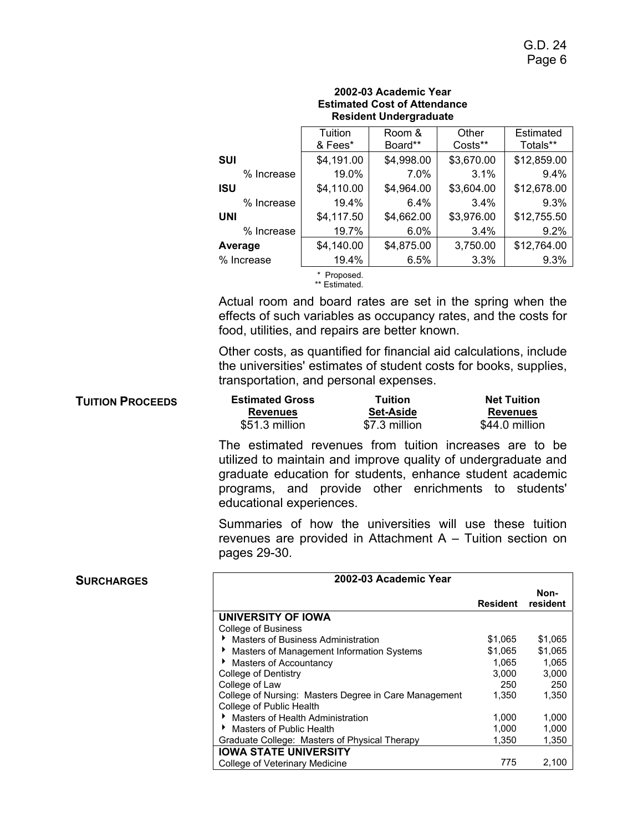|            | 2002-03 Academic Year<br><b>Estimated Cost of Attendance</b><br><b>Resident Undergraduate</b> |                   |                  |                       |  |  |  |
|------------|-----------------------------------------------------------------------------------------------|-------------------|------------------|-----------------------|--|--|--|
|            | Tuition<br>& Fees*                                                                            | Room &<br>Board** | Other<br>Costs** | Estimated<br>Totals** |  |  |  |
| SUI        | \$4,191.00                                                                                    | \$4,998.00        | \$3,670.00       | \$12,859.00           |  |  |  |
| % Increase | 19.0%                                                                                         | 7.0%              | 3.1%             | $9.4\%$               |  |  |  |
| ISU        | \$4,110.00                                                                                    | \$4,964.00        | \$3,604.00       | \$12,678.00           |  |  |  |
| % Increase | 19.4%                                                                                         | $6.4\%$           | 3.4%             | 9.3%                  |  |  |  |
| UNI        | \$4,117.50                                                                                    | \$4,662.00        | \$3,976.00       | \$12,755.50           |  |  |  |
| % Increase | 19.7%                                                                                         | 6.0%              | 3.4%             | 9.2%                  |  |  |  |
| Average    | \$4,140.00                                                                                    | \$4,875.00        | 3,750.00         | \$12,764.00           |  |  |  |
| % Increase | 19.4%                                                                                         | 6.5%              | 3.3%             | 9.3%                  |  |  |  |
|            | Proposed.<br>** Estimated.                                                                    |                   |                  |                       |  |  |  |

Actual room and board rates are set in the spring when the effects of such variables as occupancy rates, and the costs for food, utilities, and repairs are better known.

Other costs, as quantified for financial aid calculations, include the universities' estimates of student costs for books, supplies, transportation, and personal expenses.

| <b>TUITION PROCEEDS</b> | <b>Estimated Gross</b> | Tuition          | <b>Net Tuition</b> |
|-------------------------|------------------------|------------------|--------------------|
|                         | <b>Revenues</b>        | <b>Set-Aside</b> | <b>Revenues</b>    |
|                         | \$51.3 million         | \$7.3 million    | \$44.0 million     |

The estimated revenues from tuition increases are to be utilized to maintain and improve quality of undergraduate and graduate education for students, enhance student academic programs, and provide other enrichments to students' educational experiences.

Summaries of how the universities will use these tuition revenues are provided in Attachment A – Tuition section on pages 29-30.

| <b>SURCHARGES</b> | 2002-03 Academic Year                                 |                 |          |
|-------------------|-------------------------------------------------------|-----------------|----------|
|                   |                                                       |                 | Non-     |
|                   |                                                       | <b>Resident</b> | resident |
|                   | <b>UNIVERSITY OF IOWA</b>                             |                 |          |
|                   | College of Business                                   |                 |          |
|                   | Masters of Business Administration<br>▸               | \$1,065         | \$1,065  |
|                   | Masters of Management Information Systems             | \$1,065         | \$1,065  |
|                   | Masters of Accountancy                                | 1.065           | 1,065    |
|                   | College of Dentistry                                  | 3.000           | 3,000    |
|                   | College of Law                                        | 250             | 250      |
|                   | College of Nursing: Masters Degree in Care Management | 1.350           | 1,350    |
|                   | College of Public Health                              |                 |          |
|                   | Masters of Health Administration                      | 1,000           | 1,000    |
|                   | Masters of Public Health                              | 1.000           | 1,000    |
|                   | Graduate College: Masters of Physical Therapy         | 1.350           | 1,350    |
|                   | <b>IOWA STATE UNIVERSITY</b>                          |                 |          |
|                   | College of Veterinary Medicine                        | 775             | 2,100    |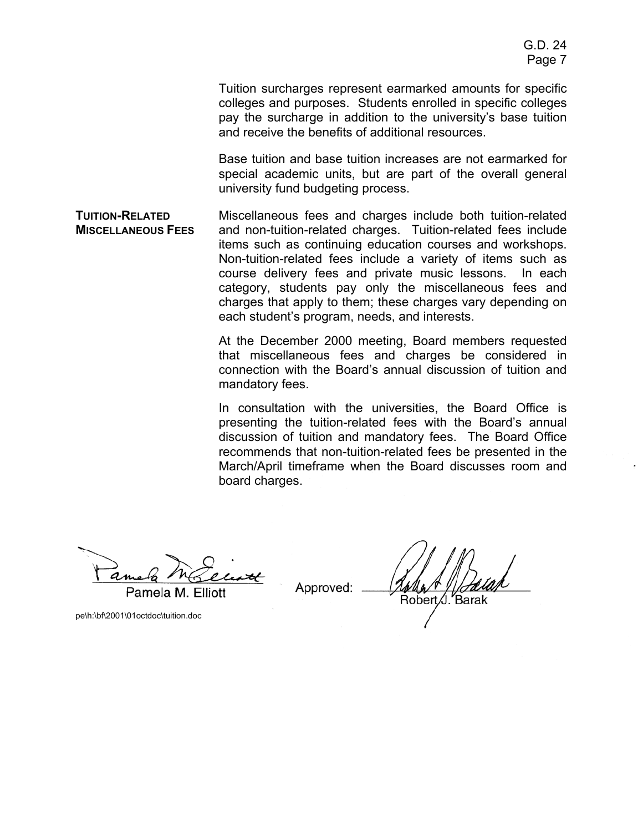Tuition surcharges represent earmarked amounts for specific colleges and purposes. Students enrolled in specific colleges pay the surcharge in addition to the university's base tuition and receive the benefits of additional resources.

Base tuition and base tuition increases are not earmarked for special academic units, but are part of the overall general university fund budgeting process.

**TUITION-RELATED MISCELLANEOUS FEES** Miscellaneous fees and charges include both tuition-related and non-tuition-related charges. Tuition-related fees include items such as continuing education courses and workshops. Non-tuition-related fees include a variety of items such as course delivery fees and private music lessons. In each category, students pay only the miscellaneous fees and charges that apply to them; these charges vary depending on each student's program, needs, and interests.

> At the December 2000 meeting, Board members requested that miscellaneous fees and charges be considered in connection with the Board's annual discussion of tuition and mandatory fees.

> In consultation with the universities, the Board Office is presenting the tuition-related fees with the Board's annual discussion of tuition and mandatory fees. The Board Office recommends that non-tuition-related fees be presented in the March/April timeframe when the Board discusses room and board charges.

Pamela M. Elliott

Approved:

Řobert ∕J. Barak

pe\h:\bf\2001\01octdoc\tuition.doc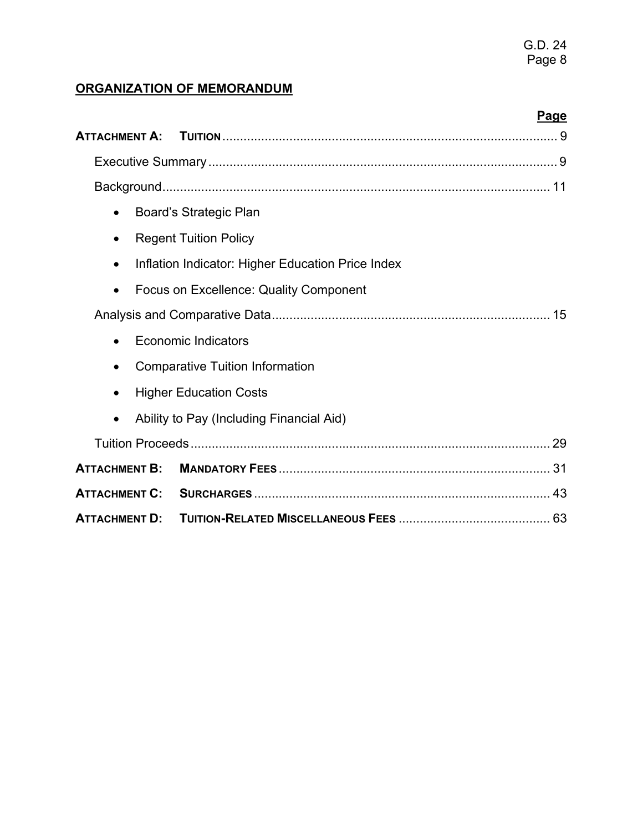# **ORGANIZATION OF MEMORANDUM**

|                      | Page                                              |
|----------------------|---------------------------------------------------|
| <b>ATTACHMENT A:</b> |                                                   |
|                      |                                                   |
|                      |                                                   |
| $\bullet$            | Board's Strategic Plan                            |
| $\bullet$            | <b>Regent Tuition Policy</b>                      |
|                      | Inflation Indicator: Higher Education Price Index |
| $\bullet$            | Focus on Excellence: Quality Component            |
|                      |                                                   |
| $\bullet$            | Economic Indicators                               |
| $\bullet$            | <b>Comparative Tuition Information</b>            |
| $\bullet$            | <b>Higher Education Costs</b>                     |
|                      | Ability to Pay (Including Financial Aid)          |
|                      |                                                   |
| <b>ATTACHMENT B:</b> |                                                   |
| <b>ATTACHMENT C:</b> |                                                   |
| <b>ATTACHMENT D:</b> |                                                   |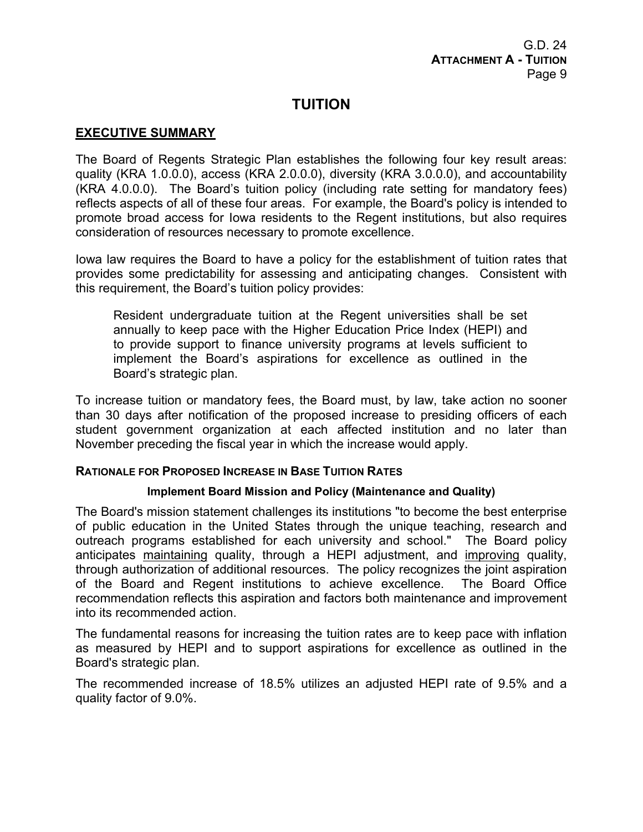# **TUITION**

## **EXECUTIVE SUMMARY**

The Board of Regents Strategic Plan establishes the following four key result areas: quality (KRA 1.0.0.0), access (KRA 2.0.0.0), diversity (KRA 3.0.0.0), and accountability (KRA 4.0.0.0). The Board's tuition policy (including rate setting for mandatory fees) reflects aspects of all of these four areas. For example, the Board's policy is intended to promote broad access for Iowa residents to the Regent institutions, but also requires consideration of resources necessary to promote excellence.

Iowa law requires the Board to have a policy for the establishment of tuition rates that provides some predictability for assessing and anticipating changes. Consistent with this requirement, the Board's tuition policy provides:

Resident undergraduate tuition at the Regent universities shall be set annually to keep pace with the Higher Education Price Index (HEPI) and to provide support to finance university programs at levels sufficient to implement the Board's aspirations for excellence as outlined in the Board's strategic plan.

To increase tuition or mandatory fees, the Board must, by law, take action no sooner than 30 days after notification of the proposed increase to presiding officers of each student government organization at each affected institution and no later than November preceding the fiscal year in which the increase would apply.

## **RATIONALE FOR PROPOSED INCREASE IN BASE TUITION RATES**

## **Implement Board Mission and Policy (Maintenance and Quality)**

The Board's mission statement challenges its institutions "to become the best enterprise of public education in the United States through the unique teaching, research and outreach programs established for each university and school." The Board policy anticipates maintaining quality, through a HEPI adjustment, and improving quality, through authorization of additional resources. The policy recognizes the joint aspiration of the Board and Regent institutions to achieve excellence. The Board Office recommendation reflects this aspiration and factors both maintenance and improvement into its recommended action.

The fundamental reasons for increasing the tuition rates are to keep pace with inflation as measured by HEPI and to support aspirations for excellence as outlined in the Board's strategic plan.

The recommended increase of 18.5% utilizes an adjusted HEPI rate of 9.5% and a quality factor of 9.0%.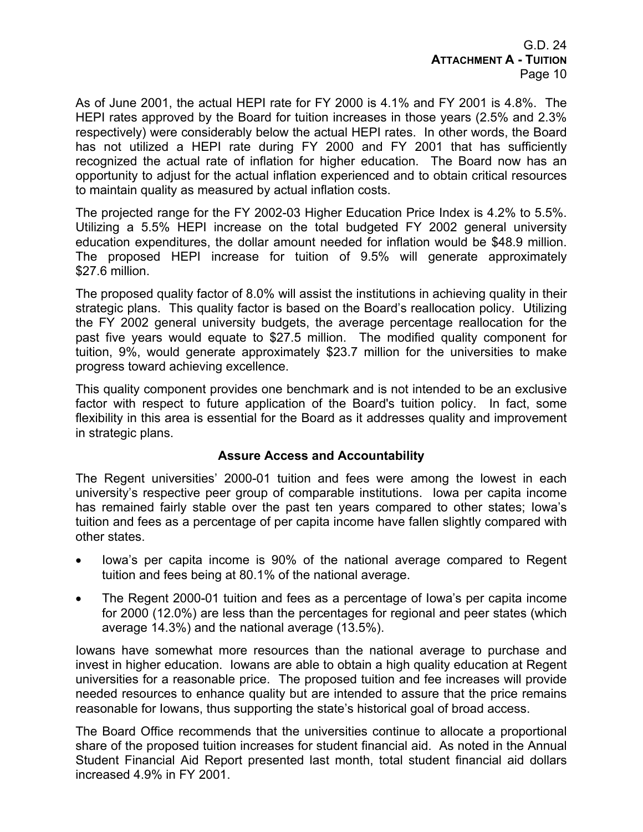G.D. 24 **ATTACHMENT A - TUITION** Page 10

As of June 2001, the actual HEPI rate for FY 2000 is 4.1% and FY 2001 is 4.8%. The HEPI rates approved by the Board for tuition increases in those years (2.5% and 2.3% respectively) were considerably below the actual HEPI rates. In other words, the Board has not utilized a HEPI rate during FY 2000 and FY 2001 that has sufficiently recognized the actual rate of inflation for higher education. The Board now has an opportunity to adjust for the actual inflation experienced and to obtain critical resources to maintain quality as measured by actual inflation costs.

The projected range for the FY 2002-03 Higher Education Price Index is 4.2% to 5.5%. Utilizing a 5.5% HEPI increase on the total budgeted FY 2002 general university education expenditures, the dollar amount needed for inflation would be \$48.9 million. The proposed HEPI increase for tuition of 9.5% will generate approximately \$27.6 million.

The proposed quality factor of 8.0% will assist the institutions in achieving quality in their strategic plans. This quality factor is based on the Board's reallocation policy. Utilizing the FY 2002 general university budgets, the average percentage reallocation for the past five years would equate to \$27.5 million. The modified quality component for tuition, 9%, would generate approximately \$23.7 million for the universities to make progress toward achieving excellence.

This quality component provides one benchmark and is not intended to be an exclusive factor with respect to future application of the Board's tuition policy. In fact, some flexibility in this area is essential for the Board as it addresses quality and improvement in strategic plans.

## **Assure Access and Accountability**

The Regent universities' 2000-01 tuition and fees were among the lowest in each university's respective peer group of comparable institutions. Iowa per capita income has remained fairly stable over the past ten years compared to other states; Iowa's tuition and fees as a percentage of per capita income have fallen slightly compared with other states.

- Iowa's per capita income is 90% of the national average compared to Regent tuition and fees being at 80.1% of the national average.
- The Regent 2000-01 tuition and fees as a percentage of Iowa's per capita income for 2000 (12.0%) are less than the percentages for regional and peer states (which average 14.3%) and the national average (13.5%).

Iowans have somewhat more resources than the national average to purchase and invest in higher education. Iowans are able to obtain a high quality education at Regent universities for a reasonable price. The proposed tuition and fee increases will provide needed resources to enhance quality but are intended to assure that the price remains reasonable for Iowans, thus supporting the state's historical goal of broad access.

The Board Office recommends that the universities continue to allocate a proportional share of the proposed tuition increases for student financial aid. As noted in the Annual Student Financial Aid Report presented last month, total student financial aid dollars increased 4.9% in FY 2001.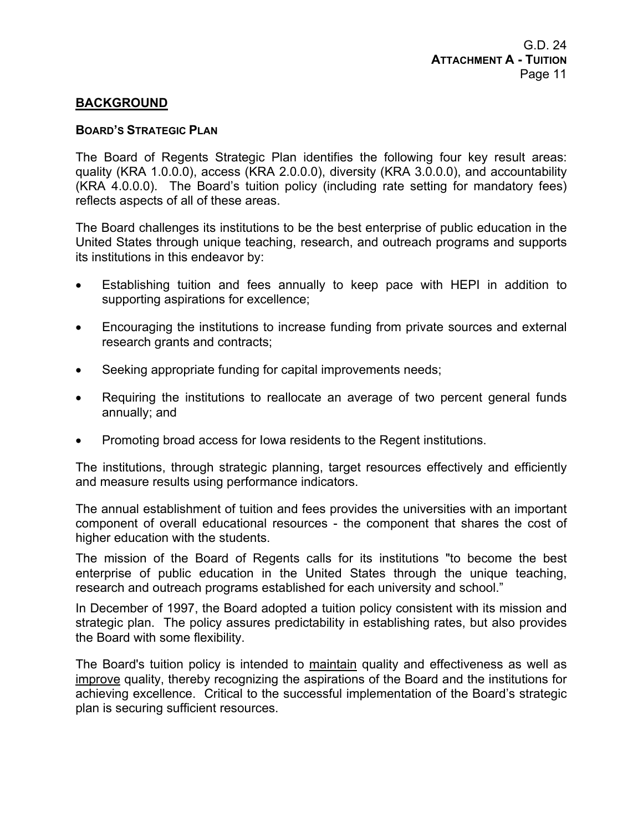## **BACKGROUND**

#### **BOARD'S STRATEGIC PLAN**

The Board of Regents Strategic Plan identifies the following four key result areas: quality (KRA 1.0.0.0), access (KRA 2.0.0.0), diversity (KRA 3.0.0.0), and accountability (KRA 4.0.0.0). The Board's tuition policy (including rate setting for mandatory fees) reflects aspects of all of these areas.

The Board challenges its institutions to be the best enterprise of public education in the United States through unique teaching, research, and outreach programs and supports its institutions in this endeavor by:

- Establishing tuition and fees annually to keep pace with HEPI in addition to supporting aspirations for excellence;
- Encouraging the institutions to increase funding from private sources and external research grants and contracts;
- Seeking appropriate funding for capital improvements needs;
- Requiring the institutions to reallocate an average of two percent general funds annually; and
- Promoting broad access for Iowa residents to the Regent institutions.

The institutions, through strategic planning, target resources effectively and efficiently and measure results using performance indicators.

The annual establishment of tuition and fees provides the universities with an important component of overall educational resources - the component that shares the cost of higher education with the students.

The mission of the Board of Regents calls for its institutions "to become the best enterprise of public education in the United States through the unique teaching, research and outreach programs established for each university and school."

In December of 1997, the Board adopted a tuition policy consistent with its mission and strategic plan. The policy assures predictability in establishing rates, but also provides the Board with some flexibility.

The Board's tuition policy is intended to maintain quality and effectiveness as well as improve quality, thereby recognizing the aspirations of the Board and the institutions for achieving excellence. Critical to the successful implementation of the Board's strategic plan is securing sufficient resources.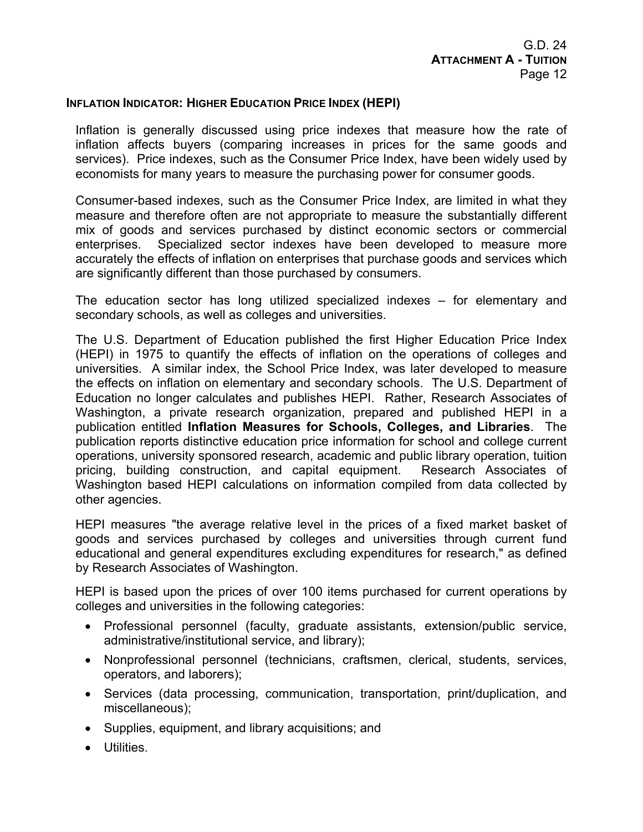#### **INFLATION INDICATOR: HIGHER EDUCATION PRICE INDEX (HEPI)**

Inflation is generally discussed using price indexes that measure how the rate of inflation affects buyers (comparing increases in prices for the same goods and services). Price indexes, such as the Consumer Price Index, have been widely used by economists for many years to measure the purchasing power for consumer goods.

Consumer-based indexes, such as the Consumer Price Index, are limited in what they measure and therefore often are not appropriate to measure the substantially different mix of goods and services purchased by distinct economic sectors or commercial enterprises. Specialized sector indexes have been developed to measure more accurately the effects of inflation on enterprises that purchase goods and services which are significantly different than those purchased by consumers.

The education sector has long utilized specialized indexes – for elementary and secondary schools, as well as colleges and universities.

The U.S. Department of Education published the first Higher Education Price Index (HEPI) in 1975 to quantify the effects of inflation on the operations of colleges and universities. A similar index, the School Price Index, was later developed to measure the effects on inflation on elementary and secondary schools. The U.S. Department of Education no longer calculates and publishes HEPI. Rather, Research Associates of Washington, a private research organization, prepared and published HEPI in a publication entitled **Inflation Measures for Schools, Colleges, and Libraries**. The publication reports distinctive education price information for school and college current operations, university sponsored research, academic and public library operation, tuition pricing, building construction, and capital equipment. Research Associates of Washington based HEPI calculations on information compiled from data collected by other agencies.

HEPI measures "the average relative level in the prices of a fixed market basket of goods and services purchased by colleges and universities through current fund educational and general expenditures excluding expenditures for research," as defined by Research Associates of Washington.

HEPI is based upon the prices of over 100 items purchased for current operations by colleges and universities in the following categories:

- Professional personnel (faculty, graduate assistants, extension/public service, administrative/institutional service, and library);
- Nonprofessional personnel (technicians, craftsmen, clerical, students, services, operators, and laborers);
- Services (data processing, communication, transportation, print/duplication, and miscellaneous);
- Supplies, equipment, and library acquisitions; and
- Utilities.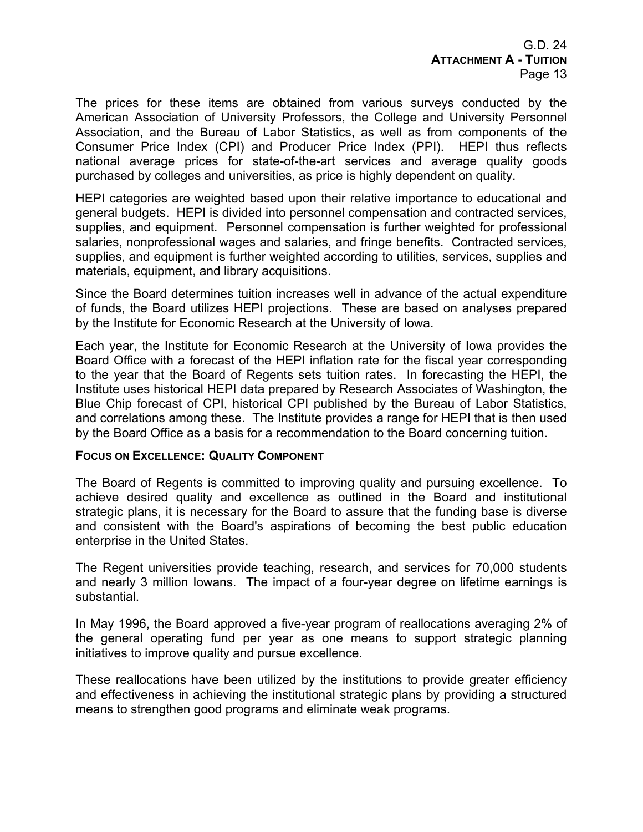G.D. 24 **ATTACHMENT A - TUITION** Page 13

The prices for these items are obtained from various surveys conducted by the American Association of University Professors, the College and University Personnel Association, and the Bureau of Labor Statistics, as well as from components of the Consumer Price Index (CPI) and Producer Price Index (PPI). HEPI thus reflects national average prices for state-of-the-art services and average quality goods purchased by colleges and universities, as price is highly dependent on quality.

HEPI categories are weighted based upon their relative importance to educational and general budgets. HEPI is divided into personnel compensation and contracted services, supplies, and equipment. Personnel compensation is further weighted for professional salaries, nonprofessional wages and salaries, and fringe benefits. Contracted services, supplies, and equipment is further weighted according to utilities, services, supplies and materials, equipment, and library acquisitions.

Since the Board determines tuition increases well in advance of the actual expenditure of funds, the Board utilizes HEPI projections. These are based on analyses prepared by the Institute for Economic Research at the University of Iowa.

Each year, the Institute for Economic Research at the University of Iowa provides the Board Office with a forecast of the HEPI inflation rate for the fiscal year corresponding to the year that the Board of Regents sets tuition rates. In forecasting the HEPI, the Institute uses historical HEPI data prepared by Research Associates of Washington, the Blue Chip forecast of CPI, historical CPI published by the Bureau of Labor Statistics, and correlations among these. The Institute provides a range for HEPI that is then used by the Board Office as a basis for a recommendation to the Board concerning tuition.

#### **FOCUS ON EXCELLENCE: QUALITY COMPONENT**

The Board of Regents is committed to improving quality and pursuing excellence. To achieve desired quality and excellence as outlined in the Board and institutional strategic plans, it is necessary for the Board to assure that the funding base is diverse and consistent with the Board's aspirations of becoming the best public education enterprise in the United States.

The Regent universities provide teaching, research, and services for 70,000 students and nearly 3 million Iowans. The impact of a four-year degree on lifetime earnings is substantial.

In May 1996, the Board approved a five-year program of reallocations averaging 2% of the general operating fund per year as one means to support strategic planning initiatives to improve quality and pursue excellence.

These reallocations have been utilized by the institutions to provide greater efficiency and effectiveness in achieving the institutional strategic plans by providing a structured means to strengthen good programs and eliminate weak programs.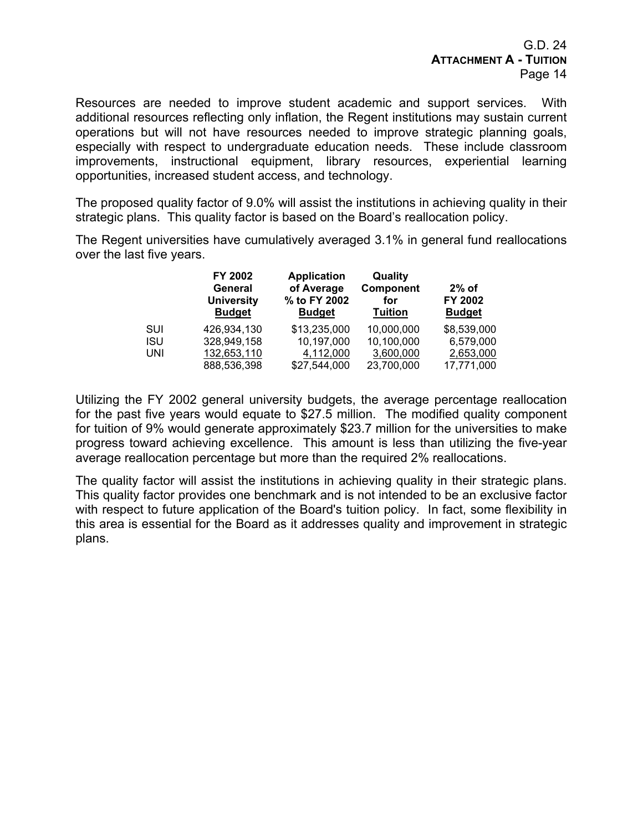Resources are needed to improve student academic and support services. With additional resources reflecting only inflation, the Regent institutions may sustain current operations but will not have resources needed to improve strategic planning goals, especially with respect to undergraduate education needs. These include classroom improvements, instructional equipment, library resources, experiential learning opportunities, increased student access, and technology.

The proposed quality factor of 9.0% will assist the institutions in achieving quality in their strategic plans. This quality factor is based on the Board's reallocation policy.

The Regent universities have cumulatively averaged 3.1% in general fund reallocations over the last five years.

|            | FY 2002<br>General<br><b>University</b><br><b>Budget</b> | <b>Application</b><br>of Average<br>% to FY 2002<br><b>Budget</b> | Quality<br>Component<br>for<br><b>Tuition</b> | $2\%$ of<br>FY 2002<br><b>Budget</b> |
|------------|----------------------------------------------------------|-------------------------------------------------------------------|-----------------------------------------------|--------------------------------------|
| SUI        | 426,934,130                                              | \$13,235,000                                                      | 10,000,000                                    | \$8,539,000                          |
| <b>ISU</b> | 328,949,158                                              | 10,197,000                                                        | 10,100,000                                    | 6,579,000                            |
| UNI        | 132,653,110                                              | 4,112,000                                                         | 3,600,000                                     | 2,653,000                            |
|            | 888,536,398                                              | \$27,544,000                                                      | 23,700,000                                    | 17,771,000                           |

Utilizing the FY 2002 general university budgets, the average percentage reallocation for the past five years would equate to \$27.5 million. The modified quality component for tuition of 9% would generate approximately \$23.7 million for the universities to make progress toward achieving excellence. This amount is less than utilizing the five-year average reallocation percentage but more than the required 2% reallocations.

The quality factor will assist the institutions in achieving quality in their strategic plans. This quality factor provides one benchmark and is not intended to be an exclusive factor with respect to future application of the Board's tuition policy. In fact, some flexibility in this area is essential for the Board as it addresses quality and improvement in strategic plans.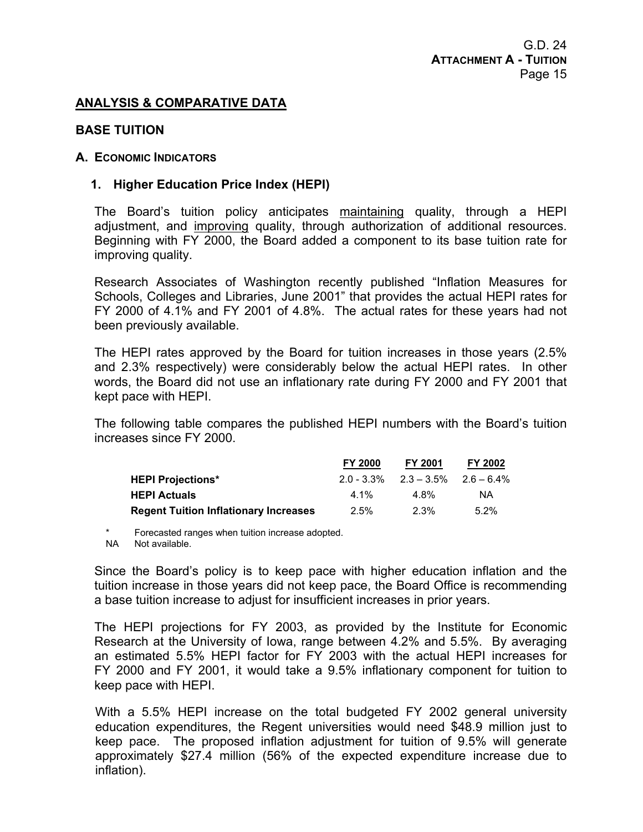## **ANALYSIS & COMPARATIVE DATA**

#### **BASE TUITION**

#### **A. ECONOMIC INDICATORS**

#### **1. Higher Education Price Index (HEPI)**

The Board's tuition policy anticipates maintaining quality, through a HEPI adjustment, and improving quality, through authorization of additional resources. Beginning with FY 2000, the Board added a component to its base tuition rate for improving quality.

Research Associates of Washington recently published "Inflation Measures for Schools, Colleges and Libraries, June 2001" that provides the actual HEPI rates for FY 2000 of 4.1% and FY 2001 of 4.8%. The actual rates for these years had not been previously available.

The HEPI rates approved by the Board for tuition increases in those years (2.5% and 2.3% respectively) were considerably below the actual HEPI rates. In other words, the Board did not use an inflationary rate during FY 2000 and FY 2001 that kept pace with HEPI.

The following table compares the published HEPI numbers with the Board's tuition increases since FY 2000.

|                                              | <b>FY 2000</b> | <b>FY 2001</b>                            | FY 2002 |
|----------------------------------------------|----------------|-------------------------------------------|---------|
| <b>HEPI Projections*</b>                     |                | $2.0 - 3.3\%$ $2.3 - 3.5\%$ $2.6 - 6.4\%$ |         |
| <b>HEPI Actuals</b>                          | 4 1%           | 4.8%                                      | ΝA      |
| <b>Regent Tuition Inflationary Increases</b> | 2.5%           | 2.3%                                      | $5.2\%$ |

Forecasted ranges when tuition increase adopted.

NA Not available.

Since the Board's policy is to keep pace with higher education inflation and the tuition increase in those years did not keep pace, the Board Office is recommending a base tuition increase to adjust for insufficient increases in prior years.

The HEPI projections for FY 2003, as provided by the Institute for Economic Research at the University of Iowa, range between 4.2% and 5.5%. By averaging an estimated 5.5% HEPI factor for FY 2003 with the actual HEPI increases for FY 2000 and FY 2001, it would take a 9.5% inflationary component for tuition to keep pace with HEPI.

With a 5.5% HEPI increase on the total budgeted FY 2002 general university education expenditures, the Regent universities would need \$48.9 million just to keep pace. The proposed inflation adjustment for tuition of 9.5% will generate approximately \$27.4 million (56% of the expected expenditure increase due to inflation).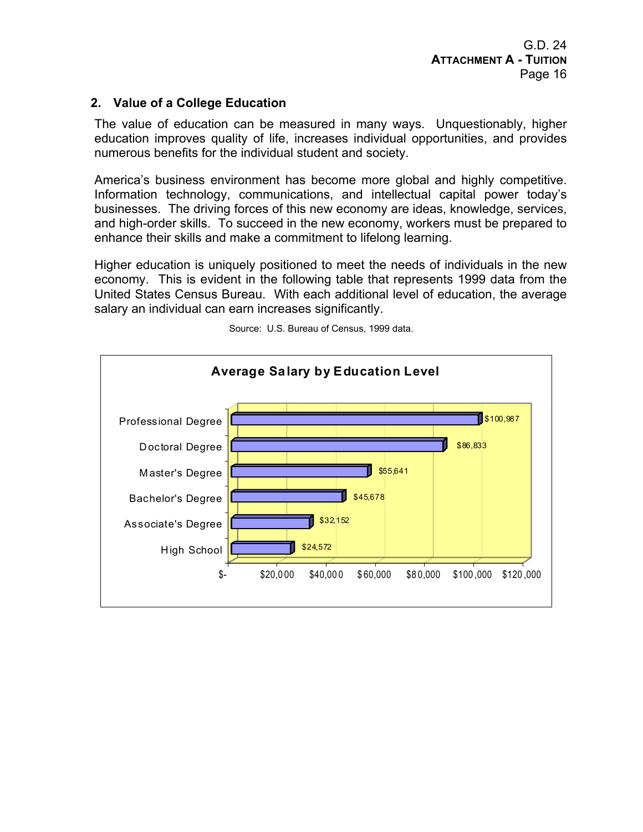## **2. Value of a College Education**

The value of education can be measured in many ways. Unquestionably, higher education improves quality of life, increases individual opportunities, and provides numerous benefits for the individual student and society.

America's business environment has become more global and highly competitive. Information technology, communications, and intellectual capital power today's businesses. The driving forces of this new economy are ideas, knowledge, services, and high-order skills. To succeed in the new economy, workers must be prepared to enhance their skills and make a commitment to lifelong learning.

Higher education is uniquely positioned to meet the needs of individuals in the new economy. This is evident in the following table that represents 1999 data from the United States Census Bureau. With each additional level of education, the average salary an individual can earn increases significantly.



Source: U.S. Bureau of Census, 1999 data.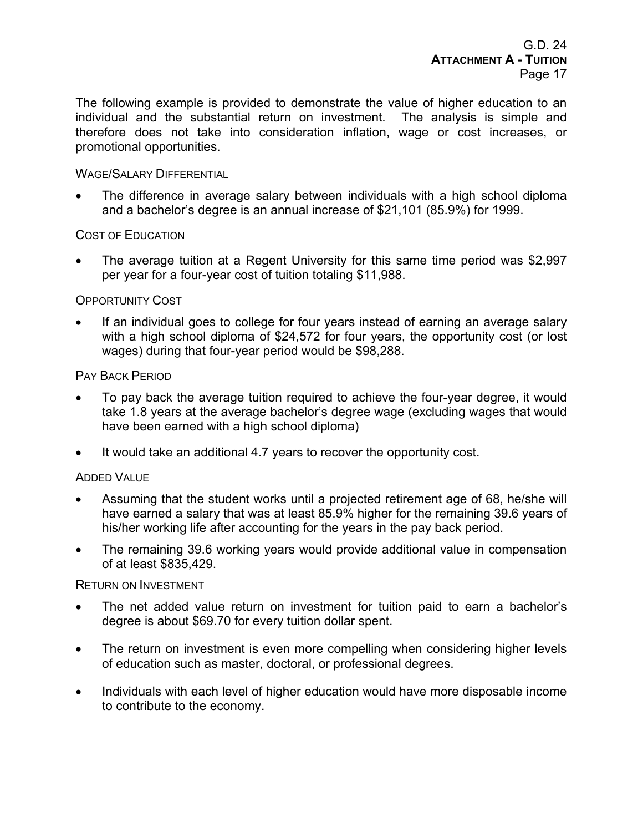The following example is provided to demonstrate the value of higher education to an individual and the substantial return on investment. The analysis is simple and therefore does not take into consideration inflation, wage or cost increases, or promotional opportunities.

## WAGE/SALARY DIFFERENTIAL

• The difference in average salary between individuals with a high school diploma and a bachelor's degree is an annual increase of \$21,101 (85.9%) for 1999.

## COST OF EDUCATION

• The average tuition at a Regent University for this same time period was \$2,997 per year for a four-year cost of tuition totaling \$11,988.

## OPPORTUNITY COST

If an individual goes to college for four years instead of earning an average salary with a high school diploma of \$24,572 for four years, the opportunity cost (or lost wages) during that four-year period would be \$98,288.

## PAY BACK PERIOD

- To pay back the average tuition required to achieve the four-year degree, it would take 1.8 years at the average bachelor's degree wage (excluding wages that would have been earned with a high school diploma)
- It would take an additional 4.7 years to recover the opportunity cost.

## ADDED VALUE

- Assuming that the student works until a projected retirement age of 68, he/she will have earned a salary that was at least 85.9% higher for the remaining 39.6 years of his/her working life after accounting for the years in the pay back period.
- The remaining 39.6 working years would provide additional value in compensation of at least \$835,429.

#### RETURN ON INVESTMENT

- The net added value return on investment for tuition paid to earn a bachelor's degree is about \$69.70 for every tuition dollar spent.
- The return on investment is even more compelling when considering higher levels of education such as master, doctoral, or professional degrees.
- Individuals with each level of higher education would have more disposable income to contribute to the economy.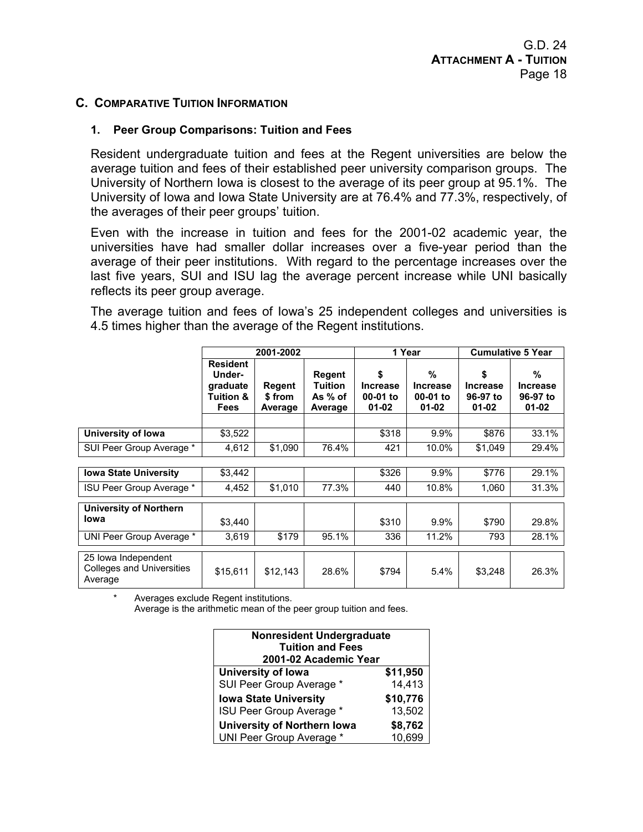## **C. COMPARATIVE TUITION INFORMATION**

## **1. Peer Group Comparisons: Tuition and Fees**

Resident undergraduate tuition and fees at the Regent universities are below the average tuition and fees of their established peer university comparison groups. The University of Northern Iowa is closest to the average of its peer group at 95.1%. The University of Iowa and Iowa State University are at 76.4% and 77.3%, respectively, of the averages of their peer groups' tuition.

Even with the increase in tuition and fees for the 2001-02 academic year, the universities have had smaller dollar increases over a five-year period than the average of their peer institutions. With regard to the percentage increases over the last five years, SUI and ISU lag the average percent increase while UNI basically reflects its peer group average.

The average tuition and fees of Iowa's 25 independent colleges and universities is 4.5 times higher than the average of the Regent institutions.

|                                                                    |                                                                              | 2001-2002                          |                                                |                                                | 1 Year                                             | <b>Cumulative 5 Year</b>                       |                                               |
|--------------------------------------------------------------------|------------------------------------------------------------------------------|------------------------------------|------------------------------------------------|------------------------------------------------|----------------------------------------------------|------------------------------------------------|-----------------------------------------------|
|                                                                    | <b>Resident</b><br>Under-<br>graduate<br><b>Tuition &amp;</b><br><b>Fees</b> | <b>Regent</b><br>\$from<br>Average | Regent<br><b>Tuition</b><br>As % of<br>Average | \$<br><b>Increase</b><br>00-01 to<br>$01 - 02$ | $\frac{9}{6}$<br>Increase<br>00-01 to<br>$01 - 02$ | \$<br><b>Increase</b><br>96-97 to<br>$01 - 02$ | %<br><b>Increase</b><br>96-97 to<br>$01 - 02$ |
|                                                                    |                                                                              |                                    |                                                |                                                |                                                    |                                                |                                               |
| University of Iowa                                                 | \$3,522                                                                      |                                    |                                                | \$318                                          | 9.9%                                               | \$876                                          | 33.1%                                         |
| SUI Peer Group Average *                                           | 4,612                                                                        | \$1,090                            | 76.4%                                          | 421                                            | 10.0%                                              | \$1,049                                        | 29.4%                                         |
|                                                                    |                                                                              |                                    |                                                |                                                |                                                    |                                                |                                               |
| <b>Iowa State University</b>                                       | \$3,442                                                                      |                                    |                                                | \$326                                          | 9.9%                                               | \$776                                          | 29.1%                                         |
| ISU Peer Group Average *                                           | 4,452                                                                        | \$1,010                            | 77.3%                                          | 440                                            | 10.8%                                              | 1,060                                          | 31.3%                                         |
| <b>University of Northern</b>                                      |                                                                              |                                    |                                                |                                                |                                                    |                                                |                                               |
| Iowa                                                               | \$3.440                                                                      |                                    |                                                | \$310                                          | 9.9%                                               | \$790                                          | 29.8%                                         |
| UNI Peer Group Average *                                           | 3,619                                                                        | \$179                              | 95.1%                                          | 336                                            | 11.2%                                              | 793                                            | 28.1%                                         |
| 25 Iowa Independent<br><b>Colleges and Universities</b><br>Average | \$15,611                                                                     | \$12,143                           | 28.6%                                          | \$794                                          | 5.4%                                               | \$3,248                                        | 26.3%                                         |

Averages exclude Regent institutions.

Average is the arithmetic mean of the peer group tuition and fees.

| <b>Nonresident Undergraduate</b><br><b>Tuition and Fees</b><br>2001-02 Academic Year |                    |  |  |  |
|--------------------------------------------------------------------------------------|--------------------|--|--|--|
| University of Iowa<br>SUI Peer Group Average *                                       | \$11,950<br>14,413 |  |  |  |
| \$10,776<br><b>Iowa State University</b>                                             |                    |  |  |  |
| ISU Peer Group Average *<br><b>University of Northern Iowa</b>                       | 13,502<br>\$8,762  |  |  |  |
| UNI Peer Group Average *                                                             | 10,699             |  |  |  |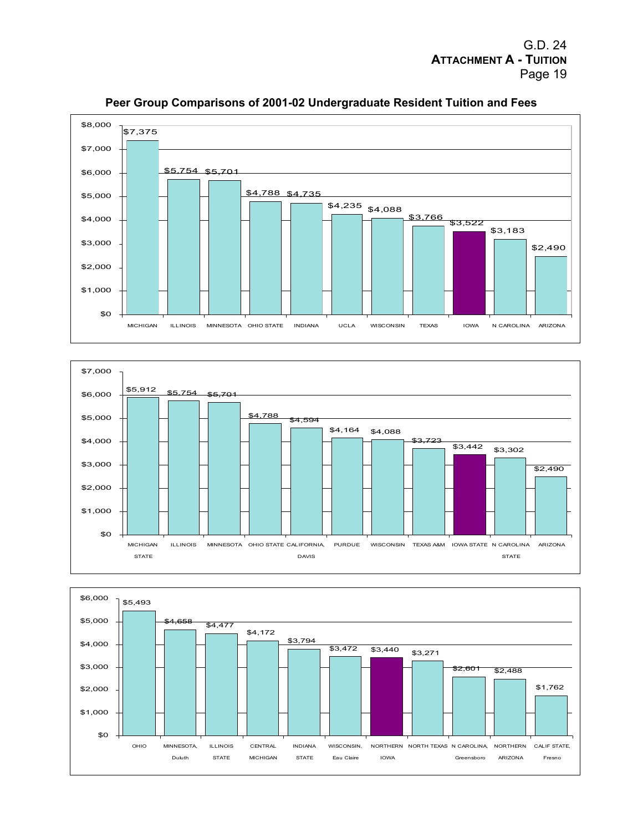





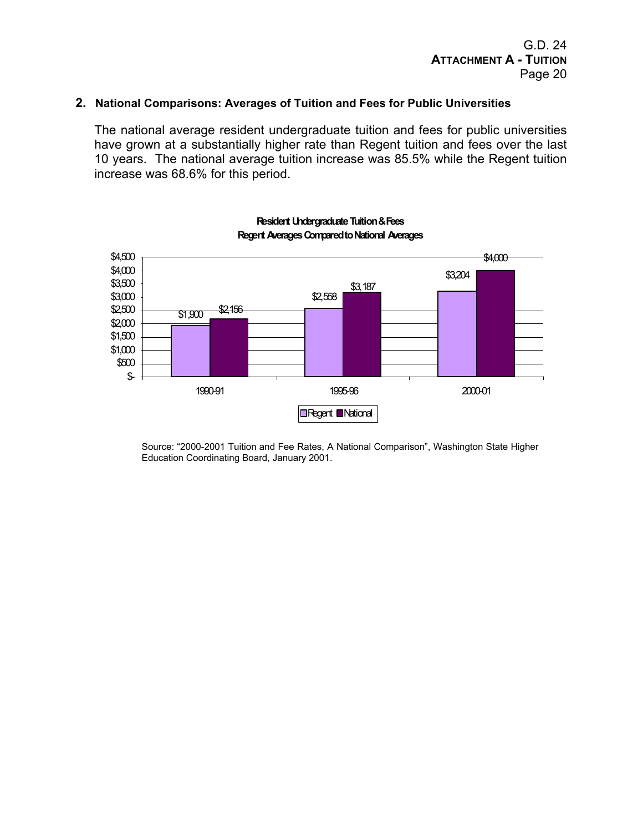#### **2. National Comparisons: Averages of Tuition and Fees for Public Universities**

The national average resident undergraduate tuition and fees for public universities have grown at a substantially higher rate than Regent tuition and fees over the last 10 years. The national average tuition increase was 85.5% while the Regent tuition increase was 68.6% for this period.



**Resident Undergraduate Tuition & Fees Regent Averages Compared to National Averages**

Source: "2000-2001 Tuition and Fee Rates, A National Comparison", Washington State Higher Education Coordinating Board, January 2001.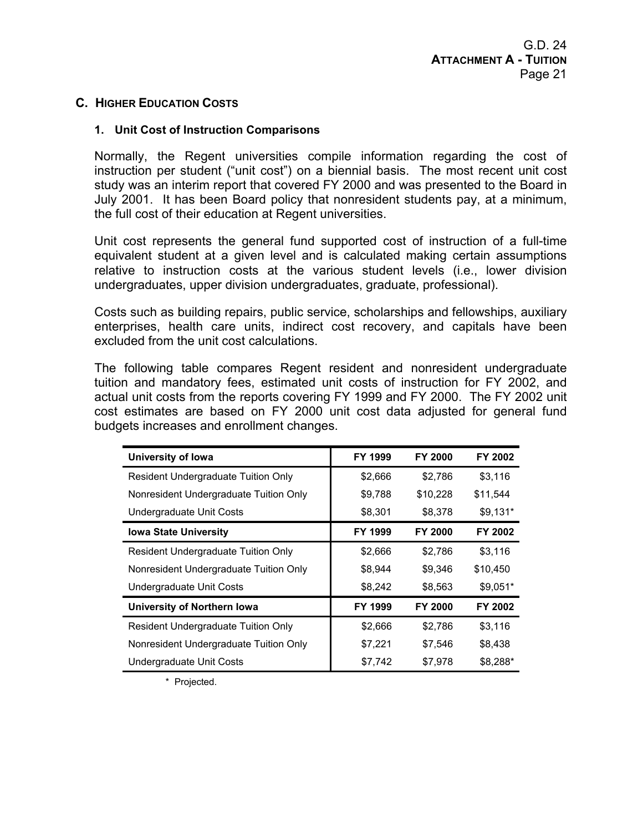## **C. HIGHER EDUCATION COSTS**

#### **1. Unit Cost of Instruction Comparisons**

Normally, the Regent universities compile information regarding the cost of instruction per student ("unit cost") on a biennial basis. The most recent unit cost study was an interim report that covered FY 2000 and was presented to the Board in July 2001. It has been Board policy that nonresident students pay, at a minimum, the full cost of their education at Regent universities.

Unit cost represents the general fund supported cost of instruction of a full-time equivalent student at a given level and is calculated making certain assumptions relative to instruction costs at the various student levels (i.e., lower division undergraduates, upper division undergraduates, graduate, professional).

Costs such as building repairs, public service, scholarships and fellowships, auxiliary enterprises, health care units, indirect cost recovery, and capitals have been excluded from the unit cost calculations.

The following table compares Regent resident and nonresident undergraduate tuition and mandatory fees, estimated unit costs of instruction for FY 2002, and actual unit costs from the reports covering FY 1999 and FY 2000. The FY 2002 unit cost estimates are based on FY 2000 unit cost data adjusted for general fund budgets increases and enrollment changes.

| University of Iowa                         | <b>FY 1999</b> | <b>FY 2000</b> | FY 2002   |
|--------------------------------------------|----------------|----------------|-----------|
| <b>Resident Undergraduate Tuition Only</b> | \$2,666        | \$2,786        | \$3,116   |
| Nonresident Undergraduate Tuition Only     | \$9,788        | \$10,228       | \$11.544  |
| Undergraduate Unit Costs                   | \$8,301        | \$8,378        | $$9,131*$ |
| <b>Iowa State University</b>               | <b>FY 1999</b> | <b>FY 2000</b> | FY 2002   |
| Resident Undergraduate Tuition Only        | \$2,666        | \$2,786        | \$3,116   |
| Nonresident Undergraduate Tuition Only     | \$8,944        | \$9.346        | \$10,450  |
| Undergraduate Unit Costs                   | \$8,242        | \$8,563        | $$9,051*$ |
| University of Northern Iowa                | <b>FY 1999</b> | <b>FY 2000</b> | FY 2002   |
| <b>Resident Undergraduate Tuition Only</b> | \$2,666        | \$2,786        | \$3,116   |
| Nonresident Undergraduate Tuition Only     | \$7,221        | \$7,546        | \$8,438   |
| Undergraduate Unit Costs                   | \$7,742        | \$7,978        | \$8,288*  |

\* Projected.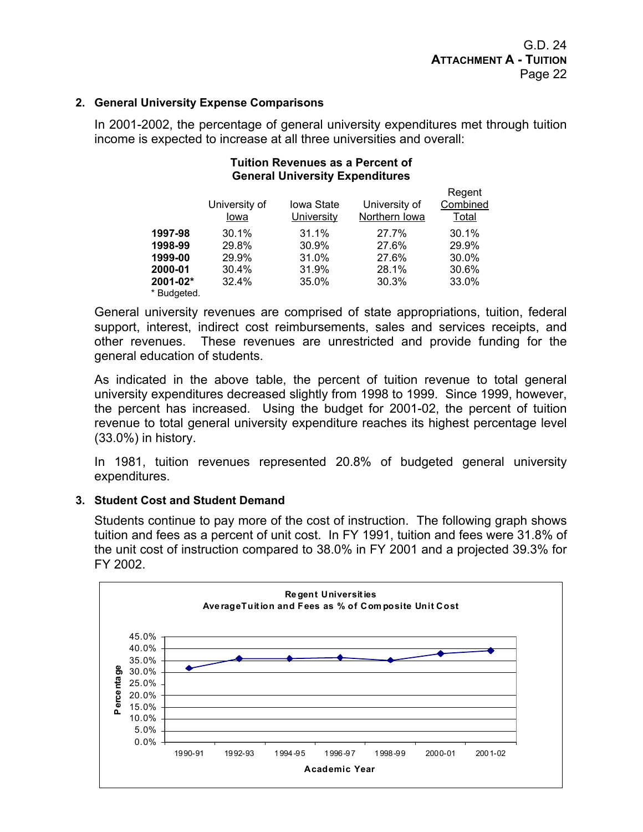#### **2. General University Expense Comparisons**

In 2001-2002, the percentage of general university expenditures met through tuition income is expected to increase at all three universities and overall:

#### **Tuition Revenues as a Percent of General University Expenditures**

|              | University of<br>Iowa | <b>Iowa State</b><br>University | University of<br>Northern Iowa | Regent<br>Combined<br>Total |
|--------------|-----------------------|---------------------------------|--------------------------------|-----------------------------|
| 1997-98      | 30.1%                 | 31.1%                           | 27.7%                          | 30.1%                       |
| 1998-99      | 29.8%                 | 30.9%                           | 27.6%                          | 29.9%                       |
| 1999-00      | 29.9%                 | 31.0%                           | 27.6%                          | 30.0%                       |
| 2000-01      | 30.4%                 | 31.9%                           | 28.1%                          | 30.6%                       |
| $2001 - 02*$ | 32.4%                 | 35.0%                           | 30.3%                          | 33.0%                       |
| * Budgeted.  |                       |                                 |                                |                             |

General university revenues are comprised of state appropriations, tuition, federal support, interest, indirect cost reimbursements, sales and services receipts, and other revenues. These revenues are unrestricted and provide funding for the general education of students.

As indicated in the above table, the percent of tuition revenue to total general university expenditures decreased slightly from 1998 to 1999. Since 1999, however, the percent has increased. Using the budget for 2001-02, the percent of tuition revenue to total general university expenditure reaches its highest percentage level (33.0%) in history.

In 1981, tuition revenues represented 20.8% of budgeted general university expenditures.

#### **3. Student Cost and Student Demand**

Students continue to pay more of the cost of instruction. The following graph shows tuition and fees as a percent of unit cost. In FY 1991, tuition and fees were 31.8% of the unit cost of instruction compared to 38.0% in FY 2001 and a projected 39.3% for FY 2002.

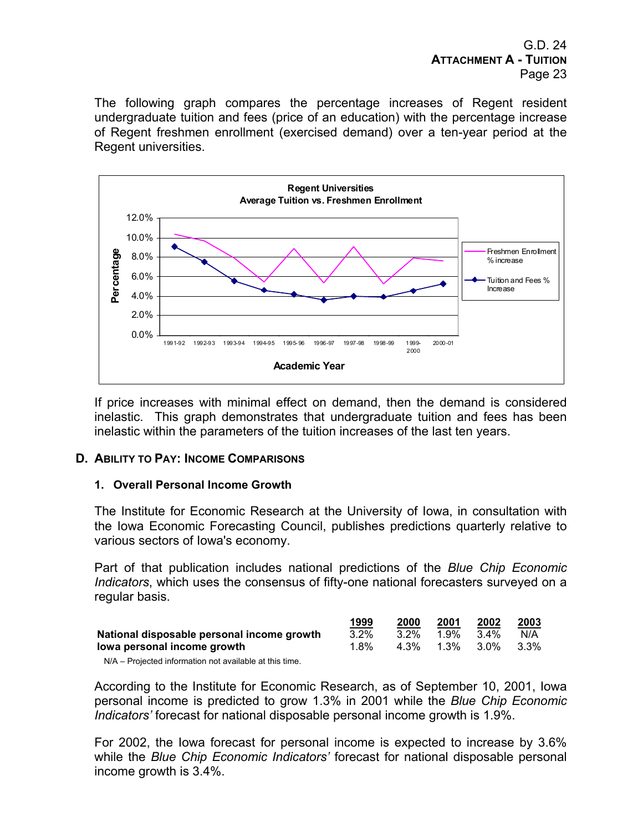The following graph compares the percentage increases of Regent resident undergraduate tuition and fees (price of an education) with the percentage increase of Regent freshmen enrollment (exercised demand) over a ten-year period at the Regent universities.



If price increases with minimal effect on demand, then the demand is considered inelastic. This graph demonstrates that undergraduate tuition and fees has been inelastic within the parameters of the tuition increases of the last ten years.

## **D. ABILITY TO PAY: INCOME COMPARISONS**

#### **1. Overall Personal Income Growth**

The Institute for Economic Research at the University of Iowa, in consultation with the Iowa Economic Forecasting Council, publishes predictions quarterly relative to various sectors of Iowa's economy.

Part of that publication includes national predictions of the *Blue Chip Economic Indicators*, which uses the consensus of fifty-one national forecasters surveyed on a regular basis.

|                                            | 1999    | 2000    | 2001      | 2002            | 2003 |
|--------------------------------------------|---------|---------|-----------|-----------------|------|
| National disposable personal income growth | $3.2\%$ | $3.2\%$ | 1.9%      | $3.4\%$         | N/A  |
| lowa personal income growth                | 1.8%    |         | 4.3% 1.3% | $3.0\%$ $3.3\%$ |      |

N/A – Projected information not available at this time.

According to the Institute for Economic Research, as of September 10, 2001, Iowa personal income is predicted to grow 1.3% in 2001 while the *Blue Chip Economic Indicators'* forecast for national disposable personal income growth is 1.9%.

For 2002, the Iowa forecast for personal income is expected to increase by 3.6% while the *Blue Chip Economic Indicators'* forecast for national disposable personal income growth is 3.4%.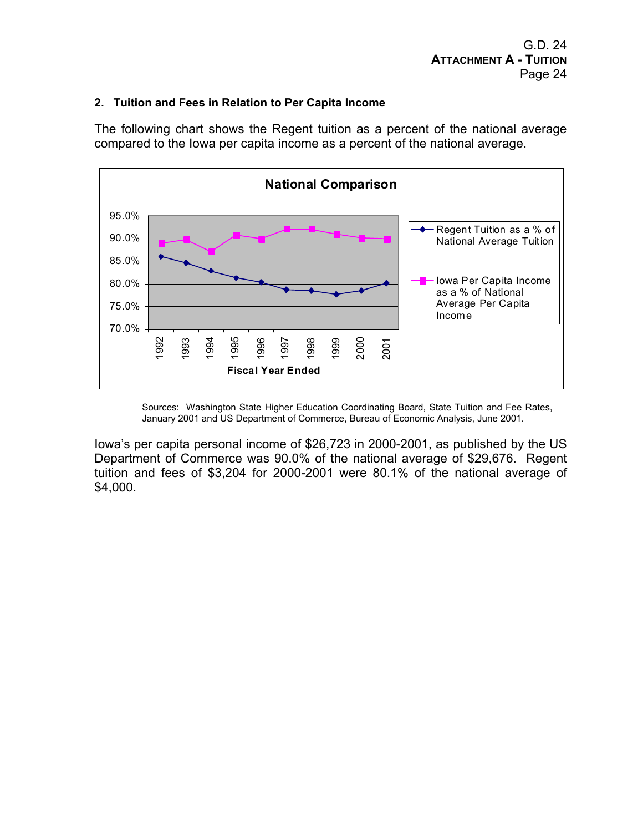#### **2. Tuition and Fees in Relation to Per Capita Income**

The following chart shows the Regent tuition as a percent of the national average compared to the Iowa per capita income as a percent of the national average.



Sources: Washington State Higher Education Coordinating Board, State Tuition and Fee Rates, January 2001 and US Department of Commerce, Bureau of Economic Analysis, June 2001.

Iowa's per capita personal income of \$26,723 in 2000-2001, as published by the US Department of Commerce was 90.0% of the national average of \$29,676. Regent tuition and fees of \$3,204 for 2000-2001 were 80.1% of the national average of \$4,000.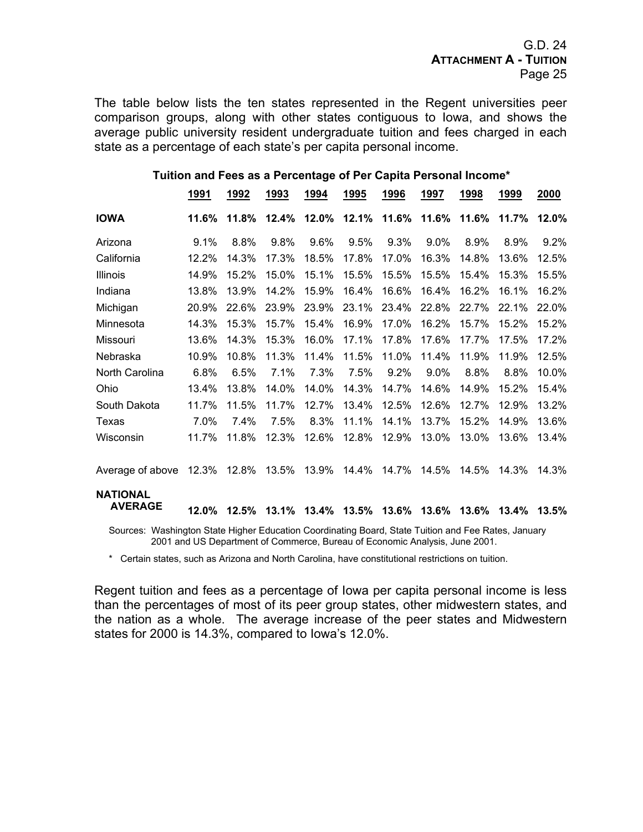The table below lists the ten states represented in the Regent universities peer comparison groups, along with other states contiguous to Iowa, and shows the average public university resident undergraduate tuition and fees charged in each state as a percentage of each state's per capita personal income.

#### **Tuition and Fees as a Percentage of Per Capita Personal Income\***

| <u>1991</u> | <u>1992</u> | <u>1993</u> | <u>1994</u> | <u> 1995</u>                                            | <u>1996</u> | <u>1997</u> | <u>1998</u> | <u>1999</u> | 2000                                                                                                         |
|-------------|-------------|-------------|-------------|---------------------------------------------------------|-------------|-------------|-------------|-------------|--------------------------------------------------------------------------------------------------------------|
| 11.6%       | 11.8%       | 12.4%       | 12.0%       | 12.1%                                                   |             | 11.6%       | 11.6%       | 11.7%       | 12.0%                                                                                                        |
| 9.1%        | 8.8%        | 9.8%        | 9.6%        | 9.5%                                                    | 9.3%        | 9.0%        | 8.9%        | 8.9%        | 9.2%                                                                                                         |
| 12.2%       | 14.3%       | 17.3%       | 18.5%       | 17.8%                                                   | 17.0%       | 16.3%       | 14.8%       | 13.6%       | 12.5%                                                                                                        |
| 14.9%       | 15.2%       | 15.0%       | 15.1%       | 15.5%                                                   | 15.5%       | 15.5%       | 15.4%       | 15.3%       | 15.5%                                                                                                        |
| 13.8%       | 13.9%       | 14.2%       | 15.9%       | 16.4%                                                   | 16.6%       | 16.4%       | 16.2%       | 16.1%       | 16.2%                                                                                                        |
| 20.9%       | 22.6%       | 23.9%       | 23.9%       | 23.1%                                                   | 23.4%       | 22.8%       | 22.7%       | 22.1%       | 22.0%                                                                                                        |
| 14.3%       | 15.3%       | 15.7%       | 15.4%       | 16.9%                                                   | 17.0%       | 16.2%       | 15.7%       | 15.2%       | 15.2%                                                                                                        |
| 13.6%       | 14.3%       | 15.3%       | 16.0%       | 17.1%                                                   | 17.8%       | 17.6%       | 17.7%       | 17.5%       | 17.2%                                                                                                        |
| 10.9%       | 10.8%       | 11.3%       | 11.4%       | 11.5%                                                   | 11.0%       | 11.4%       | 11.9%       | 11.9%       | 12.5%                                                                                                        |
| 6.8%        | 6.5%        | 7.1%        | 7.3%        | 7.5%                                                    | 9.2%        | $9.0\%$     | 8.8%        | 8.8%        | 10.0%                                                                                                        |
| 13.4%       | 13.8%       | 14.0%       | 14.0%       | 14.3%                                                   | 14.7%       | 14.6%       | 14.9%       | 15.2%       | 15.4%                                                                                                        |
| 11.7%       | 11.5%       | 11.7%       | 12.7%       | 13.4%                                                   | 12.5%       | 12.6%       | 12.7%       | 12.9%       | 13.2%                                                                                                        |
| 7.0%        | 7.4%        | 7.5%        | 8.3%        | 11.1%                                                   | 14.1%       | 13.7%       | 15.2%       | 14.9%       | 13.6%                                                                                                        |
| 11.7%       | 11.8%       | 12.3%       | 12.6%       | 12.8%                                                   | 12.9%       | 13.0%       | 13.0%       | 13.6%       | 13.4%                                                                                                        |
|             |             |             |             | 14.4%                                                   | 14.7%       | 14.5%       | 14.5%       | 14.3%       | 14.3%                                                                                                        |
| $12.0\%$    |             |             |             |                                                         | 13.6%       | 13.6%       | 13.6%       |             | 13.5%                                                                                                        |
|             |             |             | 12.5%       | Average of above 12.3% 12.8% 13.5% 13.9%<br>13.1% 13.4% |             | 13.5%       | 11.6%       |             | 13.4%<br>Courses: Washington State Higher Education Coordinating Poerd, State Tuitien and Eas Pates, Jonuary |

Sources: Washington State Higher Education Coordinating Board, State Tuition and Fee Rates, January 2001 and US Department of Commerce, Bureau of Economic Analysis, June 2001.

\* Certain states, such as Arizona and North Carolina, have constitutional restrictions on tuition.

Regent tuition and fees as a percentage of Iowa per capita personal income is less than the percentages of most of its peer group states, other midwestern states, and the nation as a whole. The average increase of the peer states and Midwestern states for 2000 is 14.3%, compared to Iowa's 12.0%.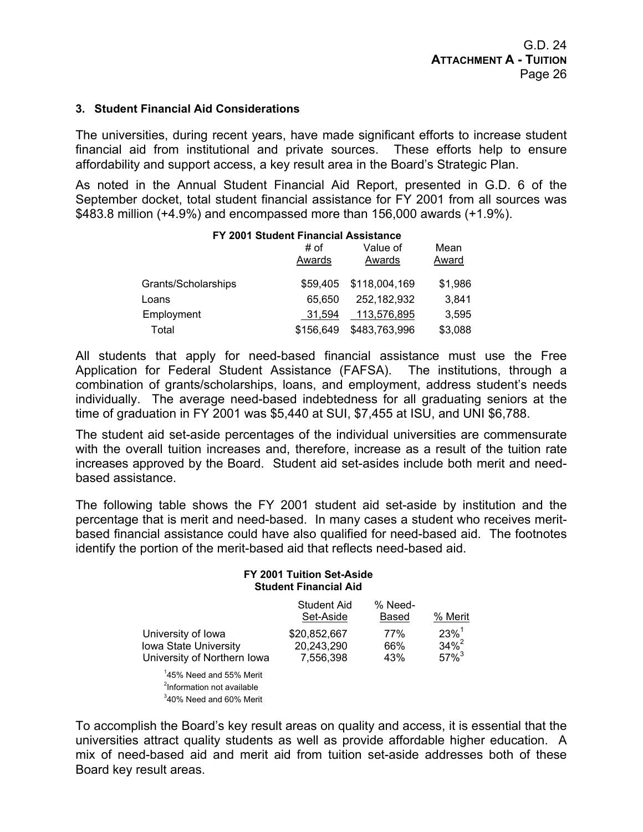#### **3. Student Financial Aid Considerations**

The universities, during recent years, have made significant efforts to increase student financial aid from institutional and private sources. These efforts help to ensure affordability and support access, a key result area in the Board's Strategic Plan.

As noted in the Annual Student Financial Aid Report, presented in G.D. 6 of the September docket, total student financial assistance for FY 2001 from all sources was \$483.8 million (+4.9%) and encompassed more than 156,000 awards (+1.9%).

|                     | FY 2001 Student Financial Assistance |                    |               |  |
|---------------------|--------------------------------------|--------------------|---------------|--|
|                     | # of<br>Awards                       | Value of<br>Awards | Mean<br>Award |  |
| Grants/Scholarships | \$59,405                             | \$118,004,169      | \$1,986       |  |
| Loans               | 65.650                               | 252,182,932        | 3,841         |  |
| Employment          | 31.594                               | 113,576,895        | 3,595         |  |
| Total               | \$156,649                            | \$483,763,996      | \$3,088       |  |

All students that apply for need-based financial assistance must use the Free Application for Federal Student Assistance (FAFSA). The institutions, through a combination of grants/scholarships, loans, and employment, address student's needs individually. The average need-based indebtedness for all graduating seniors at the time of graduation in FY 2001 was \$5,440 at SUI, \$7,455 at ISU, and UNI \$6,788.

The student aid set-aside percentages of the individual universities are commensurate with the overall tuition increases and, therefore, increase as a result of the tuition rate increases approved by the Board. Student aid set-asides include both merit and needbased assistance.

The following table shows the FY 2001 student aid set-aside by institution and the percentage that is merit and need-based. In many cases a student who receives meritbased financial assistance could have also qualified for need-based aid. The footnotes identify the portion of the merit-based aid that reflects need-based aid.

#### **FY 2001 Tuition Set-Aside Student Financial Aid**

|                                     | Student Aid<br>Set-Aside | % Need-<br>Based | % Merit             |
|-------------------------------------|--------------------------|------------------|---------------------|
| University of Iowa                  | \$20,852,667             | 77%              | $23\%$ <sup>1</sup> |
| <b>Iowa State University</b>        | 20,243,290               | 66%              | $34\%^{2}$          |
| University of Northern Iowa         | 7.556.398                | 43%              | $57\%$ <sup>3</sup> |
| $14.00 \,$ Mead and $0.01 \,$ Meath |                          |                  |                     |

1 45% Need and 55% Merit <sup>2</sup>Information not available 3 40% Need and 60% Merit

To accomplish the Board's key result areas on quality and access, it is essential that the universities attract quality students as well as provide affordable higher education. A mix of need-based aid and merit aid from tuition set-aside addresses both of these Board key result areas.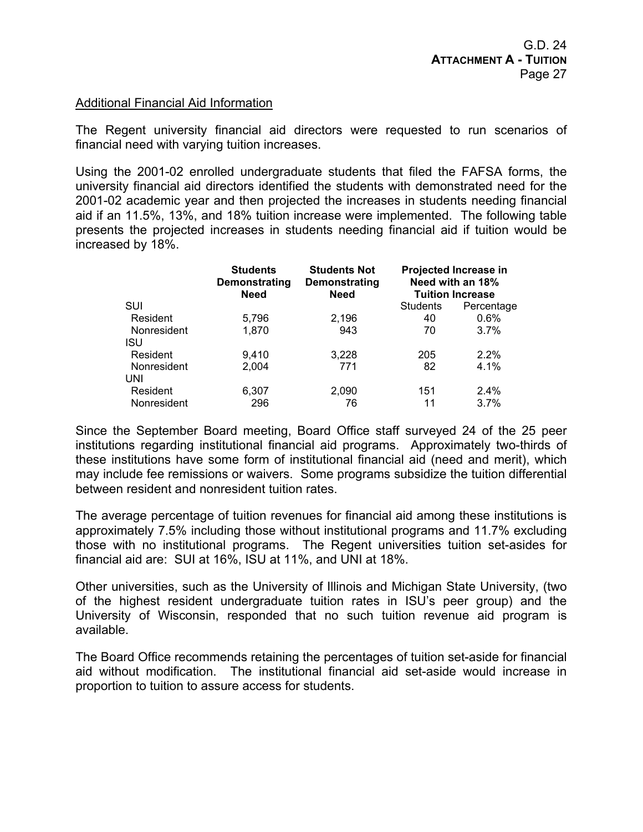## Additional Financial Aid Information

The Regent university financial aid directors were requested to run scenarios of financial need with varying tuition increases.

Using the 2001-02 enrolled undergraduate students that filed the FAFSA forms, the university financial aid directors identified the students with demonstrated need for the 2001-02 academic year and then projected the increases in students needing financial aid if an 11.5%, 13%, and 18% tuition increase were implemented. The following table presents the projected increases in students needing financial aid if tuition would be increased by 18%.

|             | <b>Students</b><br>Demonstrating<br><b>Need</b> | <b>Students Not</b><br>Demonstrating<br><b>Need</b> | Projected Increase in<br>Need with an 18%<br><b>Tuition Increase</b> |            |  |
|-------------|-------------------------------------------------|-----------------------------------------------------|----------------------------------------------------------------------|------------|--|
| SUI         |                                                 |                                                     | <b>Students</b>                                                      | Percentage |  |
| Resident    | 5,796                                           | 2,196                                               | 40                                                                   | 0.6%       |  |
| Nonresident | 1,870                                           | 943                                                 | 70                                                                   | 3.7%       |  |
| ISU         |                                                 |                                                     |                                                                      |            |  |
| Resident    | 9,410                                           | 3,228                                               | 205                                                                  | 2.2%       |  |
| Nonresident | 2,004                                           | 771                                                 | 82                                                                   | 4.1%       |  |
| UNI         |                                                 |                                                     |                                                                      |            |  |
| Resident    | 6,307                                           | 2,090                                               | 151                                                                  | 2.4%       |  |
| Nonresident | 296                                             | 76                                                  | 11                                                                   | 3.7%       |  |

Since the September Board meeting, Board Office staff surveyed 24 of the 25 peer institutions regarding institutional financial aid programs. Approximately two-thirds of these institutions have some form of institutional financial aid (need and merit), which may include fee remissions or waivers. Some programs subsidize the tuition differential between resident and nonresident tuition rates.

The average percentage of tuition revenues for financial aid among these institutions is approximately 7.5% including those without institutional programs and 11.7% excluding those with no institutional programs. The Regent universities tuition set-asides for financial aid are: SUI at 16%, ISU at 11%, and UNI at 18%.

Other universities, such as the University of Illinois and Michigan State University, (two of the highest resident undergraduate tuition rates in ISU's peer group) and the University of Wisconsin, responded that no such tuition revenue aid program is available.

The Board Office recommends retaining the percentages of tuition set-aside for financial aid without modification. The institutional financial aid set-aside would increase in proportion to tuition to assure access for students.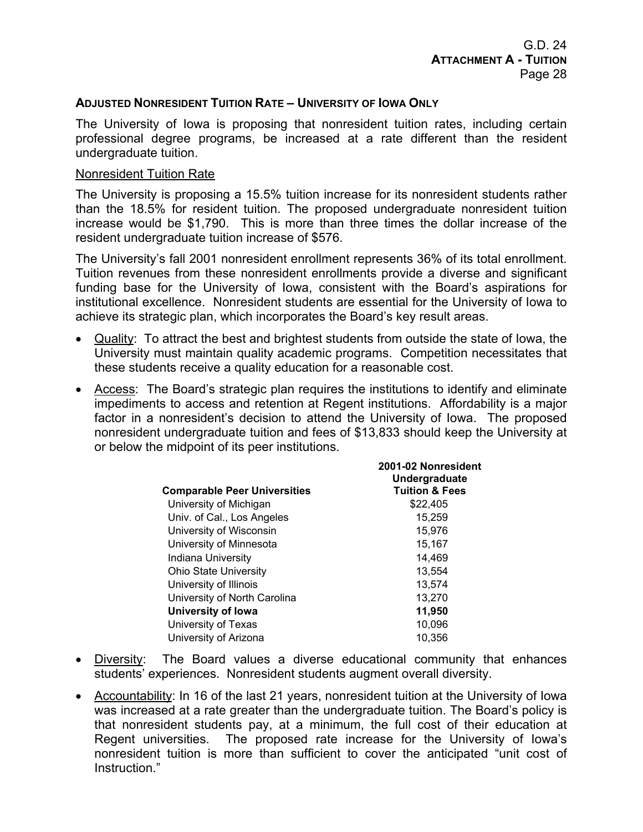## **ADJUSTED NONRESIDENT TUITION RATE – UNIVERSITY OF IOWA ONLY**

The University of Iowa is proposing that nonresident tuition rates, including certain professional degree programs, be increased at a rate different than the resident undergraduate tuition.

#### Nonresident Tuition Rate

The University is proposing a 15.5% tuition increase for its nonresident students rather than the 18.5% for resident tuition. The proposed undergraduate nonresident tuition increase would be \$1,790. This is more than three times the dollar increase of the resident undergraduate tuition increase of \$576.

The University's fall 2001 nonresident enrollment represents 36% of its total enrollment. Tuition revenues from these nonresident enrollments provide a diverse and significant funding base for the University of Iowa, consistent with the Board's aspirations for institutional excellence. Nonresident students are essential for the University of Iowa to achieve its strategic plan, which incorporates the Board's key result areas.

- Quality: To attract the best and brightest students from outside the state of Iowa, the University must maintain quality academic programs. Competition necessitates that these students receive a quality education for a reasonable cost.
- Access: The Board's strategic plan requires the institutions to identify and eliminate impediments to access and retention at Regent institutions. Affordability is a major factor in a nonresident's decision to attend the University of Iowa. The proposed nonresident undergraduate tuition and fees of \$13,833 should keep the University at or below the midpoint of its peer institutions.

| <b>Comparable Peer Universities</b> | 2001-02 Nonresident<br>Undergraduate<br><b>Tuition &amp; Fees</b> |
|-------------------------------------|-------------------------------------------------------------------|
|                                     |                                                                   |
| University of Michigan              | \$22,405                                                          |
| Univ. of Cal., Los Angeles          | 15,259                                                            |
| University of Wisconsin             | 15.976                                                            |
| University of Minnesota             | 15,167                                                            |
| Indiana University                  | 14,469                                                            |
| <b>Ohio State University</b>        | 13.554                                                            |
| University of Illinois              | 13,574                                                            |
| University of North Carolina        | 13,270                                                            |
| <b>University of lowa</b>           | 11,950                                                            |
| University of Texas                 | 10,096                                                            |
| University of Arizona               | 10.356                                                            |

- Diversity: The Board values a diverse educational community that enhances students' experiences. Nonresident students augment overall diversity.
- Accountability: In 16 of the last 21 years, nonresident tuition at the University of Iowa was increased at a rate greater than the undergraduate tuition. The Board's policy is that nonresident students pay, at a minimum, the full cost of their education at Regent universities. The proposed rate increase for the University of Iowa's nonresident tuition is more than sufficient to cover the anticipated "unit cost of Instruction."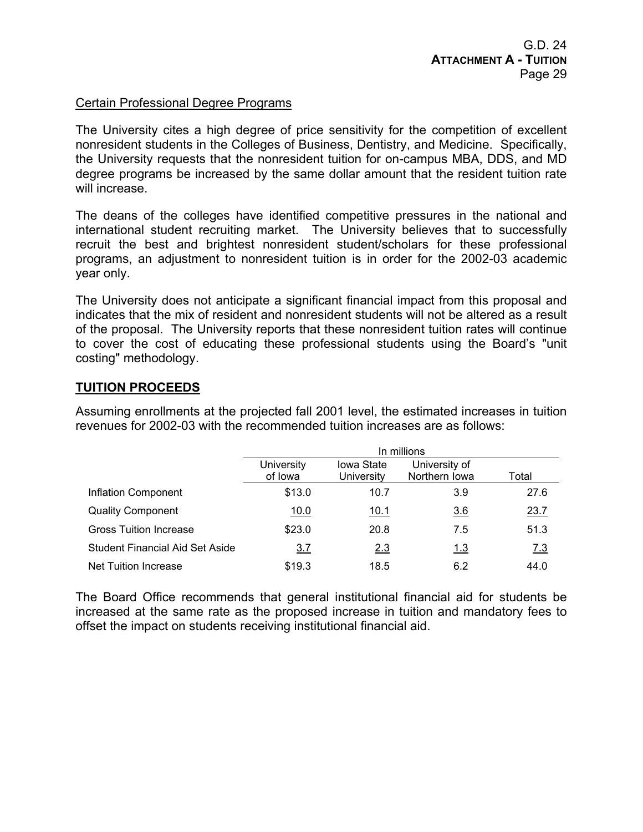## Certain Professional Degree Programs

The University cites a high degree of price sensitivity for the competition of excellent nonresident students in the Colleges of Business, Dentistry, and Medicine. Specifically, the University requests that the nonresident tuition for on-campus MBA, DDS, and MD degree programs be increased by the same dollar amount that the resident tuition rate will increase.

The deans of the colleges have identified competitive pressures in the national and international student recruiting market. The University believes that to successfully recruit the best and brightest nonresident student/scholars for these professional programs, an adjustment to nonresident tuition is in order for the 2002-03 academic year only.

The University does not anticipate a significant financial impact from this proposal and indicates that the mix of resident and nonresident students will not be altered as a result of the proposal. The University reports that these nonresident tuition rates will continue to cover the cost of educating these professional students using the Board's "unit costing" methodology.

## **TUITION PROCEEDS**

Assuming enrollments at the projected fall 2001 level, the estimated increases in tuition revenues for 2002-03 with the recommended tuition increases are as follows:

|                                        | In millions           |                          |                                |            |  |  |  |  |
|----------------------------------------|-----------------------|--------------------------|--------------------------------|------------|--|--|--|--|
|                                        | University<br>of lowa | Iowa State<br>University | University of<br>Northern Iowa | Total      |  |  |  |  |
| Inflation Component                    | \$13.0                | 10.7                     | 3.9                            | 27.6       |  |  |  |  |
| <b>Quality Component</b>               | 10.0                  | <u>10.1</u>              | 3.6                            | 23.7       |  |  |  |  |
| <b>Gross Tuition Increase</b>          | \$23.0                | 20.8                     | 7.5                            | 51.3       |  |  |  |  |
| <b>Student Financial Aid Set Aside</b> | 3.7                   | 2.3                      | 1.3                            | <u>7.3</u> |  |  |  |  |
| Net Tuition Increase                   | \$19.3                | 18.5                     | 6.2                            | 44.0       |  |  |  |  |

The Board Office recommends that general institutional financial aid for students be increased at the same rate as the proposed increase in tuition and mandatory fees to offset the impact on students receiving institutional financial aid.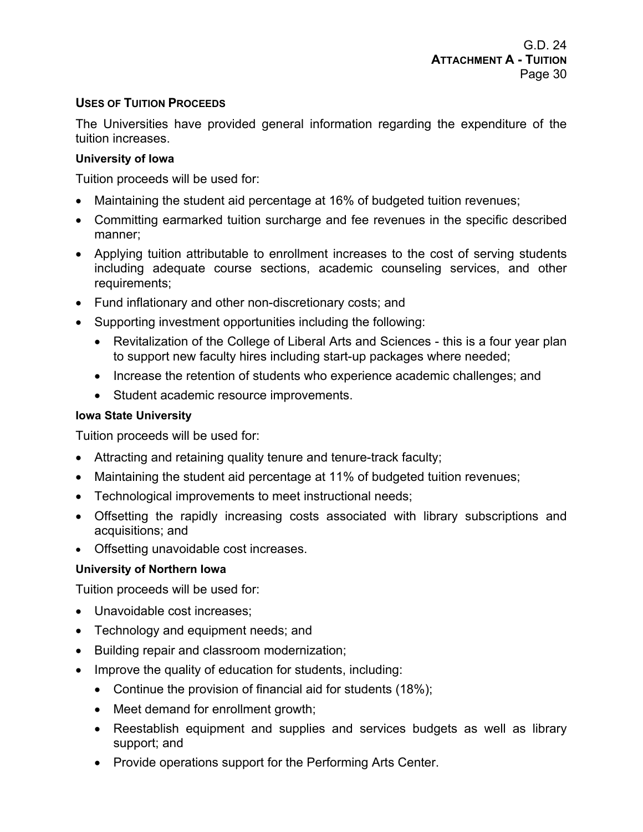## **USES OF TUITION PROCEEDS**

The Universities have provided general information regarding the expenditure of the tuition increases.

## **University of Iowa**

Tuition proceeds will be used for:

- Maintaining the student aid percentage at 16% of budgeted tuition revenues;
- Committing earmarked tuition surcharge and fee revenues in the specific described manner;
- Applying tuition attributable to enrollment increases to the cost of serving students including adequate course sections, academic counseling services, and other requirements;
- Fund inflationary and other non-discretionary costs; and
- Supporting investment opportunities including the following:
	- Revitalization of the College of Liberal Arts and Sciences this is a four year plan to support new faculty hires including start-up packages where needed;
	- Increase the retention of students who experience academic challenges; and
	- Student academic resource improvements.

## **Iowa State University**

Tuition proceeds will be used for:

- Attracting and retaining quality tenure and tenure-track faculty;
- Maintaining the student aid percentage at 11% of budgeted tuition revenues;
- Technological improvements to meet instructional needs;
- Offsetting the rapidly increasing costs associated with library subscriptions and acquisitions; and
- Offsetting unavoidable cost increases.

## **University of Northern Iowa**

Tuition proceeds will be used for:

- Unavoidable cost increases;
- Technology and equipment needs; and
- Building repair and classroom modernization;
- Improve the quality of education for students, including:
	- Continue the provision of financial aid for students (18%);
	- Meet demand for enrollment growth;
	- Reestablish equipment and supplies and services budgets as well as library support; and
	- Provide operations support for the Performing Arts Center.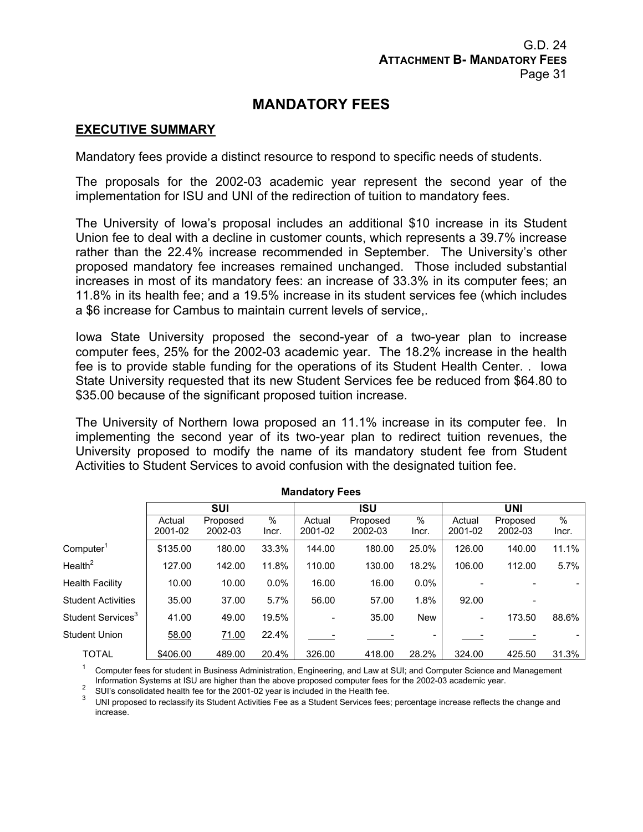## **MANDATORY FEES**

## **EXECUTIVE SUMMARY**

Mandatory fees provide a distinct resource to respond to specific needs of students.

The proposals for the 2002-03 academic year represent the second year of the implementation for ISU and UNI of the redirection of tuition to mandatory fees.

The University of Iowa's proposal includes an additional \$10 increase in its Student Union fee to deal with a decline in customer counts, which represents a 39.7% increase rather than the 22.4% increase recommended in September. The University's other proposed mandatory fee increases remained unchanged. Those included substantial increases in most of its mandatory fees: an increase of 33.3% in its computer fees; an 11.8% in its health fee; and a 19.5% increase in its student services fee (which includes a \$6 increase for Cambus to maintain current levels of service,.

Iowa State University proposed the second-year of a two-year plan to increase computer fees, 25% for the 2002-03 academic year. The 18.2% increase in the health fee is to provide stable funding for the operations of its Student Health Center. . Iowa State University requested that its new Student Services fee be reduced from \$64.80 to \$35.00 because of the significant proposed tuition increase.

The University of Northern Iowa proposed an 11.1% increase in its computer fee. In implementing the second year of its two-year plan to redirect tuition revenues, the University proposed to modify the name of its mandatory student fee from Student Activities to Student Services to avoid confusion with the designated tuition fee.

| <b>MANUALUI</b> V I GGS       |                   |                     |               |                          |                     |            |                   |                     |               |
|-------------------------------|-------------------|---------------------|---------------|--------------------------|---------------------|------------|-------------------|---------------------|---------------|
|                               |                   | <b>SUI</b>          |               |                          | <b>ISU</b>          |            |                   | <b>UNI</b>          |               |
|                               | Actual<br>2001-02 | Proposed<br>2002-03 | $\%$<br>Incr. | Actual<br>2001-02        | Proposed<br>2002-03 | %<br>Incr. | Actual<br>2001-02 | Proposed<br>2002-03 | $\%$<br>Incr. |
| Computer <sup>1</sup>         | \$135.00          | 180.00              | 33.3%         | 144.00                   | 180.00              | 25.0%      | 126.00            | 140.00              | 11.1%         |
| Health $^2$                   | 127.00            | 142.00              | 11.8%         | 110.00                   | 130.00              | 18.2%      | 106.00            | 112.00              | 5.7%          |
| <b>Health Facility</b>        | 10.00             | 10.00               | $0.0\%$       | 16.00                    | 16.00               | $0.0\%$    |                   |                     |               |
| <b>Student Activities</b>     | 35.00             | 37.00               | 5.7%          | 56.00                    | 57.00               | 1.8%       | 92.00             |                     |               |
| Student Services <sup>3</sup> | 41.00             | 49.00               | 19.5%         | $\overline{\phantom{a}}$ | 35.00               | <b>New</b> | ۰.                | 173.50              | 88.6%         |
| <b>Student Union</b>          | 58.00             | 71.00               | 22.4%         |                          |                     |            |                   |                     |               |
| <b>TOTAL</b>                  | \$406.00          | 489.00              | 20.4%         | 326.00                   | 418.00              | 28.2%      | 324.00            | 425.50              | 31.3%         |

**Mandatory Foos** 

<sup>1</sup> Computer fees for student in Business Administration, Engineering, and Law at SUI; and Computer Science and Management

Information Systems at ISU are higher than the above proposed computer fees for the 2002-03 academic year.<br>
2015-201-02 year is included in the Health fee.

 $3$  UNI proposed to reclassify its Student Activities Fee as a Student Services fees; percentage increase reflects the change and increase.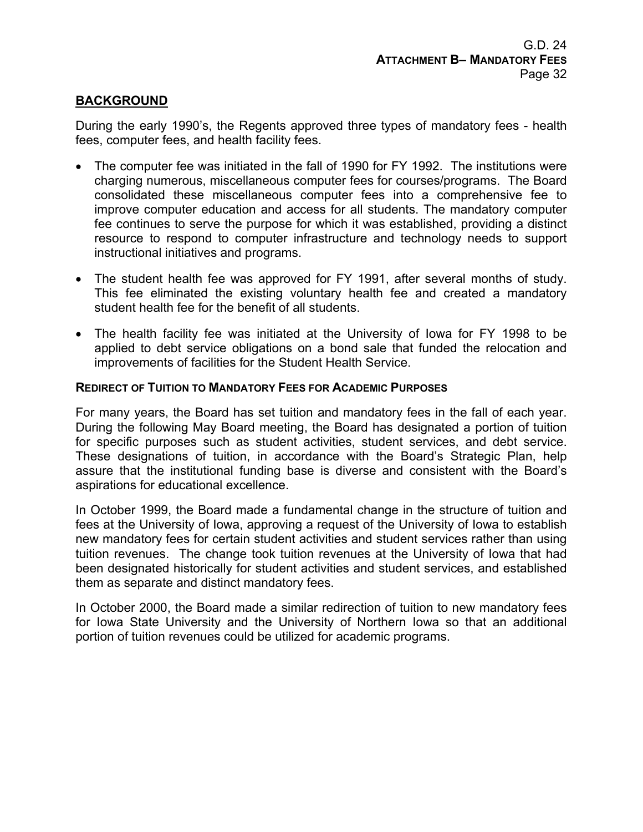## **BACKGROUND**

During the early 1990's, the Regents approved three types of mandatory fees - health fees, computer fees, and health facility fees.

- The computer fee was initiated in the fall of 1990 for FY 1992. The institutions were charging numerous, miscellaneous computer fees for courses/programs. The Board consolidated these miscellaneous computer fees into a comprehensive fee to improve computer education and access for all students. The mandatory computer fee continues to serve the purpose for which it was established, providing a distinct resource to respond to computer infrastructure and technology needs to support instructional initiatives and programs.
- The student health fee was approved for FY 1991, after several months of study. This fee eliminated the existing voluntary health fee and created a mandatory student health fee for the benefit of all students.
- The health facility fee was initiated at the University of Iowa for FY 1998 to be applied to debt service obligations on a bond sale that funded the relocation and improvements of facilities for the Student Health Service.

## **REDIRECT OF TUITION TO MANDATORY FEES FOR ACADEMIC PURPOSES**

For many years, the Board has set tuition and mandatory fees in the fall of each year. During the following May Board meeting, the Board has designated a portion of tuition for specific purposes such as student activities, student services, and debt service. These designations of tuition, in accordance with the Board's Strategic Plan, help assure that the institutional funding base is diverse and consistent with the Board's aspirations for educational excellence.

In October 1999, the Board made a fundamental change in the structure of tuition and fees at the University of Iowa, approving a request of the University of Iowa to establish new mandatory fees for certain student activities and student services rather than using tuition revenues. The change took tuition revenues at the University of Iowa that had been designated historically for student activities and student services, and established them as separate and distinct mandatory fees.

In October 2000, the Board made a similar redirection of tuition to new mandatory fees for Iowa State University and the University of Northern Iowa so that an additional portion of tuition revenues could be utilized for academic programs.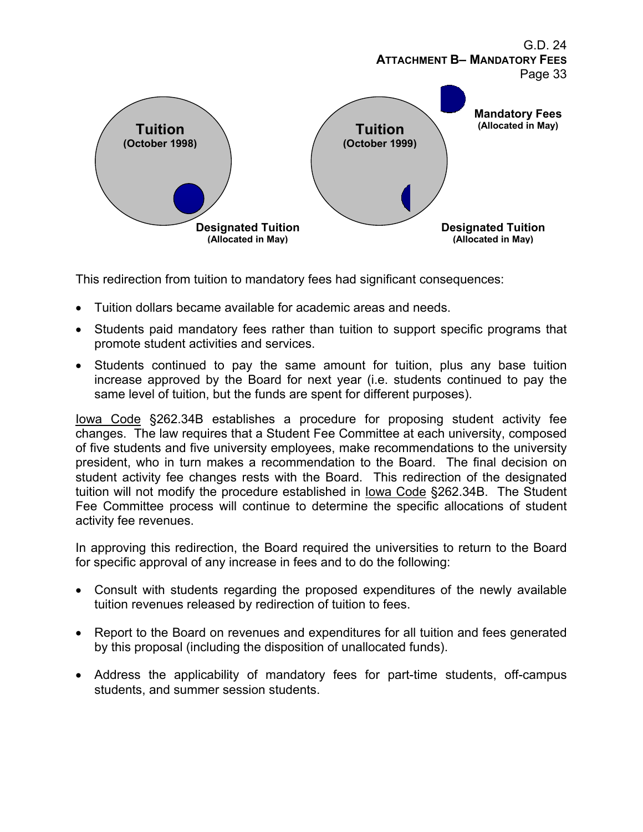

This redirection from tuition to mandatory fees had significant consequences:

- Tuition dollars became available for academic areas and needs.
- Students paid mandatory fees rather than tuition to support specific programs that promote student activities and services.
- Students continued to pay the same amount for tuition, plus any base tuition increase approved by the Board for next year (i.e. students continued to pay the same level of tuition, but the funds are spent for different purposes).

Iowa Code §262.34B establishes a procedure for proposing student activity fee changes. The law requires that a Student Fee Committee at each university, composed of five students and five university employees, make recommendations to the university president, who in turn makes a recommendation to the Board. The final decision on student activity fee changes rests with the Board. This redirection of the designated tuition will not modify the procedure established in Iowa Code §262.34B. The Student Fee Committee process will continue to determine the specific allocations of student activity fee revenues.

In approving this redirection, the Board required the universities to return to the Board for specific approval of any increase in fees and to do the following:

- Consult with students regarding the proposed expenditures of the newly available tuition revenues released by redirection of tuition to fees.
- Report to the Board on revenues and expenditures for all tuition and fees generated by this proposal (including the disposition of unallocated funds).
- Address the applicability of mandatory fees for part-time students, off-campus students, and summer session students.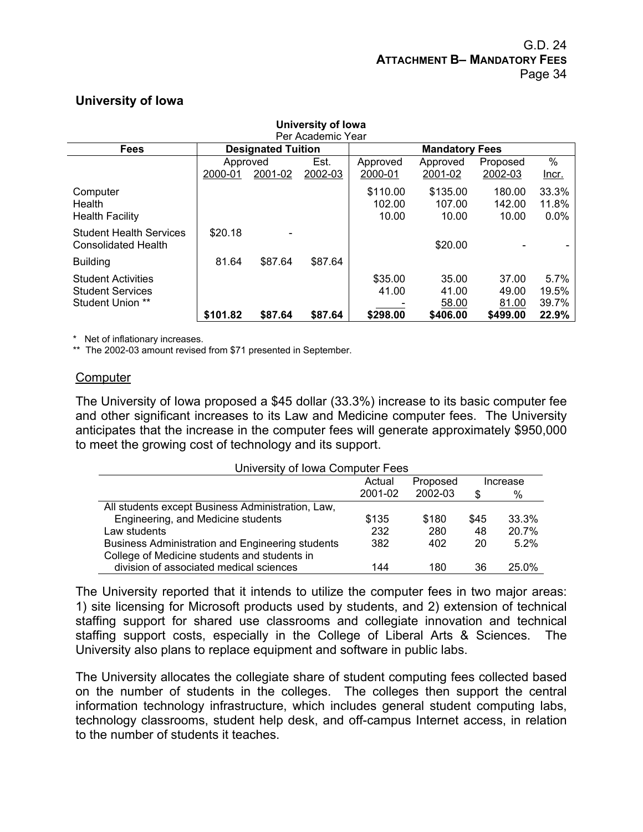## **University of Iowa**

| University of lowa             |          |                           |         |          |                       |          |         |  |  |
|--------------------------------|----------|---------------------------|---------|----------|-----------------------|----------|---------|--|--|
| Per Academic Year              |          |                           |         |          |                       |          |         |  |  |
| <b>Fees</b>                    |          | <b>Designated Tuition</b> |         |          | <b>Mandatory Fees</b> |          |         |  |  |
|                                | Approved |                           | Est.    | Approved | Approved              | Proposed | $\%$    |  |  |
|                                | 2000-01  | 2001-02                   | 2002-03 | 2000-01  | 2001-02               | 2002-03  | Incr.   |  |  |
| Computer                       |          |                           |         | \$110.00 | \$135.00              | 180.00   | 33.3%   |  |  |
| Health                         |          |                           |         | 102.00   | 107.00                | 142.00   | 11.8%   |  |  |
| <b>Health Facility</b>         |          |                           |         | 10.00    | 10.00                 | 10.00    | $0.0\%$ |  |  |
| <b>Student Health Services</b> | \$20.18  |                           |         |          |                       |          |         |  |  |
| <b>Consolidated Health</b>     |          |                           |         |          | \$20.00               |          |         |  |  |
| <b>Building</b>                | 81.64    | \$87.64                   | \$87.64 |          |                       |          |         |  |  |
| <b>Student Activities</b>      |          |                           |         | \$35.00  | 35.00                 | 37.00    | 5.7%    |  |  |
| <b>Student Services</b>        |          |                           |         | 41.00    | 41.00                 | 49.00    | 19.5%   |  |  |
| <b>Student Union **</b>        |          |                           |         |          | 58.00                 | 81.00    | 39.7%   |  |  |
|                                | \$101.82 | \$87.64                   | \$87.64 | \$298.00 | \$406.00              | \$499.00 | 22.9%   |  |  |

\* Net of inflationary increases.

\*\* The 2002-03 amount revised from \$71 presented in September.

#### **Computer**

The University of Iowa proposed a \$45 dollar (33.3%) increase to its basic computer fee and other significant increases to its Law and Medicine computer fees. The University anticipates that the increase in the computer fees will generate approximately \$950,000 to meet the growing cost of technology and its support.

| University of Iowa Computer Fees                  |         |          |      |          |  |  |  |
|---------------------------------------------------|---------|----------|------|----------|--|--|--|
|                                                   | Actual  | Proposed |      | Increase |  |  |  |
|                                                   | 2001-02 | 2002-03  | \$   | %        |  |  |  |
| All students except Business Administration, Law, |         |          |      |          |  |  |  |
| Engineering, and Medicine students                | \$135   | \$180    | \$45 | 33.3%    |  |  |  |
| Law students                                      | 232     | 280      | 48   | 20.7%    |  |  |  |
| Business Administration and Engineering students  | 382     | 402      | 20   | 5.2%     |  |  |  |
| College of Medicine students and students in      |         |          |      |          |  |  |  |
| division of associated medical sciences           | 144     | 180      | 36   | 25.0%    |  |  |  |

The University reported that it intends to utilize the computer fees in two major areas: 1) site licensing for Microsoft products used by students, and 2) extension of technical staffing support for shared use classrooms and collegiate innovation and technical staffing support costs, especially in the College of Liberal Arts & Sciences. The University also plans to replace equipment and software in public labs.

The University allocates the collegiate share of student computing fees collected based on the number of students in the colleges. The colleges then support the central information technology infrastructure, which includes general student computing labs, technology classrooms, student help desk, and off-campus Internet access, in relation to the number of students it teaches.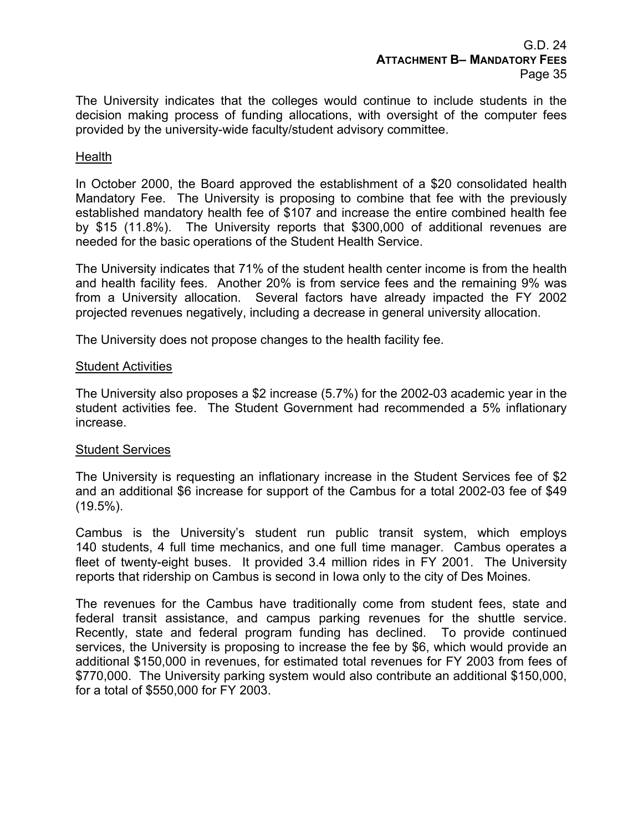The University indicates that the colleges would continue to include students in the decision making process of funding allocations, with oversight of the computer fees provided by the university-wide faculty/student advisory committee.

#### **Health**

In October 2000, the Board approved the establishment of a \$20 consolidated health Mandatory Fee. The University is proposing to combine that fee with the previously established mandatory health fee of \$107 and increase the entire combined health fee by \$15 (11.8%). The University reports that \$300,000 of additional revenues are needed for the basic operations of the Student Health Service.

The University indicates that 71% of the student health center income is from the health and health facility fees. Another 20% is from service fees and the remaining 9% was from a University allocation. Several factors have already impacted the FY 2002 projected revenues negatively, including a decrease in general university allocation.

The University does not propose changes to the health facility fee.

## Student Activities

The University also proposes a \$2 increase (5.7%) for the 2002-03 academic year in the student activities fee. The Student Government had recommended a 5% inflationary increase.

## Student Services

The University is requesting an inflationary increase in the Student Services fee of \$2 and an additional \$6 increase for support of the Cambus for a total 2002-03 fee of \$49  $(19.5\%)$ .

Cambus is the University's student run public transit system, which employs 140 students, 4 full time mechanics, and one full time manager. Cambus operates a fleet of twenty-eight buses. It provided 3.4 million rides in FY 2001. The University reports that ridership on Cambus is second in Iowa only to the city of Des Moines.

The revenues for the Cambus have traditionally come from student fees, state and federal transit assistance, and campus parking revenues for the shuttle service. Recently, state and federal program funding has declined. To provide continued services, the University is proposing to increase the fee by \$6, which would provide an additional \$150,000 in revenues, for estimated total revenues for FY 2003 from fees of \$770,000. The University parking system would also contribute an additional \$150,000, for a total of \$550,000 for FY 2003.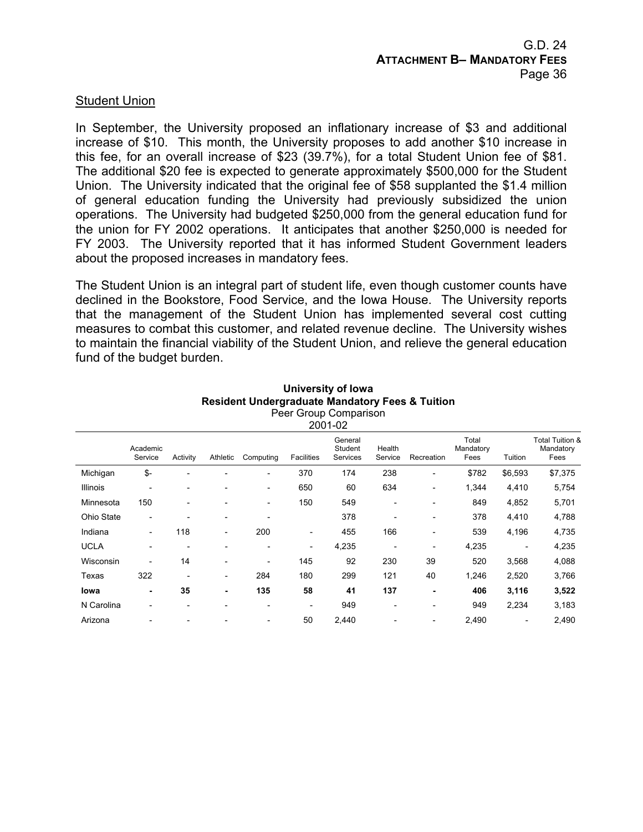## Student Union

In September, the University proposed an inflationary increase of \$3 and additional increase of \$10. This month, the University proposes to add another \$10 increase in this fee, for an overall increase of \$23 (39.7%), for a total Student Union fee of \$81. The additional \$20 fee is expected to generate approximately \$500,000 for the Student Union. The University indicated that the original fee of \$58 supplanted the \$1.4 million of general education funding the University had previously subsidized the union operations. The University had budgeted \$250,000 from the general education fund for the union for FY 2002 operations. It anticipates that another \$250,000 is needed for FY 2003. The University reported that it has informed Student Government leaders about the proposed increases in mandatory fees.

The Student Union is an integral part of student life, even though customer counts have declined in the Bookstore, Food Service, and the Iowa House. The University reports that the management of the Student Union has implemented several cost cutting measures to combat this customer, and related revenue decline. The University wishes to maintain the financial viability of the Student Union, and relieve the general education fund of the budget burden.

|                  |                              |                          |                              |                              |                          | 2001-02                        |                          |                          |                            |                          |                                                 |
|------------------|------------------------------|--------------------------|------------------------------|------------------------------|--------------------------|--------------------------------|--------------------------|--------------------------|----------------------------|--------------------------|-------------------------------------------------|
|                  | Academic<br>Service          | Activity                 | Athletic                     | Computing                    | <b>Facilities</b>        | General<br>Student<br>Services | Health<br>Service        | Recreation               | Total<br>Mandatory<br>Fees | Tuition                  | <b>Total Tuition &amp;</b><br>Mandatory<br>Fees |
| Michigan         | \$-                          | $\overline{a}$           | $\blacksquare$               | $\overline{\phantom{a}}$     | 370                      | 174                            | 238                      | $\overline{\phantom{0}}$ | \$782                      | \$6,593                  | \$7,375                                         |
| Illinois         | $\overline{\phantom{0}}$     | $\overline{\phantom{0}}$ | $\overline{a}$               | $\overline{\phantom{0}}$     | 650                      | 60                             | 634                      | $\overline{\phantom{0}}$ | 1,344                      | 4,410                    | 5,754                                           |
| Minnesota        | 150                          |                          |                              | $\overline{\phantom{a}}$     | 150                      | 549                            | $\overline{\phantom{0}}$ |                          | 849                        | 4,852                    | 5,701                                           |
| Ohio State       | $\qquad \qquad \blacksquare$ | $\overline{a}$           | $\overline{\phantom{a}}$     | $\overline{\phantom{a}}$     |                          | 378                            |                          | $\overline{\phantom{0}}$ | 378                        | 4,410                    | 4,788                                           |
| Indiana          | $\overline{\phantom{0}}$     | 118                      | $\overline{\phantom{a}}$     | 200                          | -                        | 455                            | 166                      | $\overline{\phantom{0}}$ | 539                        | 4,196                    | 4,735                                           |
| <b>UCLA</b>      | $\overline{\phantom{0}}$     | $\overline{\phantom{0}}$ | $\overline{a}$               | $\overline{\phantom{0}}$     | -                        | 4,235                          | $\overline{\phantom{0}}$ | $\qquad \qquad$          | 4,235                      | $\overline{\phantom{a}}$ | 4,235                                           |
| <b>Wisconsin</b> | $\overline{a}$               | 14                       | $\overline{\phantom{0}}$     | $\overline{\phantom{a}}$     | 145                      | 92                             | 230                      | 39                       | 520                        | 3,568                    | 4,088                                           |
| Texas            | 322                          | $\overline{\phantom{0}}$ | $\overline{\phantom{0}}$     | 284                          | 180                      | 299                            | 121                      | 40                       | 1,246                      | 2,520                    | 3,766                                           |
| lowa             | ٠                            | 35                       | ٠                            | 135                          | 58                       | 41                             | 137                      | ۰                        | 406                        | 3,116                    | 3,522                                           |
| N Carolina       | $\overline{\phantom{0}}$     | $\overline{\phantom{a}}$ | $\qquad \qquad \blacksquare$ | $\overline{\phantom{a}}$     | $\overline{\phantom{0}}$ | 949                            | $\overline{\phantom{0}}$ |                          | 949                        | 2,234                    | 3,183                                           |
| Arizona          |                              |                          |                              | $\qquad \qquad \blacksquare$ | 50                       | 2,440                          |                          | -                        | 2,490                      |                          | 2,490                                           |

#### **University of Iowa Resident Undergraduate Mandatory Fees & Tuition**  Peer Group Comparison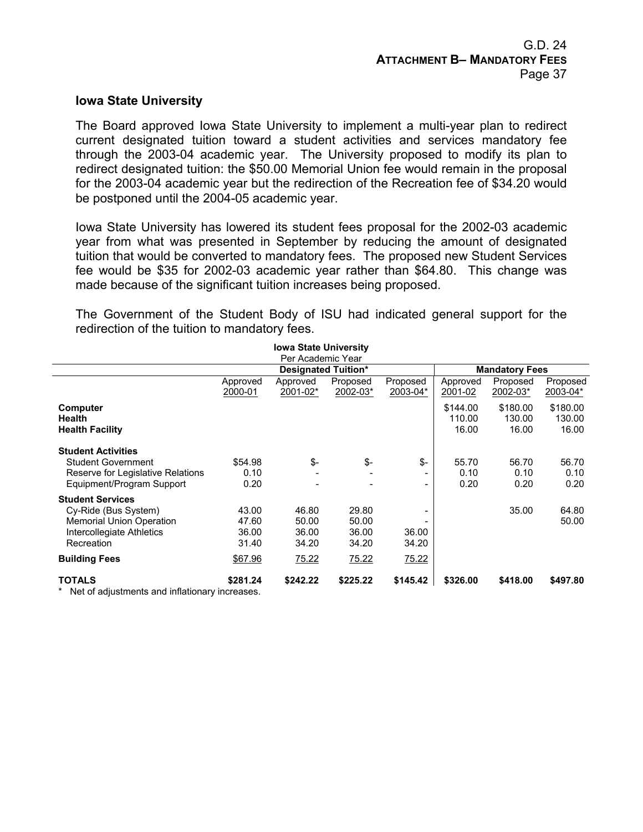#### **Iowa State University**

The Board approved Iowa State University to implement a multi-year plan to redirect current designated tuition toward a student activities and services mandatory fee through the 2003-04 academic year. The University proposed to modify its plan to redirect designated tuition: the \$50.00 Memorial Union fee would remain in the proposal for the 2003-04 academic year but the redirection of the Recreation fee of \$34.20 would be postponed until the 2004-05 academic year.

Iowa State University has lowered its student fees proposal for the 2002-03 academic year from what was presented in September by reducing the amount of designated tuition that would be converted to mandatory fees. The proposed new Student Services fee would be \$35 for 2002-03 academic year rather than \$64.80. This change was made because of the significant tuition increases being proposed.

The Government of the Student Body of ISU had indicated general support for the redirection of the tuition to mandatory fees.

|                                                                                                                               |                                  | <b>Iowa State University</b><br>Per Academic Year |                                  |                                                                  |                             |                             |                             |
|-------------------------------------------------------------------------------------------------------------------------------|----------------------------------|---------------------------------------------------|----------------------------------|------------------------------------------------------------------|-----------------------------|-----------------------------|-----------------------------|
|                                                                                                                               |                                  | <b>Designated Tuition*</b>                        |                                  |                                                                  | <b>Mandatory Fees</b>       |                             |                             |
|                                                                                                                               | Approved<br>2000-01              | Approved<br>2001-02*                              | Proposed<br>2002-03*             | Proposed<br>2003-04*                                             | Approved<br>2001-02         | Proposed<br>2002-03*        | Proposed<br>2003-04*        |
| Computer<br><b>Health</b><br><b>Health Facility</b>                                                                           |                                  |                                                   |                                  |                                                                  | \$144.00<br>110.00<br>16.00 | \$180.00<br>130.00<br>16.00 | \$180.00<br>130.00<br>16.00 |
| <b>Student Activities</b><br><b>Student Government</b><br>Reserve for Legislative Relations<br>Equipment/Program Support      | \$54.98<br>0.10<br>0.20          | \$-                                               | \$-                              | $S-$<br>$\overline{\phantom{a}}$<br>$\qquad \qquad \blacksquare$ | 55.70<br>0.10<br>0.20       | 56.70<br>0.10<br>0.20       | 56.70<br>0.10<br>0.20       |
| <b>Student Services</b><br>Cy-Ride (Bus System)<br><b>Memorial Union Operation</b><br>Intercollegiate Athletics<br>Recreation | 43.00<br>47.60<br>36.00<br>31.40 | 46.80<br>50.00<br>36.00<br>34.20                  | 29.80<br>50.00<br>36.00<br>34.20 | $\overline{\phantom{a}}$<br>36.00<br>34.20                       |                             | 35.00                       | 64.80<br>50.00              |
| <b>Building Fees</b>                                                                                                          | \$67.96                          | 75.22                                             | 75.22                            | 75.22                                                            |                             |                             |                             |
| <b>TOTALS</b><br>Net of adjustments and inflationary increases                                                                | \$281.24                         | \$242.22                                          | \$225.22                         | \$145.42                                                         | \$326.00                    | \$418.00                    | \$497.80                    |

Net of adjustments and inflationary increases.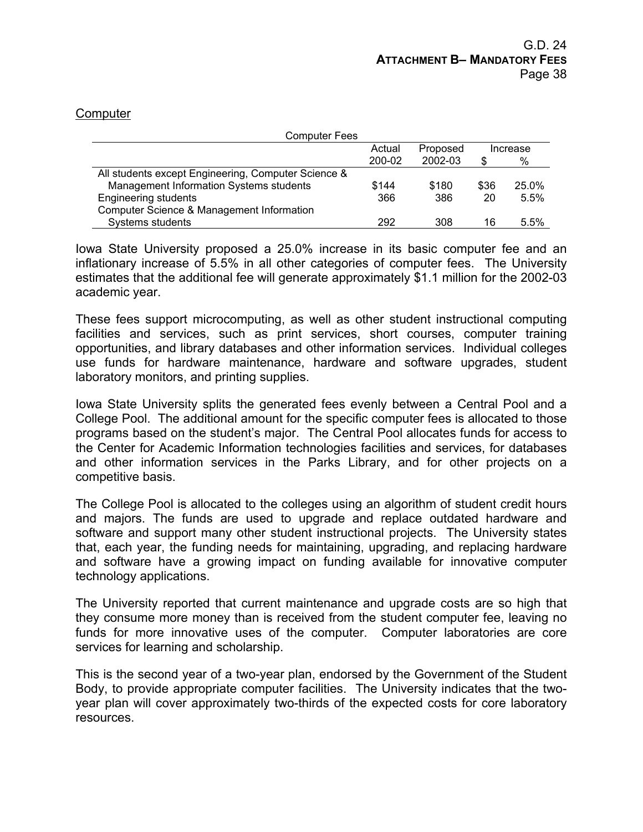#### **Computer**

| <b>Computer Fees</b>                                |        |          |      |          |
|-----------------------------------------------------|--------|----------|------|----------|
|                                                     | Actual | Proposed |      | Increase |
|                                                     | 200-02 | 2002-03  | S    | %        |
| All students except Engineering, Computer Science & |        |          |      |          |
| Management Information Systems students             | \$144  | \$180    | \$36 | 25.0%    |
| <b>Engineering students</b>                         | 366    | 386      | 20   | 5.5%     |
| Computer Science & Management Information           |        |          |      |          |
| Systems students                                    | 292    | 308      | 16   | 5.5%     |

Iowa State University proposed a 25.0% increase in its basic computer fee and an inflationary increase of 5.5% in all other categories of computer fees. The University estimates that the additional fee will generate approximately \$1.1 million for the 2002-03 academic year.

These fees support microcomputing, as well as other student instructional computing facilities and services, such as print services, short courses, computer training opportunities, and library databases and other information services. Individual colleges use funds for hardware maintenance, hardware and software upgrades, student laboratory monitors, and printing supplies.

Iowa State University splits the generated fees evenly between a Central Pool and a College Pool. The additional amount for the specific computer fees is allocated to those programs based on the student's major. The Central Pool allocates funds for access to the Center for Academic Information technologies facilities and services, for databases and other information services in the Parks Library, and for other projects on a competitive basis.

The College Pool is allocated to the colleges using an algorithm of student credit hours and majors. The funds are used to upgrade and replace outdated hardware and software and support many other student instructional projects. The University states that, each year, the funding needs for maintaining, upgrading, and replacing hardware and software have a growing impact on funding available for innovative computer technology applications.

The University reported that current maintenance and upgrade costs are so high that they consume more money than is received from the student computer fee, leaving no funds for more innovative uses of the computer. Computer laboratories are core services for learning and scholarship.

This is the second year of a two-year plan, endorsed by the Government of the Student Body, to provide appropriate computer facilities. The University indicates that the twoyear plan will cover approximately two-thirds of the expected costs for core laboratory resources.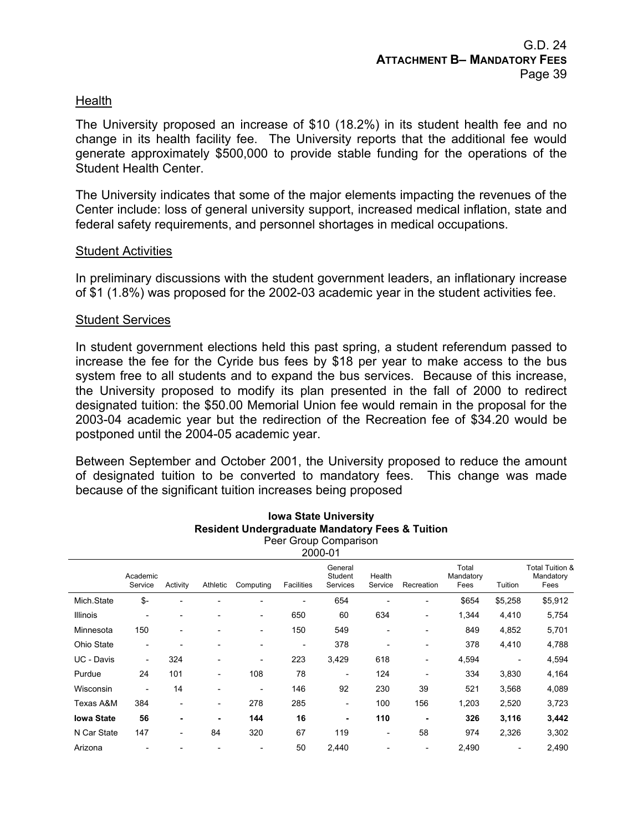## **Health**

The University proposed an increase of \$10 (18.2%) in its student health fee and no change in its health facility fee. The University reports that the additional fee would generate approximately \$500,000 to provide stable funding for the operations of the Student Health Center.

The University indicates that some of the major elements impacting the revenues of the Center include: loss of general university support, increased medical inflation, state and federal safety requirements, and personnel shortages in medical occupations.

#### Student Activities

In preliminary discussions with the student government leaders, an inflationary increase of \$1 (1.8%) was proposed for the 2002-03 academic year in the student activities fee.

#### Student Services

In student government elections held this past spring, a student referendum passed to increase the fee for the Cyride bus fees by \$18 per year to make access to the bus system free to all students and to expand the bus services. Because of this increase, the University proposed to modify its plan presented in the fall of 2000 to redirect designated tuition: the \$50.00 Memorial Union fee would remain in the proposal for the 2003-04 academic year but the redirection of the Recreation fee of \$34.20 would be postponed until the 2004-05 academic year.

Between September and October 2001, the University proposed to reduce the amount of designated tuition to be converted to mandatory fees. This change was made because of the significant tuition increases being proposed

|                   |                              |                          |                 |                          |                          | Peer Group Comparison<br>2000-01 |                          |            |                            |                          |                                      |
|-------------------|------------------------------|--------------------------|-----------------|--------------------------|--------------------------|----------------------------------|--------------------------|------------|----------------------------|--------------------------|--------------------------------------|
|                   | Academic<br>Service          | Activity                 | Athletic        | Computing                | <b>Facilities</b>        | General<br>Student<br>Services   | Health<br>Service        | Recreation | Total<br>Mandatory<br>Fees | Tuition                  | Total Tuition &<br>Mandatory<br>Fees |
| Mich.State        | \$-                          | $\overline{\phantom{0}}$ |                 |                          |                          | 654                              |                          |            | \$654                      | \$5,258                  | \$5,912                              |
| <b>Illinois</b>   | $\qquad \qquad \blacksquare$ |                          |                 | $\overline{\phantom{a}}$ | 650                      | 60                               | 634                      |            | 1,344                      | 4,410                    | 5,754                                |
| Minnesota         | 150                          | $\overline{\phantom{a}}$ |                 | $\overline{\phantom{a}}$ | 150                      | 549                              |                          |            | 849                        | 4,852                    | 5,701                                |
| Ohio State        | $\qquad \qquad \blacksquare$ |                          |                 | $\overline{a}$           | $\overline{\phantom{a}}$ | 378                              |                          |            | 378                        | 4,410                    | 4,788                                |
| UC - Davis        | $\overline{\phantom{a}}$     | 324                      |                 | $\overline{\phantom{a}}$ | 223                      | 3,429                            | 618                      |            | 4,594                      | $\overline{\phantom{a}}$ | 4,594                                |
| Purdue            | 24                           | 101                      | $\qquad \qquad$ | 108                      | 78                       |                                  | 124                      |            | 334                        | 3,830                    | 4,164                                |
| Wisconsin         | $\qquad \qquad$              | 14                       |                 | $\overline{\phantom{a}}$ | 146                      | 92                               | 230                      | 39         | 521                        | 3,568                    | 4,089                                |
| Texas A&M         | 384                          | $\overline{\phantom{a}}$ | $\qquad \qquad$ | 278                      | 285                      | $\qquad \qquad \blacksquare$     | 100                      | 156        | 1,203                      | 2,520                    | 3,723                                |
| <b>Iowa State</b> | 56                           | ۰                        | ۰               | 144                      | 16                       | $\blacksquare$                   | 110                      |            | 326                        | 3,116                    | 3,442                                |
| N Car State       | 147                          | $\overline{\phantom{a}}$ | 84              | 320                      | 67                       | 119                              | $\overline{\phantom{0}}$ | 58         | 974                        | 2,326                    | 3,302                                |
| Arizona           | $\overline{\phantom{0}}$     |                          |                 | $\overline{\phantom{a}}$ | 50                       | 2,440                            |                          |            | 2,490                      | $\overline{\phantom{a}}$ | 2,490                                |

**Iowa State University Resident Undergraduate Mandatory Fees & Tuition**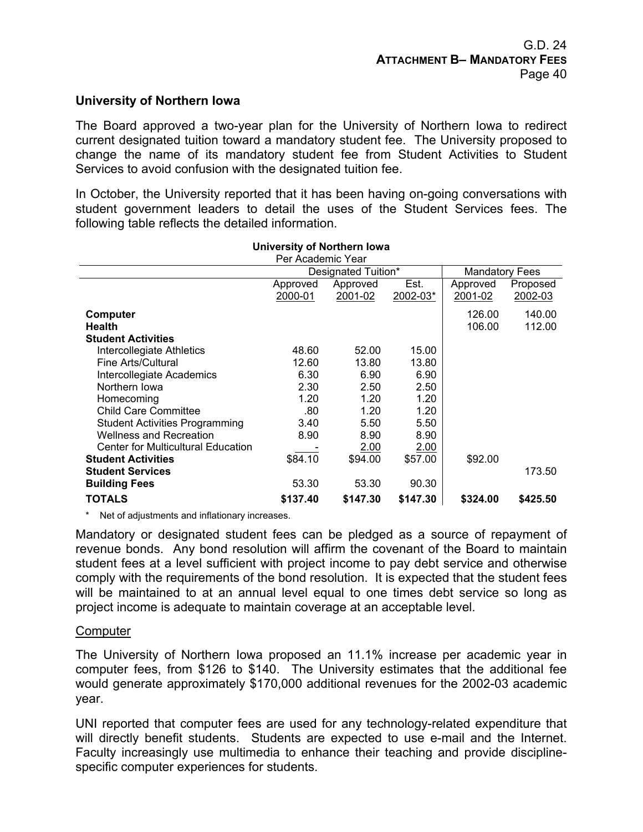## **University of Northern Iowa**

The Board approved a two-year plan for the University of Northern Iowa to redirect current designated tuition toward a mandatory student fee. The University proposed to change the name of its mandatory student fee from Student Activities to Student Services to avoid confusion with the designated tuition fee.

In October, the University reported that it has been having on-going conversations with student government leaders to detail the uses of the Student Services fees. The following table reflects the detailed information.

|                                           | Per Academic Year |                     |          |                       |          |  |
|-------------------------------------------|-------------------|---------------------|----------|-----------------------|----------|--|
|                                           |                   | Designated Tuition* |          | <b>Mandatory Fees</b> |          |  |
|                                           | Approved          | Approved            | Est.     | Approved              | Proposed |  |
|                                           | 2000-01           | 2001-02             | 2002-03* | 2001-02               | 2002-03  |  |
| Computer                                  |                   |                     |          | 126.00                | 140.00   |  |
| Health                                    |                   |                     |          | 106.00                | 112.00   |  |
| <b>Student Activities</b>                 |                   |                     |          |                       |          |  |
| Intercollegiate Athletics                 | 48.60             | 52.00               | 15.00    |                       |          |  |
| Fine Arts/Cultural                        | 12.60             | 13.80               | 13.80    |                       |          |  |
| Intercollegiate Academics                 | 6.30              | 6.90                | 6.90     |                       |          |  |
| Northern Iowa                             | 2.30              | 2.50                | 2.50     |                       |          |  |
| Homecoming                                | 1.20              | 1.20                | 1.20     |                       |          |  |
| <b>Child Care Committee</b>               | .80               | 1.20                | 1.20     |                       |          |  |
| <b>Student Activities Programming</b>     | 3.40              | 5.50                | 5.50     |                       |          |  |
| <b>Wellness and Recreation</b>            | 8.90              | 8.90                | 8.90     |                       |          |  |
| <b>Center for Multicultural Education</b> |                   | 2.00                | 2.00     |                       |          |  |
| <b>Student Activities</b>                 | \$84.10           | \$94.00             | \$57.00  | \$92.00               |          |  |
| <b>Student Services</b>                   |                   |                     |          |                       | 173.50   |  |
| <b>Building Fees</b>                      | 53.30             | 53.30               | 90.30    |                       |          |  |
| TOTALS                                    | \$137.40          | \$147.30            | \$147.30 | \$324.00              | \$425.50 |  |

## **University of Northern Iowa**

\* Net of adjustments and inflationary increases.

Mandatory or designated student fees can be pledged as a source of repayment of revenue bonds. Any bond resolution will affirm the covenant of the Board to maintain student fees at a level sufficient with project income to pay debt service and otherwise comply with the requirements of the bond resolution. It is expected that the student fees will be maintained to at an annual level equal to one times debt service so long as project income is adequate to maintain coverage at an acceptable level.

#### **Computer**

The University of Northern Iowa proposed an 11.1% increase per academic year in computer fees, from \$126 to \$140. The University estimates that the additional fee would generate approximately \$170,000 additional revenues for the 2002-03 academic year.

UNI reported that computer fees are used for any technology-related expenditure that will directly benefit students. Students are expected to use e-mail and the Internet. Faculty increasingly use multimedia to enhance their teaching and provide disciplinespecific computer experiences for students.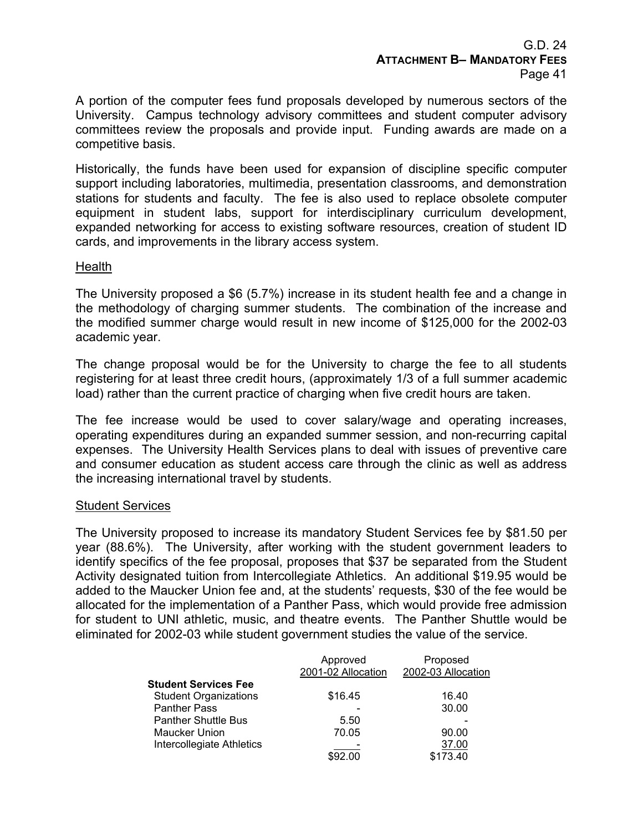A portion of the computer fees fund proposals developed by numerous sectors of the University. Campus technology advisory committees and student computer advisory committees review the proposals and provide input. Funding awards are made on a competitive basis.

Historically, the funds have been used for expansion of discipline specific computer support including laboratories, multimedia, presentation classrooms, and demonstration stations for students and faculty. The fee is also used to replace obsolete computer equipment in student labs, support for interdisciplinary curriculum development, expanded networking for access to existing software resources, creation of student ID cards, and improvements in the library access system.

## **Health**

The University proposed a \$6 (5.7%) increase in its student health fee and a change in the methodology of charging summer students. The combination of the increase and the modified summer charge would result in new income of \$125,000 for the 2002-03 academic year.

The change proposal would be for the University to charge the fee to all students registering for at least three credit hours, (approximately 1/3 of a full summer academic load) rather than the current practice of charging when five credit hours are taken.

The fee increase would be used to cover salary/wage and operating increases, operating expenditures during an expanded summer session, and non-recurring capital expenses. The University Health Services plans to deal with issues of preventive care and consumer education as student access care through the clinic as well as address the increasing international travel by students.

## Student Services

The University proposed to increase its mandatory Student Services fee by \$81.50 per year (88.6%). The University, after working with the student government leaders to identify specifics of the fee proposal, proposes that \$37 be separated from the Student Activity designated tuition from Intercollegiate Athletics. An additional \$19.95 would be added to the Maucker Union fee and, at the students' requests, \$30 of the fee would be allocated for the implementation of a Panther Pass, which would provide free admission for student to UNI athletic, music, and theatre events. The Panther Shuttle would be eliminated for 2002-03 while student government studies the value of the service.

|                              | Approved           | Proposed           |
|------------------------------|--------------------|--------------------|
|                              | 2001-02 Allocation | 2002-03 Allocation |
| Student Services Fee         |                    |                    |
| <b>Student Organizations</b> | \$16.45            | 16.40              |
| <b>Panther Pass</b>          |                    | 30.00              |
| <b>Panther Shuttle Bus</b>   | 5.50               |                    |
| <b>Maucker Union</b>         | 70.05              | 90.00              |
| Intercollegiate Athletics    |                    | 37.00              |
|                              | \$92.00            | \$173.40           |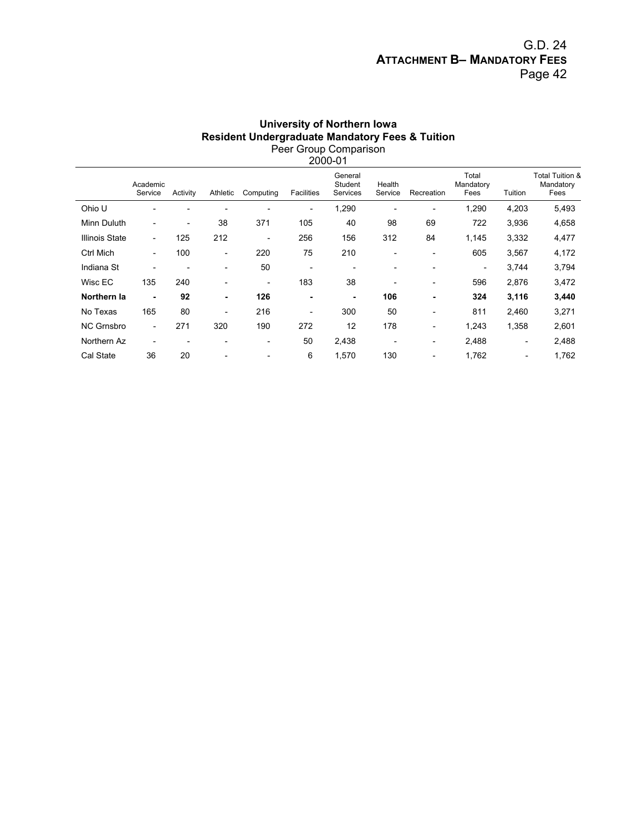## G.D. 24 **ATTACHMENT B– MANDATORY FEES** Page 42

#### **University of Northern Iowa Resident Undergraduate Mandatory Fees & Tuition**  Peer Group Comparison 2000-01

| Academic<br>Service      | Activity                 | Athletic                 | Computing                | <b>Facilities</b>        | General<br>Student<br>Services | Health<br>Service            | Recreation               | Total<br>Mandatory<br>Fees | Tuition                  | Total Tuition &<br>Mandatory<br>Fees |
|--------------------------|--------------------------|--------------------------|--------------------------|--------------------------|--------------------------------|------------------------------|--------------------------|----------------------------|--------------------------|--------------------------------------|
|                          |                          | $\overline{\phantom{0}}$ | ٠                        | $\overline{\phantom{a}}$ | 1,290                          | $\overline{\phantom{0}}$     | $\overline{\phantom{0}}$ | 1,290                      | 4,203                    | 5,493                                |
|                          | $\overline{\phantom{a}}$ | 38                       | 371                      | 105                      | 40                             | 98                           | 69                       | 722                        | 3,936                    | 4,658                                |
| $\overline{\phantom{0}}$ | 125                      | 212                      | $\overline{\phantom{a}}$ | 256                      | 156                            | 312                          | 84                       | 1,145                      | 3,332                    | 4,477                                |
| $\overline{\phantom{a}}$ | 100                      | $\overline{\phantom{a}}$ | 220                      | 75                       | 210                            | $\overline{\phantom{a}}$     | $\overline{a}$           | 605                        | 3,567                    | 4,172                                |
|                          |                          | $\overline{\phantom{a}}$ | 50                       | $\overline{\phantom{a}}$ | $\overline{\phantom{0}}$       | $\overline{\phantom{0}}$     |                          | $\overline{\phantom{a}}$   | 3,744                    | 3,794                                |
| 135                      | 240                      | $\overline{\phantom{a}}$ | $\overline{\phantom{a}}$ | 183                      | 38                             | $\overline{\phantom{a}}$     | $\overline{\phantom{a}}$ | 596                        | 2,876                    | 3,472                                |
| ۰                        | 92                       | ٠                        | 126                      | ۰                        | ۰                              | 106                          | ۰                        | 324                        | 3,116                    | 3,440                                |
| 165                      | 80                       | $\overline{\phantom{a}}$ | 216                      | $\overline{\phantom{a}}$ | 300                            | 50                           | $\overline{a}$           | 811                        | 2,460                    | 3,271                                |
|                          | 271                      | 320                      | 190                      | 272                      | 12                             | 178                          | $\overline{\phantom{0}}$ | 1,243                      | 1,358                    | 2,601                                |
|                          |                          | $\overline{\phantom{a}}$ | $\overline{\phantom{a}}$ | 50                       | 2,438                          | $\qquad \qquad \blacksquare$ | $\overline{\phantom{a}}$ | 2,488                      | $\overline{\phantom{a}}$ | 2,488                                |
| 36                       | 20                       |                          |                          | 6                        | 1,570                          | 130                          |                          | 1,762                      |                          | 1,762                                |
| <b>Illinois State</b>    |                          |                          |                          |                          |                                |                              |                          |                            |                          |                                      |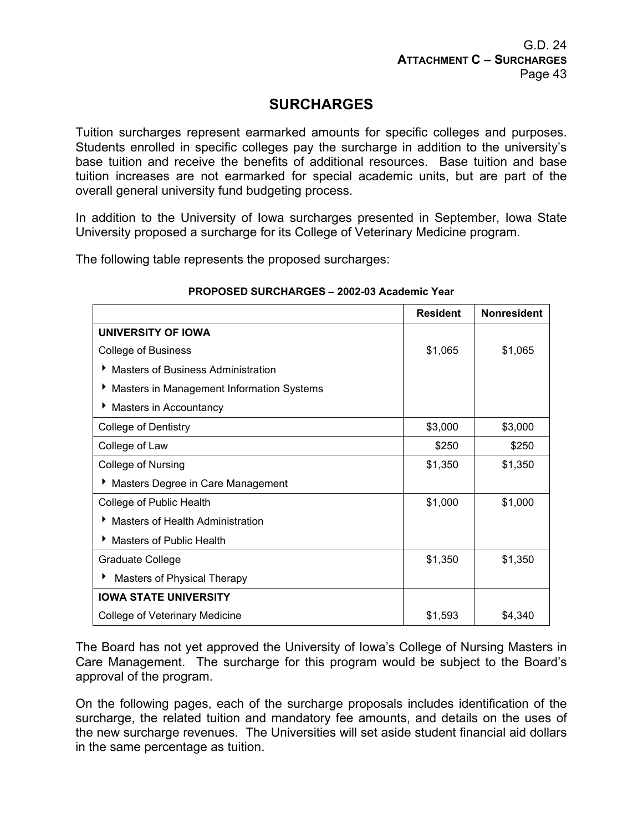# **SURCHARGES**

Tuition surcharges represent earmarked amounts for specific colleges and purposes. Students enrolled in specific colleges pay the surcharge in addition to the university's base tuition and receive the benefits of additional resources. Base tuition and base tuition increases are not earmarked for special academic units, but are part of the overall general university fund budgeting process.

In addition to the University of Iowa surcharges presented in September, Iowa State University proposed a surcharge for its College of Veterinary Medicine program.

The following table represents the proposed surcharges:

|                                                | <b>Resident</b> | <b>Nonresident</b> |
|------------------------------------------------|-----------------|--------------------|
| UNIVERSITY OF IOWA                             |                 |                    |
| <b>College of Business</b>                     | \$1,065         | \$1,065            |
| <b>Masters of Business Administration</b><br>▶ |                 |                    |
| Masters in Management Information Systems      |                 |                    |
| Masters in Accountancy                         |                 |                    |
| <b>College of Dentistry</b>                    | \$3,000         | \$3,000            |
| College of Law                                 | \$250           | \$250              |
| <b>College of Nursing</b>                      | \$1,350         | \$1,350            |
| Masters Degree in Care Management              |                 |                    |
| College of Public Health                       | \$1,000         | \$1,000            |
| <b>Masters of Health Administration</b>        |                 |                    |
| <b>Masters of Public Health</b>                |                 |                    |
| <b>Graduate College</b>                        | \$1,350         | \$1,350            |
| Masters of Physical Therapy                    |                 |                    |
| <b>IOWA STATE UNIVERSITY</b>                   |                 |                    |
| College of Veterinary Medicine                 | \$1,593         | \$4,340            |

## **PROPOSED SURCHARGES – 2002-03 Academic Year**

The Board has not yet approved the University of Iowa's College of Nursing Masters in Care Management. The surcharge for this program would be subject to the Board's approval of the program.

On the following pages, each of the surcharge proposals includes identification of the surcharge, the related tuition and mandatory fee amounts, and details on the uses of the new surcharge revenues. The Universities will set aside student financial aid dollars in the same percentage as tuition.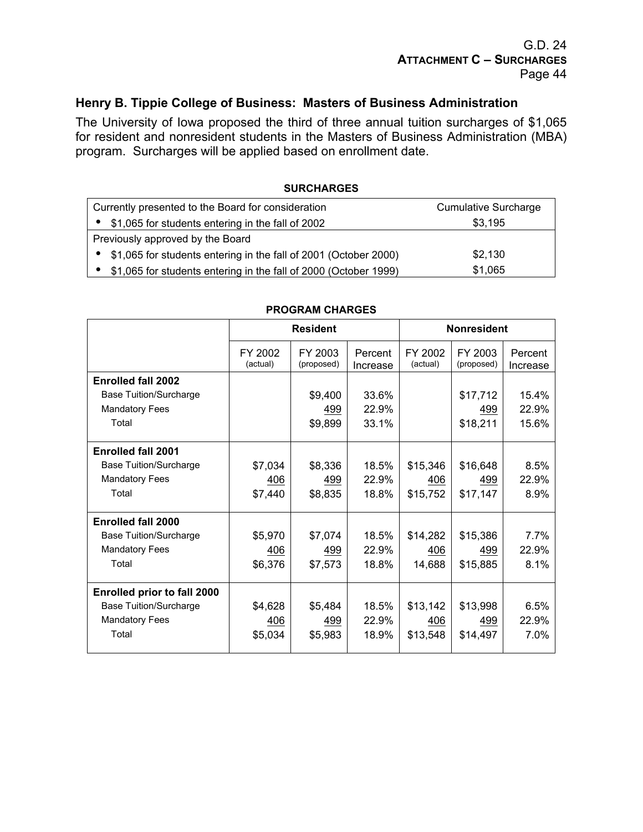## **Henry B. Tippie College of Business: Masters of Business Administration**

The University of Iowa proposed the third of three annual tuition surcharges of \$1,065 for resident and nonresident students in the Masters of Business Administration (MBA) program. Surcharges will be applied based on enrollment date.

#### **SURCHARGES**

| Currently presented to the Board for consideration               | <b>Cumulative Surcharge</b> |
|------------------------------------------------------------------|-----------------------------|
| \$1,065 for students entering in the fall of 2002                | \$3,195                     |
| Previously approved by the Board                                 |                             |
| \$1,065 for students entering in the fall of 2001 (October 2000) | \$2,130                     |
| \$1,065 for students entering in the fall of 2000 (October 1999) | \$1,065                     |

|                                    |                     | <b>Resident</b>       | <b>Nonresident</b>  |                     |                       |                     |
|------------------------------------|---------------------|-----------------------|---------------------|---------------------|-----------------------|---------------------|
|                                    | FY 2002<br>(actual) | FY 2003<br>(proposed) | Percent<br>Increase | FY 2002<br>(actual) | FY 2003<br>(proposed) | Percent<br>Increase |
| <b>Enrolled fall 2002</b>          |                     |                       |                     |                     |                       |                     |
| <b>Base Tuition/Surcharge</b>      |                     | \$9,400               | 33.6%               |                     | \$17,712              | 15.4%               |
| <b>Mandatory Fees</b>              |                     | 499                   | 22.9%               |                     | 499                   | 22.9%               |
| Total                              |                     | \$9,899               | 33.1%               |                     | \$18,211              | 15.6%               |
| <b>Enrolled fall 2001</b>          |                     |                       |                     |                     |                       |                     |
| <b>Base Tuition/Surcharge</b>      | \$7,034             | \$8,336               | 18.5%               | \$15,346            | \$16,648              | 8.5%                |
| <b>Mandatory Fees</b>              | 406                 | 499                   | 22.9%               | 406                 | 499                   | 22.9%               |
| Total                              | \$7,440             | \$8,835               | 18.8%               | \$15,752            | \$17,147              | 8.9%                |
| <b>Enrolled fall 2000</b>          |                     |                       |                     |                     |                       |                     |
| <b>Base Tuition/Surcharge</b>      | \$5,970             | \$7,074               | 18.5%               | \$14,282            | \$15,386              | 7.7%                |
| <b>Mandatory Fees</b>              | 406                 | 499                   | 22.9%               | 406                 | 499                   | 22.9%               |
| Total                              | \$6,376             | \$7,573               | 18.8%               | 14,688              | \$15,885              | 8.1%                |
| <b>Enrolled prior to fall 2000</b> |                     |                       |                     |                     |                       |                     |
| <b>Base Tuition/Surcharge</b>      | \$4,628             | \$5,484               | 18.5%               | \$13,142            | \$13,998              | 6.5%                |
| <b>Mandatory Fees</b>              | 406                 | 499                   | 22.9%               | 406                 | 499                   | 22.9%               |
| Total                              | \$5,034             | \$5,983               | 18.9%               | \$13,548            | \$14,497              | 7.0%                |

#### **PROGRAM CHARGES**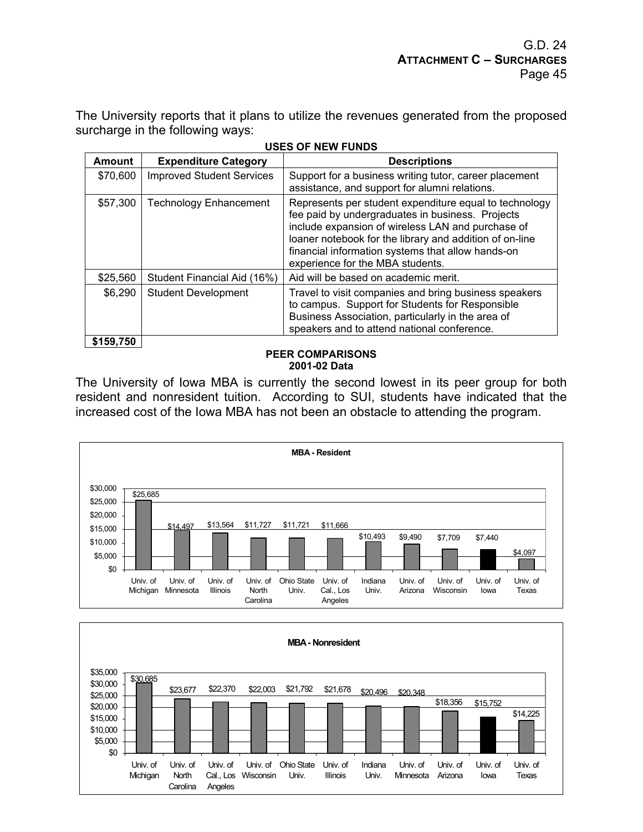The University reports that it plans to utilize the revenues generated from the proposed surcharge in the following ways:

| <b>Amount</b> | <b>Expenditure Category</b>      | <b>Descriptions</b>                                                                                                                                                                                                                                                                                                 |
|---------------|----------------------------------|---------------------------------------------------------------------------------------------------------------------------------------------------------------------------------------------------------------------------------------------------------------------------------------------------------------------|
| \$70,600      | <b>Improved Student Services</b> | Support for a business writing tutor, career placement<br>assistance, and support for alumni relations.                                                                                                                                                                                                             |
| \$57,300      | <b>Technology Enhancement</b>    | Represents per student expenditure equal to technology<br>fee paid by undergraduates in business. Projects<br>include expansion of wireless LAN and purchase of<br>loaner notebook for the library and addition of on-line<br>financial information systems that allow hands-on<br>experience for the MBA students. |
| \$25,560      | Student Financial Aid (16%)      | Aid will be based on academic merit.                                                                                                                                                                                                                                                                                |
| \$6,290       | <b>Student Development</b>       | Travel to visit companies and bring business speakers<br>to campus. Support for Students for Responsible<br>Business Association, particularly in the area of<br>speakers and to attend national conference.                                                                                                        |
| \$159,750     |                                  |                                                                                                                                                                                                                                                                                                                     |

|  | <b>USES OF NEW FUNDS</b> |
|--|--------------------------|
|  |                          |

#### **PEER COMPARISONS 2001-02 Data**

The University of Iowa MBA is currently the second lowest in its peer group for both resident and nonresident tuition. According to SUI, students have indicated that the increased cost of the Iowa MBA has not been an obstacle to attending the program.



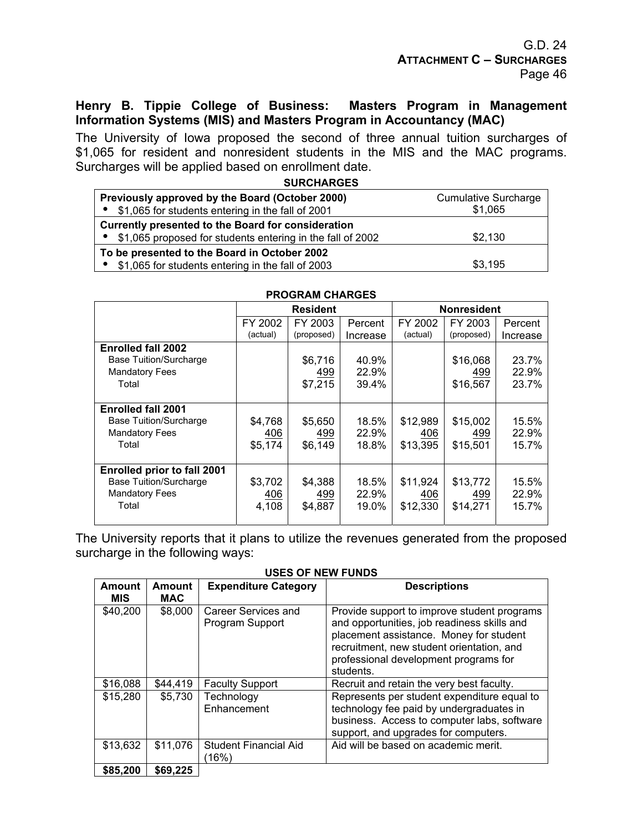## **Henry B. Tippie College of Business: Masters Program in Management Information Systems (MIS) and Masters Program in Accountancy (MAC)**

The University of Iowa proposed the second of three annual tuition surcharges of \$1,065 for resident and nonresident students in the MIS and the MAC programs. Surcharges will be applied based on enrollment date.

| <b>SURCHARGES</b>                                          |                             |
|------------------------------------------------------------|-----------------------------|
| Previously approved by the Board (October 2000)            | <b>Cumulative Surcharge</b> |
| \$1,065 for students entering in the fall of 2001          | \$1,065                     |
| Currently presented to the Board for consideration         |                             |
| \$1,065 proposed for students entering in the fall of 2002 | \$2,130                     |
| To be presented to the Board in October 2002               |                             |
| \$1,065 for students entering in the fall of 2003          | \$3,195                     |

|                                                                                                       |                           | <b>Resident</b>           |                         | <b>Nonresident</b>          |                             |                         |
|-------------------------------------------------------------------------------------------------------|---------------------------|---------------------------|-------------------------|-----------------------------|-----------------------------|-------------------------|
|                                                                                                       | FY 2002<br>(actual)       | FY 2003<br>(proposed)     | Percent<br>Increase     | FY 2002<br>(actual)         | FY 2003<br>(proposed)       | Percent<br>Increase     |
| <b>Enrolled fall 2002</b><br><b>Base Tuition/Surcharge</b><br><b>Mandatory Fees</b><br>Total          |                           | \$6,716<br>499<br>\$7,215 | 40.9%<br>22.9%<br>39.4% |                             | \$16,068<br>499<br>\$16,567 | 23.7%<br>22.9%<br>23.7% |
| <b>Enrolled fall 2001</b><br><b>Base Tuition/Surcharge</b><br><b>Mandatory Fees</b><br>Total          | \$4,768<br>406<br>\$5,174 | \$5,650<br>499<br>\$6,149 | 18.5%<br>22.9%<br>18.8% | \$12,989<br>406<br>\$13,395 | \$15,002<br>499<br>\$15,501 | 15.5%<br>22.9%<br>15.7% |
| <b>Enrolled prior to fall 2001</b><br><b>Base Tuition/Surcharge</b><br><b>Mandatory Fees</b><br>Total | \$3,702<br>406<br>4,108   | \$4,388<br>499<br>\$4,887 | 18.5%<br>22.9%<br>19.0% | \$11,924<br>406<br>\$12,330 | \$13,772<br>499<br>\$14,271 | 15.5%<br>22.9%<br>15.7% |

## **PROGRAM CHARGES**

The University reports that it plans to utilize the revenues generated from the proposed surcharge in the following ways:

#### **USES OF NEW FUNDS**

| <b>Amount</b><br><b>MIS</b> | <b>Amount</b><br><b>MAC</b> | <b>Expenditure Category</b>            | <b>Descriptions</b>                                                                                                                                                                                                                      |
|-----------------------------|-----------------------------|----------------------------------------|------------------------------------------------------------------------------------------------------------------------------------------------------------------------------------------------------------------------------------------|
| \$40,200                    | \$8,000                     | Career Services and<br>Program Support | Provide support to improve student programs<br>and opportunities, job readiness skills and<br>placement assistance. Money for student<br>recruitment, new student orientation, and<br>professional development programs for<br>students. |
| \$16,088                    | \$44.419                    | <b>Faculty Support</b>                 | Recruit and retain the very best faculty.                                                                                                                                                                                                |
| \$15,280                    | \$5,730                     | Technology<br>Enhancement              | Represents per student expenditure equal to<br>technology fee paid by undergraduates in<br>business. Access to computer labs, software<br>support, and upgrades for computers.                                                           |
| \$13,632                    | \$11,076                    | <b>Student Financial Aid</b><br>(16%)  | Aid will be based on academic merit.                                                                                                                                                                                                     |
| \$85,200                    | \$69,225                    |                                        |                                                                                                                                                                                                                                          |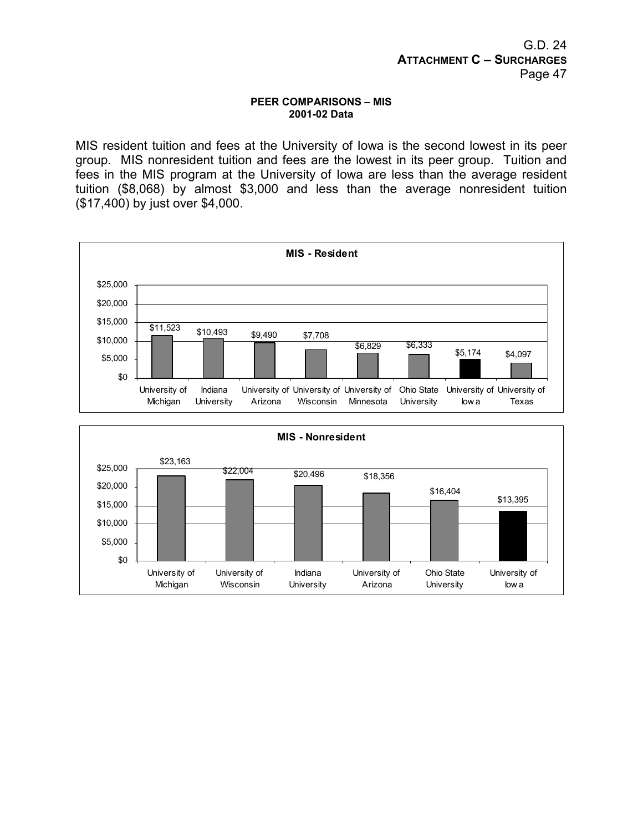#### **PEER COMPARISONS – MIS 2001-02 Data**

MIS resident tuition and fees at the University of Iowa is the second lowest in its peer group. MIS nonresident tuition and fees are the lowest in its peer group. Tuition and fees in the MIS program at the University of Iowa are less than the average resident tuition (\$8,068) by almost \$3,000 and less than the average nonresident tuition (\$17,400) by just over \$4,000.



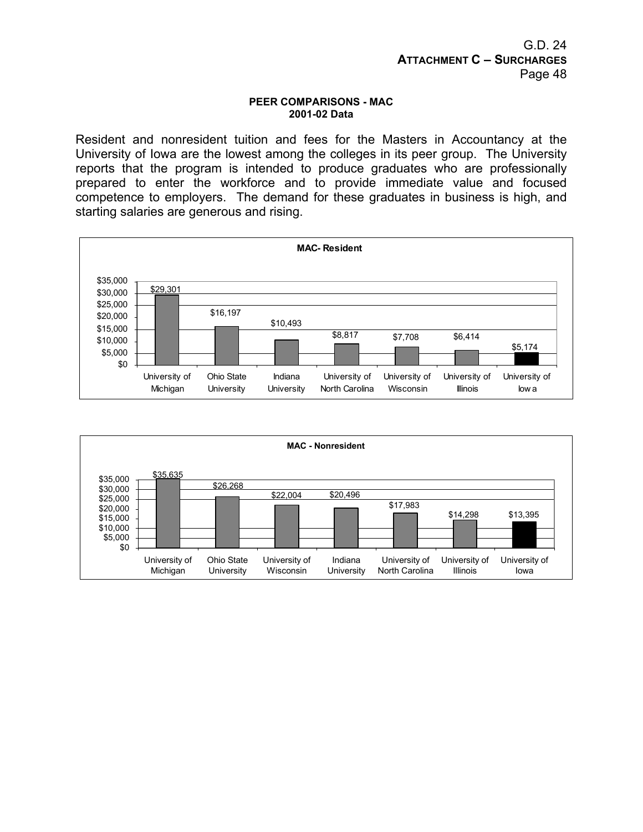#### **PEER COMPARISONS - MAC 2001-02 Data**

Resident and nonresident tuition and fees for the Masters in Accountancy at the University of Iowa are the lowest among the colleges in its peer group. The University reports that the program is intended to produce graduates who are professionally prepared to enter the workforce and to provide immediate value and focused competence to employers. The demand for these graduates in business is high, and starting salaries are generous and rising.



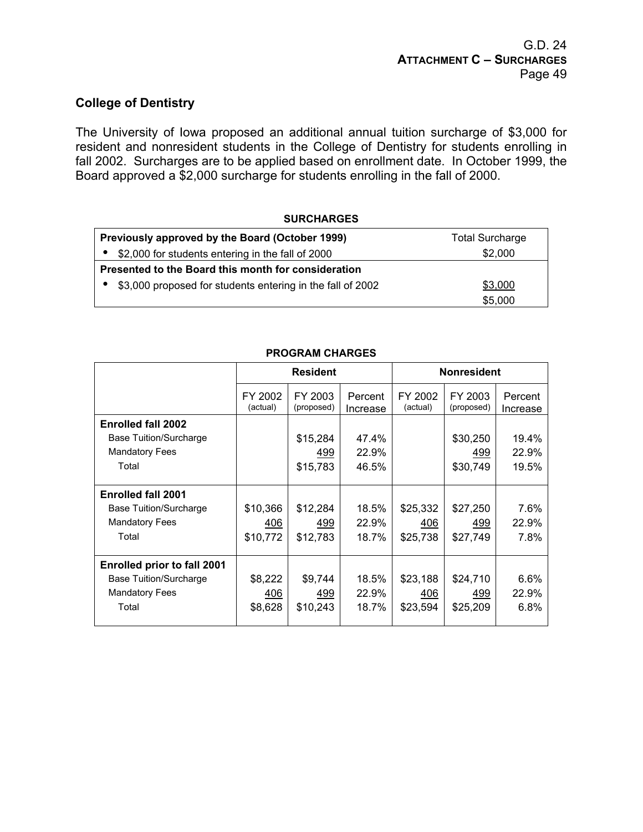## **College of Dentistry**

The University of Iowa proposed an additional annual tuition surcharge of \$3,000 for resident and nonresident students in the College of Dentistry for students enrolling in fall 2002. Surcharges are to be applied based on enrollment date. In October 1999, the Board approved a \$2,000 surcharge for students enrolling in the fall of 2000.

#### **SURCHARGES**

| Previously approved by the Board (October 1999)            | <b>Total Surcharge</b> |
|------------------------------------------------------------|------------------------|
| \$2,000 for students entering in the fall of 2000          | \$2,000                |
| Presented to the Board this month for consideration        |                        |
| \$3,000 proposed for students entering in the fall of 2002 | \$3,000                |
|                                                            | \$5,000                |

|                                    | <b>Resident</b>     |                       | <b>Nonresident</b>  |                     |                       |                     |
|------------------------------------|---------------------|-----------------------|---------------------|---------------------|-----------------------|---------------------|
|                                    | FY 2002<br>(actual) | FY 2003<br>(proposed) | Percent<br>Increase | FY 2002<br>(actual) | FY 2003<br>(proposed) | Percent<br>Increase |
| <b>Enrolled fall 2002</b>          |                     |                       |                     |                     |                       |                     |
| <b>Base Tuition/Surcharge</b>      |                     | \$15,284              | 47.4%               |                     | \$30,250              | 19.4%               |
| <b>Mandatory Fees</b>              |                     | 499                   | 22.9%               |                     | 499                   | 22.9%               |
| Total                              |                     | \$15,783              | 46.5%               |                     | \$30,749              | 19.5%               |
|                                    |                     |                       |                     |                     |                       |                     |
| <b>Enrolled fall 2001</b>          |                     |                       |                     |                     |                       |                     |
| <b>Base Tuition/Surcharge</b>      | \$10,366            | \$12,284              | 18.5%               | \$25,332            | \$27,250              | 7.6%                |
| <b>Mandatory Fees</b>              | 406                 | 499                   | 22.9%               | 406                 | 499                   | 22.9%               |
| Total                              | \$10,772            | \$12,783              | 18.7%               | \$25,738            | \$27,749              | 7.8%                |
|                                    |                     |                       |                     |                     |                       |                     |
| <b>Enrolled prior to fall 2001</b> |                     |                       |                     |                     |                       |                     |
| <b>Base Tuition/Surcharge</b>      | \$8,222             | \$9,744               | 18.5%               | \$23,188            | \$24,710              | 6.6%                |
| <b>Mandatory Fees</b>              | 406                 | 499                   | 22.9%               | 406                 | 499                   | 22.9%               |
| Total                              | \$8,628             | \$10,243              | 18.7%               | \$23,594            | \$25,209              | 6.8%                |
|                                    |                     |                       |                     |                     |                       |                     |

#### **PROGRAM CHARGES**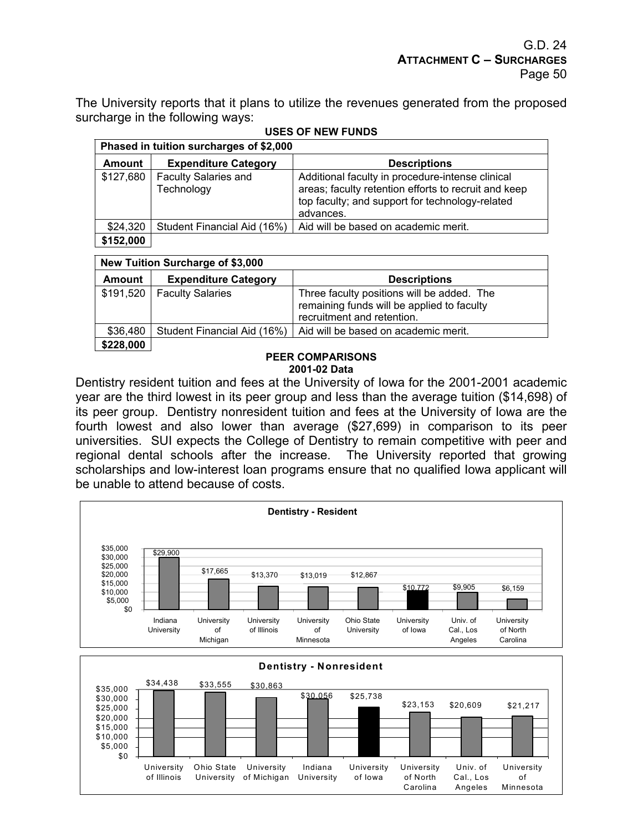The University reports that it plans to utilize the revenues generated from the proposed surcharge in the following ways:

|               | Phased in tuition surcharges of \$2,000   |                                                                                                                                                                          |  |  |  |  |  |
|---------------|-------------------------------------------|--------------------------------------------------------------------------------------------------------------------------------------------------------------------------|--|--|--|--|--|
| <b>Amount</b> | <b>Expenditure Category</b>               | <b>Descriptions</b>                                                                                                                                                      |  |  |  |  |  |
| \$127,680     | <b>Faculty Salaries and</b><br>Technology | Additional faculty in procedure-intense clinical<br>areas; faculty retention efforts to recruit and keep<br>top faculty; and support for technology-related<br>advances. |  |  |  |  |  |
| \$24,320      | Student Financial Aid (16%)               | Aid will be based on academic merit.                                                                                                                                     |  |  |  |  |  |
| \$152,000     |                                           |                                                                                                                                                                          |  |  |  |  |  |

## **USES OF NEW FUNDS**

#### **New Tuition Surcharge of \$3,000**

| Amount    | <b>Expenditure Category</b>  | <b>Descriptions</b>                                                                                                    |
|-----------|------------------------------|------------------------------------------------------------------------------------------------------------------------|
|           | \$191,520   Faculty Salaries | Three faculty positions will be added. The<br>remaining funds will be applied to faculty<br>recruitment and retention. |
| \$36,480  | Student Financial Aid (16%)  | Aid will be based on academic merit.                                                                                   |
| \$228,000 |                              |                                                                                                                        |

#### **PEER COMPARISONS 2001-02 Data**

Dentistry resident tuition and fees at the University of Iowa for the 2001-2001 academic year are the third lowest in its peer group and less than the average tuition (\$14,698) of its peer group. Dentistry nonresident tuition and fees at the University of Iowa are the fourth lowest and also lower than average (\$27,699) in comparison to its peer universities. SUI expects the College of Dentistry to remain competitive with peer and regional dental schools after the increase. The University reported that growing scholarships and low-interest loan programs ensure that no qualified Iowa applicant will be unable to attend because of costs.



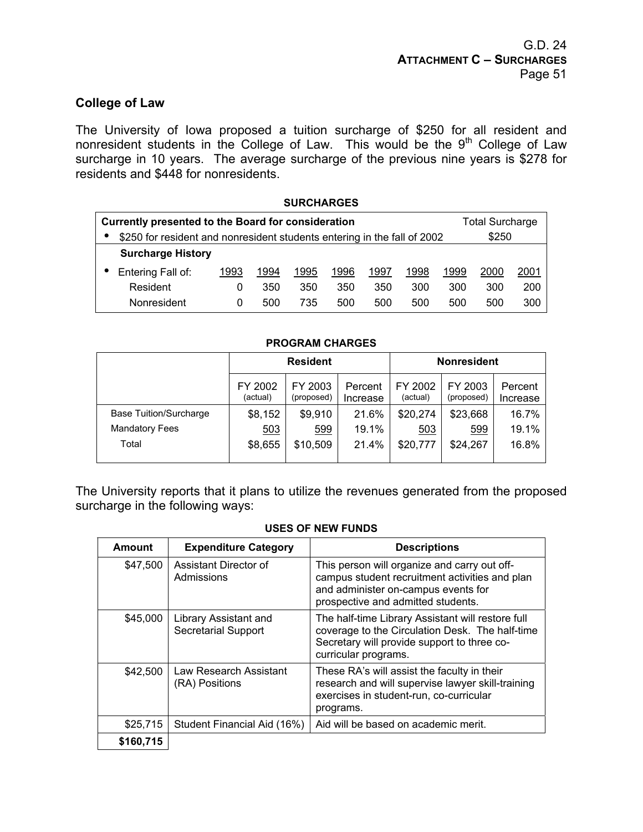## **College of Law**

The University of Iowa proposed a tuition surcharge of \$250 for all resident and nonresident students in the College of Law. This would be the  $9<sup>th</sup>$  College of Law surcharge in 10 years. The average surcharge of the previous nine years is \$278 for residents and \$448 for nonresidents.

# **SURCHARGES Currently presented to the Board for consideration <b>Total Surcharge Total Surcharge** • \$250 for resident and nonresident students entering in the fall of 2002 \$250 **Surcharge History**  • Entering Fall of: 1993 1994 1995 1996 1997 1998 1999 2000 2001 Resident 0 350 350 350 350 300 300 300 200 Nonresident 0 500 735 500 500 500 500 500 300

#### **PROGRAM CHARGES**

|                        | <b>Resident</b>     |                       |                     | <b>Nonresident</b>  |                       |                     |
|------------------------|---------------------|-----------------------|---------------------|---------------------|-----------------------|---------------------|
|                        | FY 2002<br>(actual) | FY 2003<br>(proposed) | Percent<br>Increase | FY 2002<br>(actual) | FY 2003<br>(proposed) | Percent<br>Increase |
| Base Tuition/Surcharge | \$8,152             | \$9,910               | 21.6%               | \$20,274            | \$23,668              | 16.7%               |
| <b>Mandatory Fees</b>  | 503                 | 599                   | 19.1%               | 503                 | 599                   | 19.1%               |
| Total                  | \$8,655             | \$10,509              | 21.4%               | \$20,777            | \$24,267              | 16.8%               |

The University reports that it plans to utilize the revenues generated from the proposed surcharge in the following ways:

#### **USES OF NEW FUNDS**

| Amount    | <b>Expenditure Category</b>                         | <b>Descriptions</b>                                                                                                                                                         |
|-----------|-----------------------------------------------------|-----------------------------------------------------------------------------------------------------------------------------------------------------------------------------|
| \$47,500  | Assistant Director of<br>Admissions                 | This person will organize and carry out off-<br>campus student recruitment activities and plan<br>and administer on-campus events for<br>prospective and admitted students. |
| \$45,000  | Library Assistant and<br><b>Secretarial Support</b> | The half-time Library Assistant will restore full<br>coverage to the Circulation Desk. The half-time<br>Secretary will provide support to three co-<br>curricular programs. |
| \$42,500  | Law Research Assistant<br>(RA) Positions            | These RA's will assist the faculty in their<br>research and will supervise lawyer skill-training<br>exercises in student-run, co-curricular<br>programs.                    |
| \$25,715  | Student Financial Aid (16%)                         | Aid will be based on academic merit.                                                                                                                                        |
| \$160,715 |                                                     |                                                                                                                                                                             |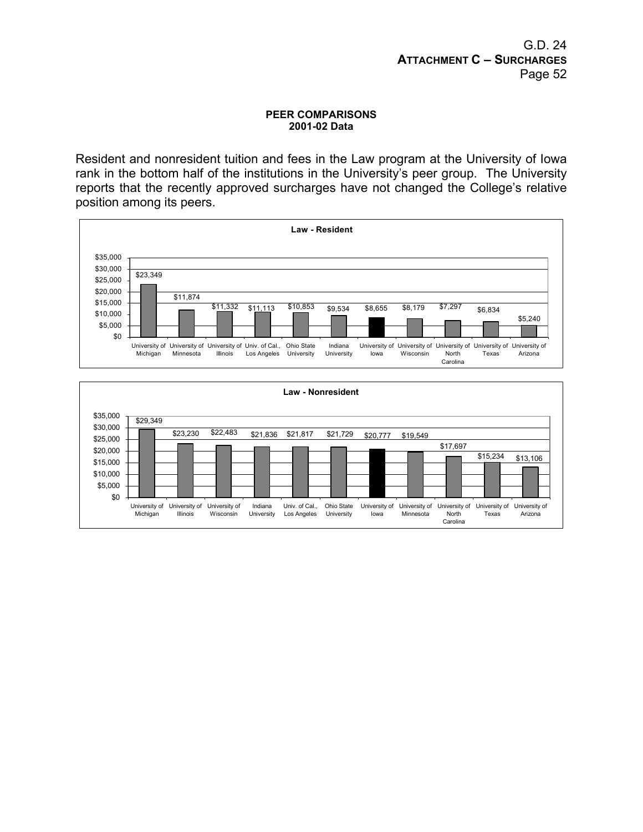#### **PEER COMPARISONS 2001-02 Data**

Resident and nonresident tuition and fees in the Law program at the University of Iowa rank in the bottom half of the institutions in the University's peer group. The University reports that the recently approved surcharges have not changed the College's relative position among its peers.



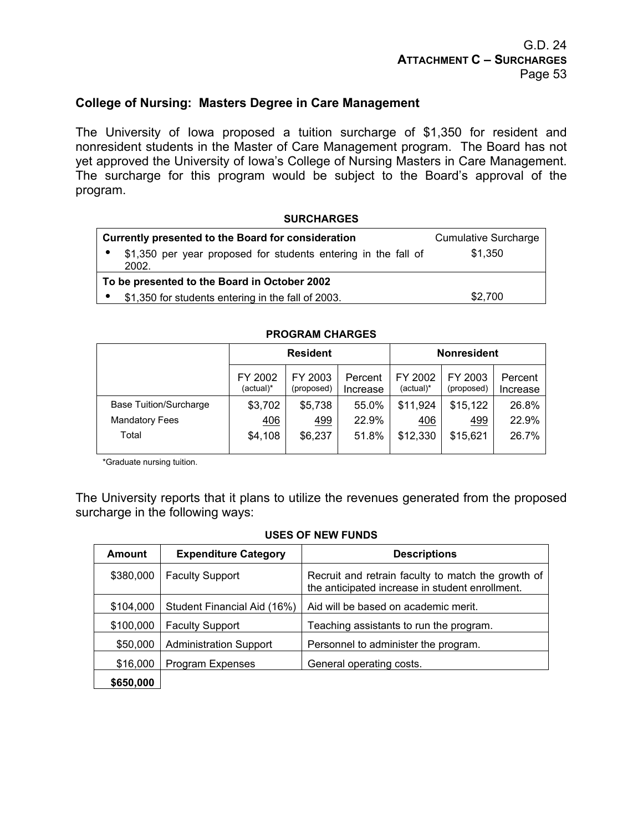## **College of Nursing: Masters Degree in Care Management**

The University of Iowa proposed a tuition surcharge of \$1,350 for resident and nonresident students in the Master of Care Management program. The Board has not yet approved the University of Iowa's College of Nursing Masters in Care Management. The surcharge for this program would be subject to the Board's approval of the program.

#### **SURCHARGES**

| Currently presented to the Board for consideration                      | <b>Cumulative Surcharge</b> |
|-------------------------------------------------------------------------|-----------------------------|
| \$1,350 per year proposed for students entering in the fall of<br>2002. | \$1,350                     |
| To be presented to the Board in October 2002                            |                             |
| \$1,350 for students entering in the fall of 2003.                      | \$2,700                     |

#### **PROGRAM CHARGES**

|                        | <b>Resident</b>      |                       |                     |                      | <b>Nonresident</b>    |                     |
|------------------------|----------------------|-----------------------|---------------------|----------------------|-----------------------|---------------------|
|                        | FY 2002<br>(actual)* | FY 2003<br>(proposed) | Percent<br>Increase | FY 2002<br>(actual)* | FY 2003<br>(proposed) | Percent<br>Increase |
| Base Tuition/Surcharge | \$3,702              | \$5,738               | 55.0%               | \$11,924             | \$15,122              | 26.8%               |
| <b>Mandatory Fees</b>  | 406                  | 499                   | 22.9%               | 406                  | 499                   | 22.9%               |
| Total                  | \$4,108              | \$6,237               | 51.8%               | \$12,330             | \$15,621              | 26.7%               |
|                        |                      |                       |                     |                      |                       |                     |

\*Graduate nursing tuition.

The University reports that it plans to utilize the revenues generated from the proposed surcharge in the following ways:

#### **USES OF NEW FUNDS**

| <b>Amount</b> | <b>Expenditure Category</b>   | <b>Descriptions</b>                                                                                   |
|---------------|-------------------------------|-------------------------------------------------------------------------------------------------------|
| \$380,000     | <b>Faculty Support</b>        | Recruit and retrain faculty to match the growth of<br>the anticipated increase in student enrollment. |
| \$104,000     | Student Financial Aid (16%)   | Aid will be based on academic merit.                                                                  |
| \$100,000     | <b>Faculty Support</b>        | Teaching assistants to run the program.                                                               |
| \$50,000      | <b>Administration Support</b> | Personnel to administer the program.                                                                  |
| \$16,000      | Program Expenses              | General operating costs.                                                                              |
| \$650,000     |                               |                                                                                                       |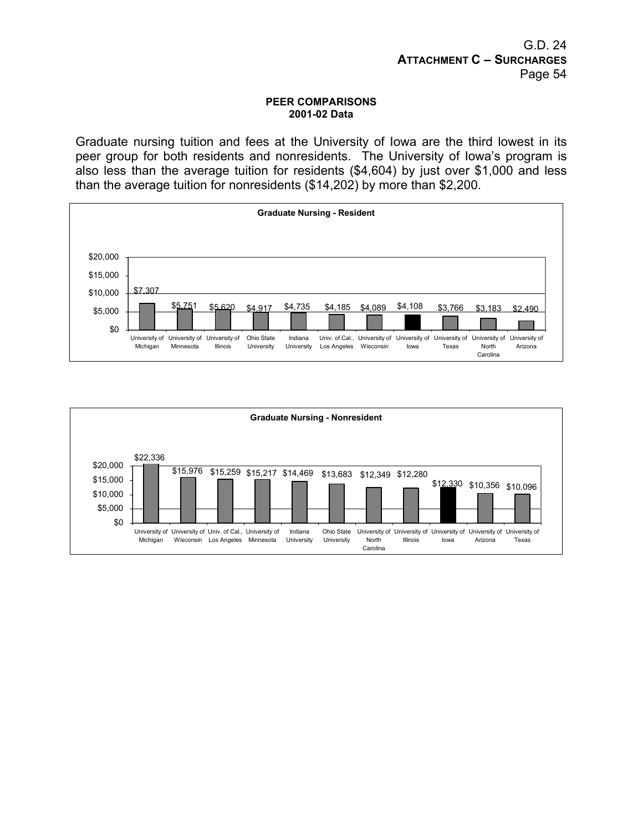#### **PEER COMPARISONS 2001-02 Data**

Graduate nursing tuition and fees at the University of Iowa are the third lowest in its peer group for both residents and nonresidents. The University of Iowa's program is also less than the average tuition for residents (\$4,604) by just over \$1,000 and less than the average tuition for nonresidents (\$14,202) by more than \$2,200.



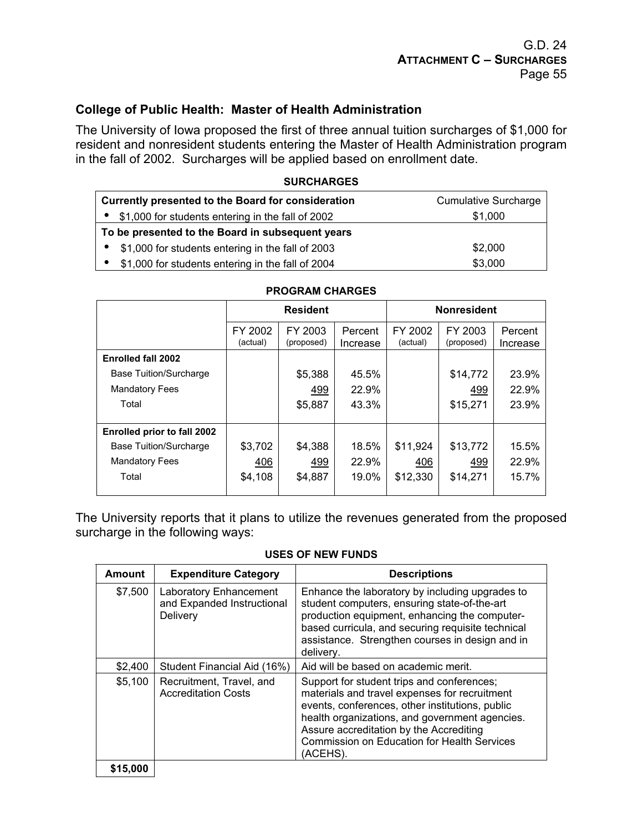## **College of Public Health: Master of Health Administration**

The University of Iowa proposed the first of three annual tuition surcharges of \$1,000 for resident and nonresident students entering the Master of Health Administration program in the fall of 2002. Surcharges will be applied based on enrollment date.

#### **SURCHARGES**

| Currently presented to the Board for consideration  | <b>Cumulative Surcharge</b> |
|-----------------------------------------------------|-----------------------------|
| • \$1,000 for students entering in the fall of 2002 | \$1,000                     |
| To be presented to the Board in subsequent years    |                             |
| • \$1,000 for students entering in the fall of 2003 | \$2,000                     |
| • \$1,000 for students entering in the fall of 2004 | \$3,000                     |

|                                    | <b>Resident</b>     |                       |                     | <b>Nonresident</b>  |                       |                     |
|------------------------------------|---------------------|-----------------------|---------------------|---------------------|-----------------------|---------------------|
|                                    | FY 2002<br>(actual) | FY 2003<br>(proposed) | Percent<br>Increase | FY 2002<br>(actual) | FY 2003<br>(proposed) | Percent<br>Increase |
| <b>Enrolled fall 2002</b>          |                     |                       |                     |                     |                       |                     |
| <b>Base Tuition/Surcharge</b>      |                     | \$5,388               | 45.5%               |                     | \$14,772              | 23.9%               |
| <b>Mandatory Fees</b>              |                     | 499                   | 22.9%               |                     | 499                   | 22.9%               |
| Total                              |                     | \$5,887               | 43.3%               |                     | \$15,271              | 23.9%               |
| <b>Enrolled prior to fall 2002</b> |                     |                       |                     |                     |                       |                     |
| <b>Base Tuition/Surcharge</b>      | \$3,702             | \$4,388               | 18.5%               | \$11,924            | \$13,772              | 15.5%               |
| <b>Mandatory Fees</b>              | 406                 | 499                   | 22.9%               | 406                 | 499                   | 22.9%               |
| Total                              | \$4,108             | \$4,887               | 19.0%               | \$12,330            | \$14,271              | 15.7%               |
|                                    |                     |                       |                     |                     |                       |                     |

#### **PROGRAM CHARGES**

The University reports that it plans to utilize the revenues generated from the proposed surcharge in the following ways:

#### **USES OF NEW FUNDS**

| <b>Amount</b> | <b>Expenditure Category</b>                                      | <b>Descriptions</b>                                                                                                                                                                                                                                                                                           |
|---------------|------------------------------------------------------------------|---------------------------------------------------------------------------------------------------------------------------------------------------------------------------------------------------------------------------------------------------------------------------------------------------------------|
| \$7,500       | Laboratory Enhancement<br>and Expanded Instructional<br>Delivery | Enhance the laboratory by including upgrades to<br>student computers, ensuring state-of-the-art<br>production equipment, enhancing the computer-<br>based curricula, and securing requisite technical<br>assistance. Strengthen courses in design and in<br>delivery.                                         |
| \$2,400       | Student Financial Aid (16%)                                      | Aid will be based on academic merit.                                                                                                                                                                                                                                                                          |
| \$5,100       | Recruitment, Travel, and<br><b>Accreditation Costs</b>           | Support for student trips and conferences;<br>materials and travel expenses for recruitment<br>events, conferences, other institutions, public<br>health organizations, and government agencies.<br>Assure accreditation by the Accrediting<br><b>Commission on Education for Health Services</b><br>(ACEHS). |
| \$15,000      |                                                                  |                                                                                                                                                                                                                                                                                                               |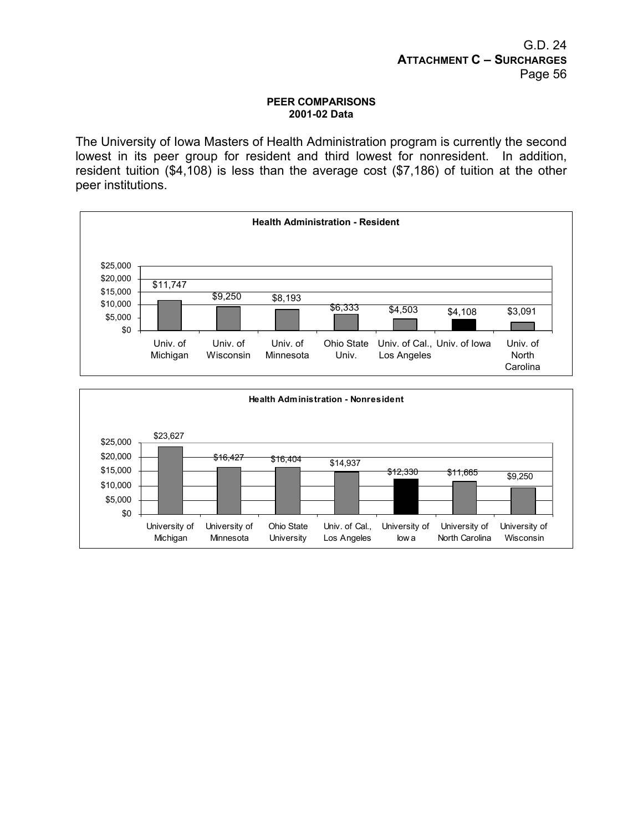#### **PEER COMPARISONS 2001-02 Data**

The University of Iowa Masters of Health Administration program is currently the second lowest in its peer group for resident and third lowest for nonresident. In addition, resident tuition (\$4,108) is less than the average cost (\$7,186) of tuition at the other peer institutions.



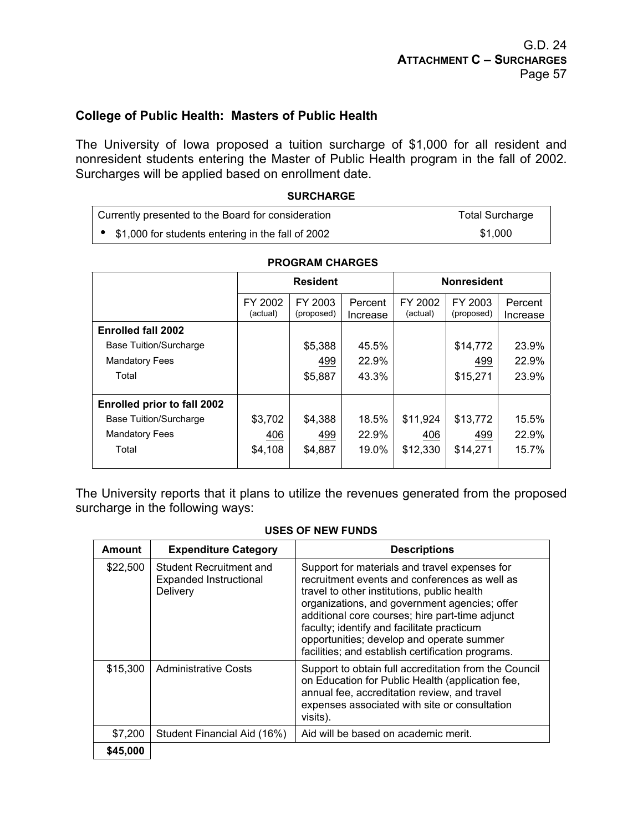## **College of Public Health: Masters of Public Health**

The University of Iowa proposed a tuition surcharge of \$1,000 for all resident and nonresident students entering the Master of Public Health program in the fall of 2002. Surcharges will be applied based on enrollment date.

#### **SURCHARGE**

| Currently presented to the Board for consideration  | <b>Total Surcharge</b> |
|-----------------------------------------------------|------------------------|
| • \$1,000 for students entering in the fall of 2002 | \$1.000                |

|                                    | <b>Resident</b>     |                       |                     | <b>Nonresident</b>  |                       |                     |
|------------------------------------|---------------------|-----------------------|---------------------|---------------------|-----------------------|---------------------|
|                                    | FY 2002<br>(actual) | FY 2003<br>(proposed) | Percent<br>Increase | FY 2002<br>(actual) | FY 2003<br>(proposed) | Percent<br>Increase |
| <b>Enrolled fall 2002</b>          |                     |                       |                     |                     |                       |                     |
| <b>Base Tuition/Surcharge</b>      |                     | \$5,388               | 45.5%               |                     | \$14,772              | 23.9%               |
| <b>Mandatory Fees</b>              |                     | 499                   | 22.9%               |                     | 499                   | 22.9%               |
| Total                              |                     | \$5,887               | 43.3%               |                     | \$15,271              | 23.9%               |
| <b>Enrolled prior to fall 2002</b> |                     |                       |                     |                     |                       |                     |
| <b>Base Tuition/Surcharge</b>      | \$3,702             | \$4,388               | 18.5%               | \$11,924            | \$13,772              | 15.5%               |
| <b>Mandatory Fees</b>              | 406                 | 499                   | 22.9%               | 406                 | 499                   | 22.9%               |
| Total                              | \$4,108             | \$4,887               | 19.0%               | \$12,330            | \$14,271              | 15.7%               |

#### **PROGRAM CHARGES**

The University reports that it plans to utilize the revenues generated from the proposed surcharge in the following ways:

#### **USES OF NEW FUNDS**

| <b>Amount</b> | <b>Expenditure Category</b>                                                 | <b>Descriptions</b>                                                                                                                                                                                                                                                                                                                                                                               |
|---------------|-----------------------------------------------------------------------------|---------------------------------------------------------------------------------------------------------------------------------------------------------------------------------------------------------------------------------------------------------------------------------------------------------------------------------------------------------------------------------------------------|
| \$22,500      | <b>Student Recruitment and</b><br><b>Expanded Instructional</b><br>Delivery | Support for materials and travel expenses for<br>recruitment events and conferences as well as<br>travel to other institutions, public health<br>organizations, and government agencies; offer<br>additional core courses; hire part-time adjunct<br>faculty; identify and facilitate practicum<br>opportunities; develop and operate summer<br>facilities; and establish certification programs. |
| \$15,300      | <b>Administrative Costs</b>                                                 | Support to obtain full accreditation from the Council<br>on Education for Public Health (application fee,<br>annual fee, accreditation review, and travel<br>expenses associated with site or consultation<br>visits).                                                                                                                                                                            |
| \$7,200       | Student Financial Aid (16%)                                                 | Aid will be based on academic merit.                                                                                                                                                                                                                                                                                                                                                              |
| \$45,000      |                                                                             |                                                                                                                                                                                                                                                                                                                                                                                                   |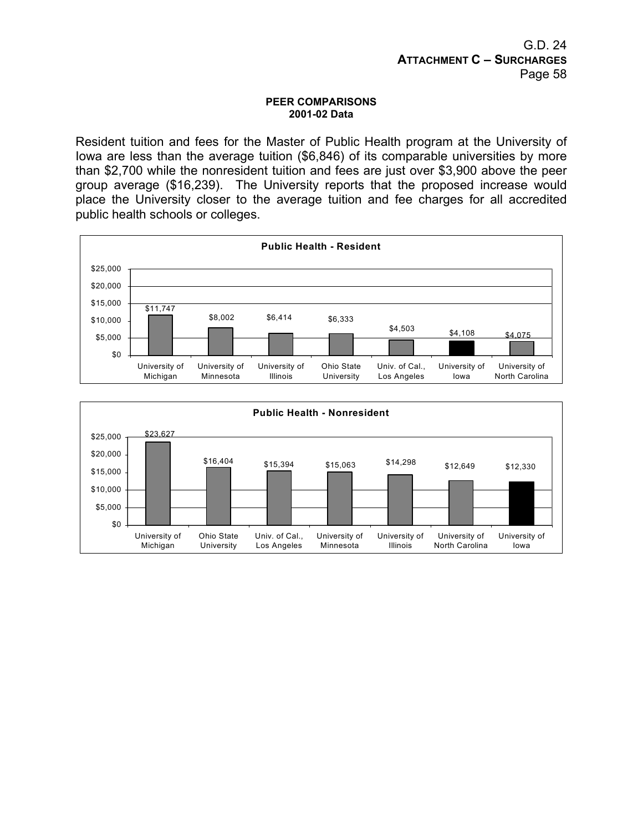#### **PEER COMPARISONS 2001-02 Data**

Resident tuition and fees for the Master of Public Health program at the University of Iowa are less than the average tuition (\$6,846) of its comparable universities by more than \$2,700 while the nonresident tuition and fees are just over \$3,900 above the peer group average (\$16,239). The University reports that the proposed increase would place the University closer to the average tuition and fee charges for all accredited public health schools or colleges.



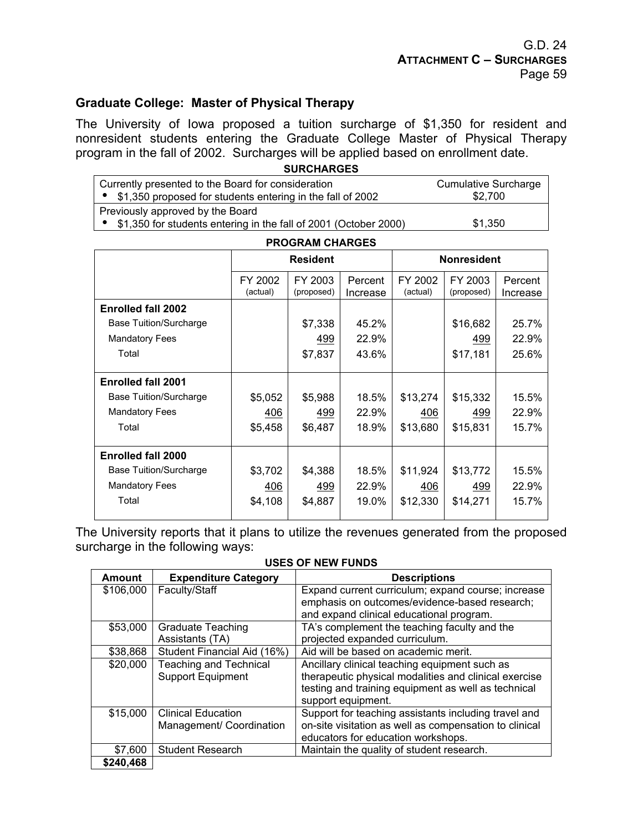## **Graduate College: Master of Physical Therapy**

The University of Iowa proposed a tuition surcharge of \$1,350 for resident and nonresident students entering the Graduate College Master of Physical Therapy program in the fall of 2002. Surcharges will be applied based on enrollment date.

| <b>SURCHARGES</b>                                                |                             |
|------------------------------------------------------------------|-----------------------------|
| Currently presented to the Board for consideration               | <b>Cumulative Surcharge</b> |
| \$1,350 proposed for students entering in the fall of 2002       | \$2.700                     |
| Previously approved by the Board                                 |                             |
| \$1,350 for students entering in the fall of 2001 (October 2000) | \$1,350                     |

| <b>PROGRAM CHARGES</b>        |                                              |         |                     |                     |                       |                     |
|-------------------------------|----------------------------------------------|---------|---------------------|---------------------|-----------------------|---------------------|
|                               | <b>Resident</b>                              |         |                     | <b>Nonresident</b>  |                       |                     |
|                               | FY 2002<br>FY 2003<br>(actual)<br>(proposed) |         | Percent<br>Increase | FY 2002<br>(actual) | FY 2003<br>(proposed) | Percent<br>Increase |
| <b>Enrolled fall 2002</b>     |                                              |         |                     |                     |                       |                     |
| <b>Base Tuition/Surcharge</b> |                                              | \$7,338 | 45.2%               |                     | \$16,682              | 25.7%               |
| <b>Mandatory Fees</b>         |                                              | 499     | 22.9%               |                     | 499                   | 22.9%               |
| Total                         |                                              | \$7,837 | 43.6%               |                     | \$17,181              | 25.6%               |
| <b>Enrolled fall 2001</b>     |                                              |         |                     |                     |                       |                     |
| <b>Base Tuition/Surcharge</b> | \$5,052                                      | \$5,988 | 18.5%               | \$13,274            | \$15,332              | 15.5%               |
| <b>Mandatory Fees</b>         | 406                                          | 499     | 22.9%               | 406                 | 499                   | 22.9%               |
| Total                         | \$5,458                                      | \$6,487 | 18.9%               | \$13,680            | \$15,831              | 15.7%               |
| <b>Enrolled fall 2000</b>     |                                              |         |                     |                     |                       |                     |
| <b>Base Tuition/Surcharge</b> | \$3,702                                      | \$4,388 | 18.5%               | \$11,924            | \$13,772              | 15.5%               |
| <b>Mandatory Fees</b>         | 406                                          | 499     | 22.9%               | 406                 | 499                   | 22.9%               |
| Total                         | \$4,108                                      | \$4,887 | 19.0%               | \$12,330            | \$14,271              | 15.7%               |
|                               |                                              |         |                     |                     |                       |                     |

The University reports that it plans to utilize the revenues generated from the proposed surcharge in the following ways:

#### **USES OF NEW FUNDS**

| <b>Amount</b> | <b>Expenditure Category</b>   | <b>Descriptions</b>                                    |
|---------------|-------------------------------|--------------------------------------------------------|
| \$106,000     | Faculty/Staff                 | Expand current curriculum; expand course; increase     |
|               |                               | emphasis on outcomes/evidence-based research;          |
|               |                               | and expand clinical educational program.               |
| \$53,000      | <b>Graduate Teaching</b>      | TA's complement the teaching faculty and the           |
|               | Assistants (TA)               | projected expanded curriculum.                         |
| \$38,868      | Student Financial Aid (16%)   | Aid will be based on academic merit.                   |
| \$20,000      | <b>Teaching and Technical</b> | Ancillary clinical teaching equipment such as          |
|               | <b>Support Equipment</b>      | therapeutic physical modalities and clinical exercise  |
|               |                               | testing and training equipment as well as technical    |
|               |                               | support equipment.                                     |
| \$15,000      | <b>Clinical Education</b>     | Support for teaching assistants including travel and   |
|               | Management/ Coordination      | on-site visitation as well as compensation to clinical |
|               |                               | educators for education workshops.                     |
| \$7,600       | <b>Student Research</b>       | Maintain the quality of student research.              |
| \$240,468     |                               |                                                        |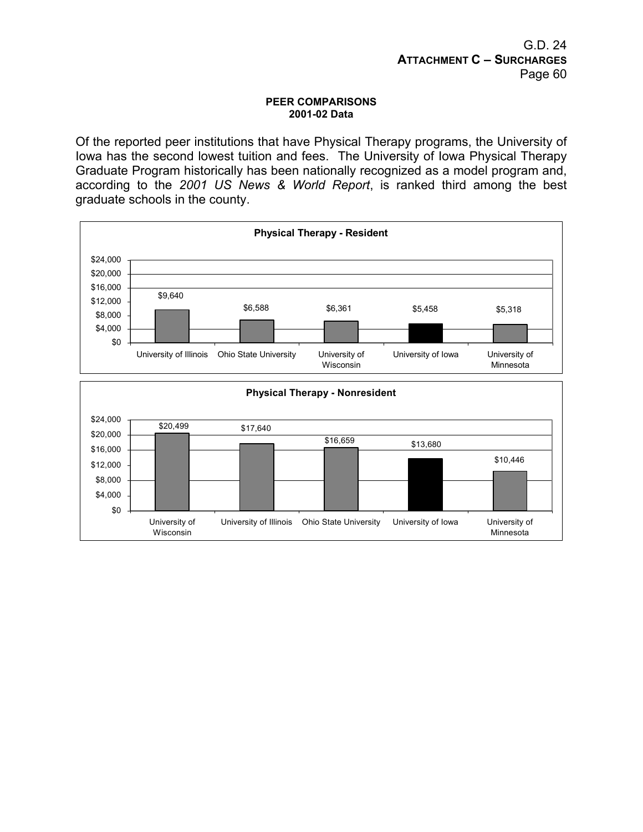#### **PEER COMPARISONS 2001-02 Data**

Of the reported peer institutions that have Physical Therapy programs, the University of Iowa has the second lowest tuition and fees. The University of Iowa Physical Therapy Graduate Program historically has been nationally recognized as a model program and, according to the *2001 US News & World Report*, is ranked third among the best graduate schools in the county.

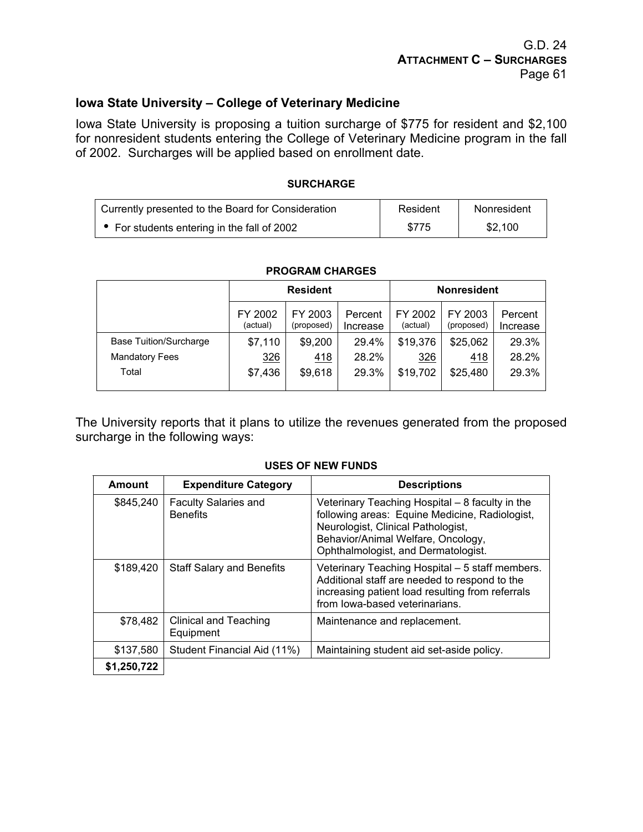## G.D. 24 **ATTACHMENT C – SURCHARGES** Page 61

## **Iowa State University – College of Veterinary Medicine**

Iowa State University is proposing a tuition surcharge of \$775 for resident and \$2,100 for nonresident students entering the College of Veterinary Medicine program in the fall of 2002. Surcharges will be applied based on enrollment date.

#### **SURCHARGE**

| Currently presented to the Board for Consideration | Resident | Nonresident |
|----------------------------------------------------|----------|-------------|
| • For students entering in the fall of 2002        | \$775    | \$2.100     |

|                               | <b>Resident</b>     |                       |                     |                     | <b>Nonresident</b>    |                     |
|-------------------------------|---------------------|-----------------------|---------------------|---------------------|-----------------------|---------------------|
|                               | FY 2002<br>(actual) | FY 2003<br>(proposed) | Percent<br>Increase | FY 2002<br>(actual) | FY 2003<br>(proposed) | Percent<br>Increase |
| <b>Base Tuition/Surcharge</b> | \$7,110             | \$9,200               | 29.4%               | \$19,376            | \$25,062              | 29.3%               |
| <b>Mandatory Fees</b>         | 326                 | <u>418</u>            | 28.2%               | 326                 | <u>418</u>            | 28.2%               |
| Total                         | \$7,436             | \$9,618               | 29.3%               | \$19,702            | \$25,480              | 29.3%               |

#### **PROGRAM CHARGES**

The University reports that it plans to utilize the revenues generated from the proposed surcharge in the following ways:

| Amount      | <b>Expenditure Category</b>                    | <b>Descriptions</b>                                                                                                                                                                                                  |
|-------------|------------------------------------------------|----------------------------------------------------------------------------------------------------------------------------------------------------------------------------------------------------------------------|
| \$845,240   | <b>Faculty Salaries and</b><br><b>Benefits</b> | Veterinary Teaching Hospital - 8 faculty in the<br>following areas: Equine Medicine, Radiologist,<br>Neurologist, Clinical Pathologist,<br>Behavior/Animal Welfare, Oncology,<br>Ophthalmologist, and Dermatologist. |
| \$189,420   | <b>Staff Salary and Benefits</b>               | Veterinary Teaching Hospital - 5 staff members.<br>Additional staff are needed to respond to the<br>increasing patient load resulting from referrals<br>from lowa-based veterinarians.                               |
| \$78,482    | Clinical and Teaching<br>Equipment             | Maintenance and replacement.                                                                                                                                                                                         |
| \$137,580   | Student Financial Aid (11%)                    | Maintaining student aid set-aside policy.                                                                                                                                                                            |
| \$1,250,722 |                                                |                                                                                                                                                                                                                      |

#### **USES OF NEW FUNDS**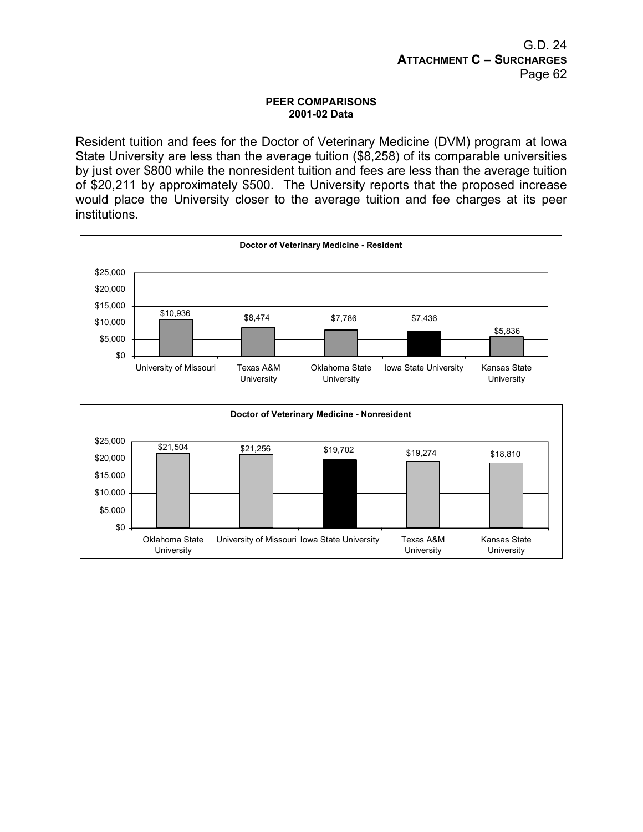#### **PEER COMPARISONS 2001-02 Data**

Resident tuition and fees for the Doctor of Veterinary Medicine (DVM) program at Iowa State University are less than the average tuition (\$8,258) of its comparable universities by just over \$800 while the nonresident tuition and fees are less than the average tuition of \$20,211 by approximately \$500. The University reports that the proposed increase would place the University closer to the average tuition and fee charges at its peer institutions.



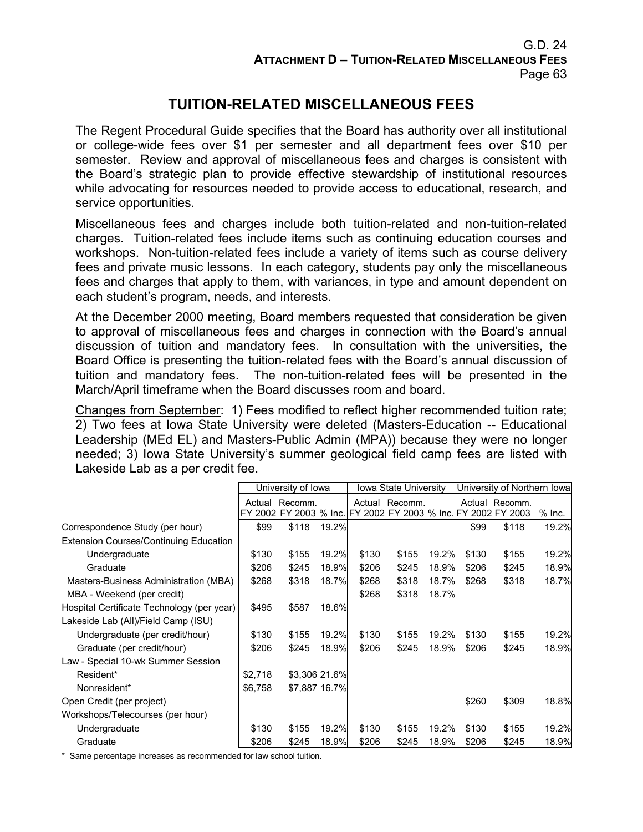# **TUITION-RELATED MISCELLANEOUS FEES**

The Regent Procedural Guide specifies that the Board has authority over all institutional or college-wide fees over \$1 per semester and all department fees over \$10 per semester. Review and approval of miscellaneous fees and charges is consistent with the Board's strategic plan to provide effective stewardship of institutional resources while advocating for resources needed to provide access to educational, research, and service opportunities.

Miscellaneous fees and charges include both tuition-related and non-tuition-related charges. Tuition-related fees include items such as continuing education courses and workshops. Non-tuition-related fees include a variety of items such as course delivery fees and private music lessons. In each category, students pay only the miscellaneous fees and charges that apply to them, with variances, in type and amount dependent on each student's program, needs, and interests.

At the December 2000 meeting, Board members requested that consideration be given to approval of miscellaneous fees and charges in connection with the Board's annual discussion of tuition and mandatory fees. In consultation with the universities, the Board Office is presenting the tuition-related fees with the Board's annual discussion of tuition and mandatory fees. The non-tuition-related fees will be presented in the March/April timeframe when the Board discusses room and board.

Changes from September: 1) Fees modified to reflect higher recommended tuition rate; 2) Two fees at Iowa State University were deleted (Masters-Education -- Educational Leadership (MEd EL) and Masters-Public Admin (MPA)) because they were no longer needed; 3) Iowa State University's summer geological field camp fees are listed with Lakeside Lab as a per credit fee.

|                                               | University of Iowa |                                                            |       |       | Iowa State University |       | University of Northern Iowal |                |          |  |
|-----------------------------------------------|--------------------|------------------------------------------------------------|-------|-------|-----------------------|-------|------------------------------|----------------|----------|--|
|                                               | Actual             | Recomm.                                                    |       |       | Actual Recomm.        |       |                              | Actual Recomm. |          |  |
|                                               |                    | 2002 FY 2003 % Inc. FY 2002 FY 2003 % Inc. FY 2002 FY 2003 |       |       |                       |       |                              |                | $%$ Inc. |  |
| Correspondence Study (per hour)               | \$99               | \$118                                                      | 19.2% |       |                       |       | \$99                         | \$118          | 19.2%    |  |
| <b>Extension Courses/Continuing Education</b> |                    |                                                            |       |       |                       |       |                              |                |          |  |
| Undergraduate                                 | \$130              | \$155                                                      | 19.2% | \$130 | \$155                 | 19.2% | \$130                        | \$155          | 19.2%    |  |
| Graduate                                      | \$206              | \$245                                                      | 18.9% | \$206 | \$245                 | 18.9% | \$206                        | \$245          | 18.9%    |  |
| Masters-Business Administration (MBA)         | \$268              | \$318                                                      | 18.7% | \$268 | \$318                 | 18.7% | \$268                        | \$318          | 18.7%    |  |
| MBA - Weekend (per credit)                    |                    |                                                            |       | \$268 | \$318                 | 18.7% |                              |                |          |  |
| Hospital Certificate Technology (per year)    | \$495              | \$587                                                      | 18.6% |       |                       |       |                              |                |          |  |
| Lakeside Lab (All)/Field Camp (ISU)           |                    |                                                            |       |       |                       |       |                              |                |          |  |
| Undergraduate (per credit/hour)               | \$130              | \$155                                                      | 19.2% | \$130 | \$155                 | 19.2% | \$130                        | \$155          | 19.2%    |  |
| Graduate (per credit/hour)                    | \$206              | \$245                                                      | 18.9% | \$206 | \$245                 | 18.9% | \$206                        | \$245          | 18.9%    |  |
| Law - Special 10-wk Summer Session            |                    |                                                            |       |       |                       |       |                              |                |          |  |
| Resident*                                     | \$2,718            | \$3,306 21.6%                                              |       |       |                       |       |                              |                |          |  |
| Nonresident*                                  | \$6,758            | \$7,887 16.7%                                              |       |       |                       |       |                              |                |          |  |
| Open Credit (per project)                     |                    |                                                            |       |       |                       |       | \$260                        | \$309          | 18.8%    |  |
| Workshops/Telecourses (per hour)              |                    |                                                            |       |       |                       |       |                              |                |          |  |
| Undergraduate                                 | \$130              | \$155                                                      | 19.2% | \$130 | \$155                 | 19.2% | \$130                        | \$155          | 19.2%    |  |
| Graduate                                      | \$206              | \$245                                                      | 18.9% | \$206 | \$245                 | 18.9% | \$206                        | \$245          | 18.9%    |  |

\* Same percentage increases as recommended for law school tuition.